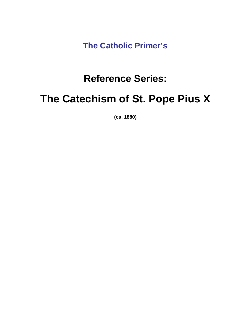**The Catholic Primer's** 

# **Reference Series:**

# **The Catechism of St. Pope Pius X**

**(ca. 1880)**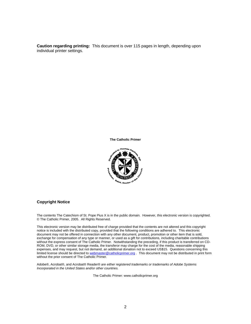**Caution regarding printing:** This document is over 115 pages in length, depending upon individual printer settings.

**The Catholic Primer** 



#### **Copyright Notice**

The contents The Catechism of St. Pope Pius X is in the public domain. However, this electronic version is copyrighted. © The Catholic Primer, 2005. All Rights Reserved.

This electronic version may be distributed free of charge provided that the contents are not altered and this copyright notice is included with the distributed copy, provided that the following conditions are adhered to. This electronic document may not be offered in connection with any other document, product, promotion or other item that is sold, exchange for compensation of any type or manner, or used as a gift for contributions, including charitable contributions without the express consent of The Catholic Primer. Notwithstanding the preceding, if this product is transferred on CD-ROM, DVD, or other similar storage media, the transferor may charge for the cost of the media, reasonable shipping expenses, and may request, but not demand, an additional donation not to exceed US\$15. Questions concerning this limited license should be directed to [webmaster@catholicprimer.org](mailto:webmaster@catholicprimer.org) . This document may not be distributed in print form without the prior consent of The Catholic Primer.

Adobe®, Acrobat®, and Acrobat® Reader® *are either registered trademarks or trademarks of Adobe Systems Incorporated in the United States and/or other countries.*

The Catholic Primer: www.catholicprimer.org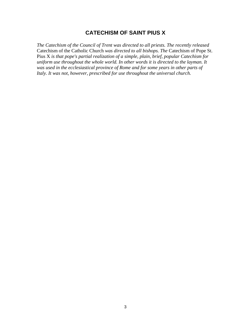# **CATECHISM OF SAINT PIUS X**

*The Catechism of the Council of Trent was directed to all priests. The recently released*  Catechism of the Catholic Church *was directed to all bishops. The* Catechism of Pope St. Pius X *is that pope's partial realization of a simple, plain, brief, popular Catechism for uniform use throughout the whole world. In other words it is directed to the layman. It was used in the ecclesiastical province of Rome and for some years in other parts of Italy. It was not, however, prescribed for use throughout the universal church.*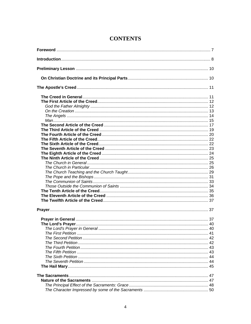# **CONTENTS**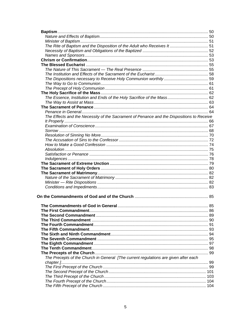| The Rite of Baptism and the Disposition of the Adult who Receives It 51                   |  |
|-------------------------------------------------------------------------------------------|--|
|                                                                                           |  |
|                                                                                           |  |
|                                                                                           |  |
|                                                                                           |  |
|                                                                                           |  |
|                                                                                           |  |
|                                                                                           |  |
|                                                                                           |  |
|                                                                                           |  |
|                                                                                           |  |
|                                                                                           |  |
|                                                                                           |  |
|                                                                                           |  |
|                                                                                           |  |
| The Effects and the Necessity of the Sacrament of Penance and the Dispositions to Receive |  |
|                                                                                           |  |
|                                                                                           |  |
|                                                                                           |  |
|                                                                                           |  |
|                                                                                           |  |
|                                                                                           |  |
|                                                                                           |  |
|                                                                                           |  |
|                                                                                           |  |
|                                                                                           |  |
|                                                                                           |  |
|                                                                                           |  |
|                                                                                           |  |
|                                                                                           |  |
|                                                                                           |  |
|                                                                                           |  |
|                                                                                           |  |
|                                                                                           |  |
|                                                                                           |  |
|                                                                                           |  |
|                                                                                           |  |
|                                                                                           |  |
|                                                                                           |  |
|                                                                                           |  |
|                                                                                           |  |
|                                                                                           |  |
|                                                                                           |  |
| The Precepts of the Church in General [The current regulations are given after each       |  |
|                                                                                           |  |
|                                                                                           |  |
|                                                                                           |  |
|                                                                                           |  |
|                                                                                           |  |
|                                                                                           |  |
|                                                                                           |  |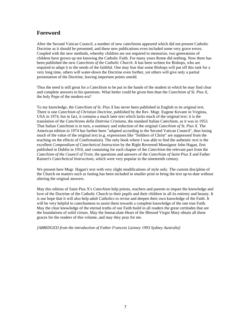# <span id="page-6-0"></span>**Foreword**

After the Second Vatican Council, a number of new catechisms appeared which did not present Catholic Doctrine as it should be presented, and these new publications even included some very grave errors. Coupled with the new methods, whereby children are not required to memorize, two generations of children have grown up not knowing the Catholic Faith. For many years Rome did nothing. Now there has been published the new *Catechism of the Catholic Church*. It has been written for Bishops, who are required to adapt it to the needs of the faithful. One may fear that some Bishops will put off this task for a very long time, others will water-down the Doctrine even further, yet others will give only a partial presentation of the Doctrine, leaving important points untold.

Thus the need is still great for a Catechism to be put in the hands of the student in which he may find clear and complete answers to his questions. What better could be given him than the *Catechism of St. Pius X*, the holy Pope of the modern era?

To my knowledge, the *Catechism of St. Pius X* has never been published in English in its original text. There is one *Catechism of Christian Doctrine*, published by the Rev. Msgr. Eugene Kevane in Virginia, USA in 1974, but in fact, it contains a much later text which lacks much of the original text: it is the translation of the *Catechismo della Dottrina Cristiana*, the standard Italian Catechism, as it was in 1953. That Italian Catechism is in turn, a summary and reduction of the original *Catechism of St. Pius X*. The American edition in 1974 has further been "adapted according to the Second Vatican Council", thus losing much of the value of the original text (e.g. expressions like "Soldiers of Christ" are suppressed from the teaching on the effects of Confirmation). The only book where I was able to find the authentic text is the excellent *Compendium of Catechetical Instruction* by the Right Reverend Monsignor John Hagan, first published in Dublin in 1910, and containing for each chapter of the *Catechism* the relevant part from the *Catechism of the Council of Trent*, the questions and answers of the *Catechism of Saint Pius X* and Father Raineri's *Catechetical Instructions*, which were very popular in the nineteenth century.

We present here Msgr. Hagan's text with very slight modifications of style only. The current discipline of the Church on matters such as fasting has been included in smaller print to bring the text up-to-date without altering the original answers.

May this edition of Saint Pius X's *Catechism* help priests, teachers and parents to impart the knowledge and love of the Doctrine of the Catholic Church to their pupils and their children in all its entirety and beauty. It is our hope that it will also help adult Catholics to revise and deepen their own knowledge of the Faith. It will be very helpful to catechumens to assist them towards a complete knowledge of the one true Faith. May the clear knowledge of the eternal truths of our Faith build in all readers the great certitudes that are the foundations of solid virtues. May the Immaculate Heart of the Blessed Virgin Mary obtain all these graces for the readers of this volume, and may they pray for me.

*[ABRIDGED from the introduction of Father Francois Laisney 1993 Sydney Australia]*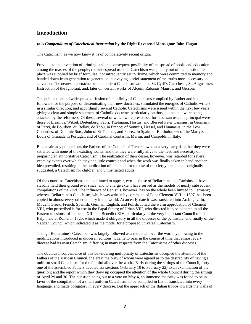# <span id="page-7-0"></span>**Introduction**

#### **to** *A Compendium of Catechetical Instruction* **by the Right Reverend Monsignor John Hagan**

The Catechism, as we now know it, is of comparatively recent origin.

Previous to the invention of printing, and the consequent possibility of the spread of books and education among the masses of the people, the widespread use of a Catechism was plainly out of the question. Its place was supplied by brief formulae, not infrequently set to rhyme, which were committed to memory and handed down from generation to generation, conveying a brief statement of the truths more necessary to salvation. The nearest approaches to the modern Catechism would be St. Cyril's Catechesis, St. Augustine's Instruction of the Ignorant, and, later on, certain works of Alcuin, Rabanus Maurus, and Gerson.

The publication and widespread diffusion of an infinity of Catechisms compiled by Luther and his followers for the purpose of disseminating their new doctrines, stimulated the energies of Catholic writers in a similar direction; and accordingly several Catholic Catechisms were issued within the next few years giving a clear and simple statement of Catholic doctrine, particularly on those points that were being attacked by the reformers. Of these, several of which were prescribed for diocesan use, the principal were those of Erasmus, Witzel, Dietenberg, Fabri, Titelmann, Hosius, and Blessed Peter Canisius, in Germany; of Parvi, de Bourbon, du Bellay, de Thou, in France; of Sonnius, Hessel, and Hunnaeus, in the Low Countries; of Dominic Soto, John of St Thomas, and Florez, in Spain; of Bartholomew of the Martyrs and Louis of Granada in Portugal; and of Cardinal Contarini, Marini, and Crispoldi, in Italy.

But, as already pointed out, the Fathers of the Council of Trent showed at a very early date that they were satisfied with none of the existing works, and that they were fully alive to the need and necessity of preparing an authoritative Catechism. The realization of their desire, however, was retarded for several years by events over which they had little control; and when the work was finally taken in hand another idea prevailed, resulting in the publication of a manual for the use of the clergy, and not, as originally suggested, a Catechism for children and uninstructed adults.

Of the countless Catechisms that continued to appear, two — those of Bellarmine and Canisius — have steadily held their ground ever since, and to a large extent have served as the models of nearly subsequent compilations of the kind. The influence of Canisius, however, has on the whole been limited to Germany; whereas Bellarmine's Catechism, which was written by command of Pope Clement VIII in 1597, has been copied in almost every other country in the world. At an early date it was translated into Arabic, Latin, Modem Greek, French, Spanish, German, English, and Polish. It had the warm approbation of Clement VIII, who prescribed it for use in the Papal States; of Urban VIII, who directed it to be adopted in all the Eastern missions; of Innocent XIII and Benedict XIV; particularly of the very important Council of all Italy, held at Rome, in 1725, which made it obligatory in all the dioceses of the peninsula; and finally of the Vatican Council which indicated it as the model for a proposed universal Catechism.

Though Bellarmine's Catechism was largely followed as a model all over the world, yet, owing to the modifications introduced in diocesan editions, it came to pass in the course of time that almost every diocese had its own Catechism, differing in many respects from the Catechisms of other dioceses.

The obvious inconvenience of this bewildering multiplicity of Catechisms occupied the attention of the Fathers of the Vatican Council, the great majority of whom were agreed as to the desirability of having a uniform small Catechism for the faithful all over the world. Early during the sittings of the Council, fortyone of the assembled Fathers devoted six sessions (February 10 to February 22) to an examination of the question; and the report which they drew up occupied the attention of the whole Council during the sittings of April 29 and 30. The question being put to a vote on May 4, an immense majority was found to be in favor of the compilation of a small uniform Catechism, to be compiled in Latin, translated into every language, and made obligatory in every diocese. But the approach of the Italian troops towards the walls of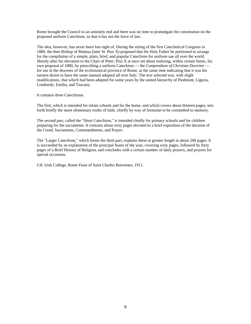Rome brought the Council to an untimely end and there was no time to promulgate the constitution on the proposed uniform Catechism, so that it has not the force of law.

The idea, however, has never been lost sight of. During the sitting of the first Catechetical Congress in 1880, the then Bishop of Mantua (later St. Pius X) proposed that the Holy Father be petitioned to arrange for the compilation of a simple, plain, brief, and popular Catechism for uniform use all over the world. Shortly after his elevation to the Chair of Peter, Pius X at once set about realizing, within certain limits, his own proposal of 1880, by prescribing a uniform Catechism — the *Compendium of Christian Doctrine* for use in the dioceses of the ecclesiastical province of Rome, at the same time indicating that it was his earnest desire to have the same manual adopted all over Italy. The text selected was, with slight modifications, that which had been adopted for some years by the united hierarchy of Piedmont, Liguria, Lombardy, Emilia, and Tuscany.

It contains three Catechisms.

The first, which is intended for infant schools and for the home, and which covers about thirteen pages, sets forth briefly the more elementary truths of faith, chiefly by way of formulae to be committed to memory.

The second part, called the "Short Catechism," is intended chiefly for primary schools and for children preparing for the sacraments. It contains about sixty pages devoted to a brief exposition of the doctrine of the Creed, Sacraments, Commandments, and Prayer.

The "Larger Catechism," which forms the third part, explains these at greater length in about 200 pages. It is succeeded by an explanation of the principal feasts of the year, covering sixty pages, followed by forty pages of a Brief History of Religion, and concludes with a certain number of daily prayers, and prayers for special occasions.

J.H. Irish College, Rome Feast of Saint Charles Borromeo, 1911.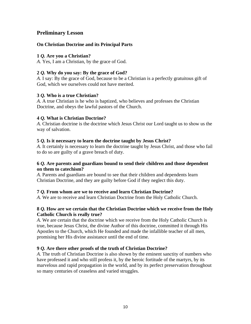# <span id="page-9-0"></span>**Preliminary Lesson**

## **On Christian Doctrine and its Principal Parts**

## **1** *Q.* **Are you a Christian?**

*A.* Yes, I am a Christian, by the grace of God.

## **2** *Q.* **Why do you say: By the grace of God?**

*A.* I say: By the grace of God, because to be a Christian is a perfectly gratuitous gift of God, which we ourselves could not have merited.

## **3** *Q.* **Who is a true Christian?**

*A.* A true Christian is he who is baptized, who believes and professes the Christian Doctrine, and obeys the lawful pastors of the Church.

## **4** *Q.* **What is Christian Doctrine?**

*A.* Christian doctrine is the doctrine which Jesus Christ our Lord taught us to show us the way of salvation.

## **5** *Q.* **Is it necessary to learn the doctrine taught by Jesus Christ?**

*A.* It certainly is necessary to learn the doctrine taught by Jesus Christ, and those who fail to do so are guilty of a grave breach of duty.

## **6** *Q.* **Are parents and guardians bound to send their children and those dependent on them to catechism?**

*A.* Parents and guardians are bound to see that their children and dependents learn Christian Doctrine, and they are guilty before God if they neglect this duty.

## **7** *Q.* **From whom are we to receive and learn Christian Doctrine?**

*A.* We are to receive and learn Christian Doctrine from the Holy Catholic Church.

## **8** *Q.* **How are we certain that the Christian Doctrine which we receive from the Holy Catholic Church is really true?**

*A.* We are certain that the doctrine which we receive from the Holy Catholic Church is true, because Jesus Christ, the divine Author of this doctrine, committed it through His Apostles to the Church, which He founded and made the infallible teacher of all men, promising her His divine assistance until the end of time.

## **9** *Q.* **Are there other proofs of the truth of Christian Doctrine?**

*A.* The truth of Christian Doctrine is also shown by the eminent sanctity of numbers who have professed it and who still profess it, by the heroic fortitude of the martyrs, by its marvelous and rapid propagation in the world, and by its perfect preservation throughout so many centuries of ceaseless and varied struggles.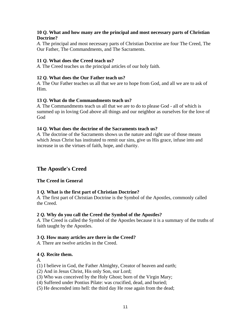## <span id="page-10-0"></span>**10** *Q.* **What and how many are the principal and most necessary parts of Christian Doctrine?**

*A.* The principal and most necessary parts of Christian Doctrine are four The Creed, The Our Father, The Commandments, and The Sacraments.

## **11** *Q.* **What does the Creed teach us?**

*A.* The Creed teaches us the principal articles of our holy faith.

## **12** *Q.* **What does the Our Father teach us?**

*A.* The Our Father teaches us all that we are to hope from God, and all we are to ask of Him.

## **13** *Q.* **What do the Commandments teach us?**

*A.* The Commandments teach us all that we are to do to please God - all of which is summed up in loving God above all things and our neighbor as ourselves for the love of God

#### **14** *Q.* **What does the doctrine of the Sacraments teach us?**

*A.* The doctrine of the Sacraments shows us the nature and right use of those means which Jesus Christ has instituted to remit our sins, give us His grace, infuse into and increase in us the virtues of faith, hope, and charity.

# **The Apostle's Creed**

#### **The Creed in General**

## **1** *Q.* **What is the first part of Christian Doctrine?**

*A.* The first part of Christian Doctrine is the Symbol of the Apostles, commonly called the Creed.

#### **2** *Q.* **Why do you call the Creed the Symbol of the Apostles?**

*A.* The Creed is called the Symbol of the Apostles because it is a summary of the truths of faith taught by the Apostles.

#### **3** *Q.* **How many articles are there in the Creed?**

*A.* There are twelve articles in the Creed.

#### **4** *Q.* **Recite them.**

*A.*

(1) I believe in God, the Father Almighty, Creator of heaven and earth;

- (2) And in Jesus Christ, His only Son, our Lord;
- (3) Who was conceived by the Holy Ghost; born of the Virgin Mary;
- (4) Suffered under Pontius Pilate: was crucified, dead, and buried;
- (5) He descended into hell: the third day He rose again from the dead;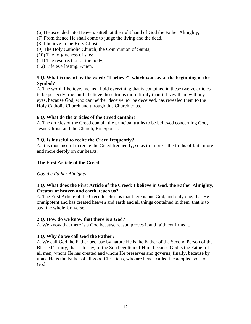<span id="page-11-0"></span>(6) He ascended into Heaven: sitteth at the right hand of God the Father Almighty;

- (7) From thence He shall come to judge the living and the dead.
- (8) I believe in the Holy Ghost;
- (9) The Holy Catholic Church; the Communion of Saints;
- (10) The forgiveness of sins;
- (11) The resurrection of the body;
- (12) Life everlasting. Amen.

## **5** *Q.* **What is meant by the word: "I believe", which you say at the beginning of the Symbol?**

*A.* The word: I believe, means I hold everything that is contained in these twelve articles to be perfectly true; and I believe these truths more firmly than if I saw them with my eyes, because God, who can neither deceive nor be deceived, has revealed them to the Holy Catholic Church and through this Church to us.

## **6** *Q.* **What do the articles of the Creed contain?**

*A.* The articles of the Creed contain the principal truths to be believed concerning God, Jesus Christ, and the Church, His Spouse.

## **7** *Q.* **Is it useful to recite the Creed frequently?**

*A.* It is most useful to recite the Creed frequently, so as to impress the truths of faith more and more deeply on our hearts.

## **The First Article of the Creed**

*God the Father Almighty*

## **1** *Q.* **What does the First Article of the Creed: I believe in God, the Father Almighty, Creator of heaven and earth, teach us?**

*A.* The First Article of the Creed teaches us that there is one God, and only one; that He is omnipotent and has created heaven and earth and all things contained in them, that is to say, the whole Universe.

#### **2** *Q.* **How do we know that there is a God?**

*A.* We know that there is a God because reason proves it and faith confirms it.

## **3** *Q.* **Why do we call God the Father?**

*A.* We call God the Father because by nature He is the Father of the Second Person of the Blessed Trinity, that is to say, of the Son begotten of Him; because God is the Father of all men, whom He has created and whom He preserves and governs; finally, because by grace He is the Father of all good Christians, who are hence called the adopted sons of God.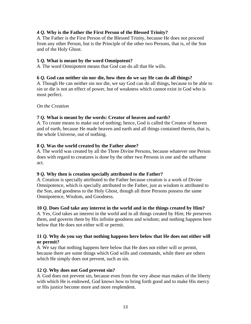## <span id="page-12-0"></span>**4** *Q.* **Why is the Father the First Person of the Blessed Trinity?**

*A.* The Father is the First Person of the Blessed Trinity, because He does not proceed from any other Person, but is the Principle of the other two Persons, that is, of the Son and of the Holy Ghost.

## **5** *Q.* **What is meant by the word Omnipotent?**

*A.* The word Omnipotent means that God can do all that He wills.

## **6** *Q.* **God can neither sin nor die, how then do we say He can do all things?**

*A.* Though He can neither sin nor die, we say God can do all things, because to be able to sin or die is not an effect of power, but of weakness which cannot exist in God who is most perfect.

## *On the Creation*

## **7** *Q.* **What is meant by the words: Creator of heaven and earth?**

*A.* To create means to make out of nothing; hence, God is called the Creator of heaven and of earth, because He made heaven and earth and all things contained therein, that is, the whole Universe, out of nothing.

## **8** *Q.* **Was the world created by the Father alone?**

*A.* The world was created by all the Three Divine Persons, because whatever one Person does with regard to creatures is done by the other two Persons in one and the selfsame act.

## **9** *Q.* **Why then is creation specially attributed to the Father?**

*A.* Creation is specially attributed to the Father because creation is a work of Divine Omnipotence, which is specially attributed to the Father, just as wisdom is attributed to the Son, and goodness to the Holy Ghost, though all three Persons possess the same Omnipotence, Wisdom, and Goodness.

## **10** *Q.* **Does God take any interest in the world and in the things created by Him?**

*A.* Yes, God takes an interest in the world and in all things created by Him; He preserves them, and governs them by His infinite goodness and wisdom; and nothing happens here below that He does not either will or permit.

## **11** *Q.* **Why do you say that nothing happens here below that He does not either will or permit?**

*A.* We say that nothing happens here below that He does not either will or permit, because there are some things which God wills and commands, while there are others which He simply does not prevent, such as sin.

## **12** *Q.* **Why does not God prevent sin?**

*A.* God does not prevent sin, because even from the very abuse man makes of the liberty with which He is endowed, God knows how to bring forth good and to make His mercy or His justice become more and more resplendent.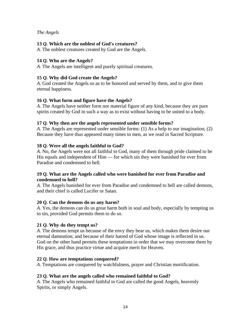## <span id="page-13-0"></span>*The Angels*

## **13** *Q.* **Which are the noblest of God's creatures?**

*A.* The noblest creatures created by God are the Angels.

# **14** *Q.* **Who are the Angels?**

*A.* The Angels are intelligent and purely spiritual creatures.

# **15** *Q.* **Why did God create the Angels?**

*A.* God created the Angels so as to be honored and served by them, and to give them eternal happiness.

# **16** *Q.* **What form and figure have the Angels?**

*A.* The Angels have neither form nor material figure of any kind, because they are pure spirits created by God in such a way as to exist without having to be united to a body.

# **17** *Q.* **Why then are the angels represented under sensible forms?**

*A.* The Angels are represented under sensible forms: (1) As a help to our imagination; (2) Because they have thus appeared many times to men, as we read in Sacred Scripture.

# **18** *Q.* **Were all the angels faithful to God?**

*A.* No, the Angels were not all faithful to God, many of them through pride claimed to be His equals and independent of Him — for which sin they were banished for ever from Paradise and condemned to hell.

## **19** *Q.* **What are the Angels called who were banished for ever from Paradise and condemned to hell?**

*A.* The Angels banished for ever from Paradise and condemned to hell are called demons, and their chief is called Lucifer or Satan.

## **20** *Q.* **Can the demons do us any harm?**

*A.* Yes, the demons can do us great harm both in soul and body, especially by tempting us to sin, provided God permits them to do so.

## **21** *Q.* **Why do they tempt us?**

*A.* The demons tempt us because of the envy they bear us, which makes them desire our eternal damnation; and because of their hatred of God whose image is reflected in us. God on the other hand permits these temptations in order that we may overcome them by His grace, and thus practice virtue and acquire merit for Heaven.

## **22** *Q.* **How are temptations conquered?**

*A.* Temptations are conquered by watchfulness, prayer and Christian mortification.

# **23** *Q.* **What are the angels called who remained faithful to God?**

*A.* The Angels who remained faithful to God are called the good Angels, heavenly Spirits, or simply Angels.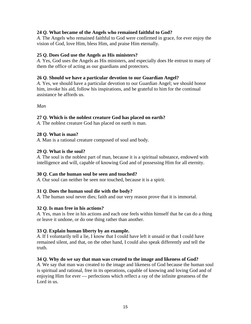## <span id="page-14-0"></span>**24** *Q.* **What became of the Angels who remained faithful to God?**

*A.* The Angels who remained faithful to God were confirmed in grace, for ever enjoy the vision of God, love Him, bless Him, and praise Him eternally.

## **25** *Q.* **Does God use the Angels as His ministers?**

*A.* Yes, God uses the Angels as His ministers, and especially does He entrust to many of them the office of acting as our guardians and protectors.

#### **26** *Q.* **Should we have a particular devotion to our Guardian Angel?**

*A.* Yes, we should have a particular devotion to our Guardian Angel; we should honor him, invoke his aid, follow his inspirations, and be grateful to him for the continual assistance he affords us.

*Man*

## **27** *Q.* **Which is the noblest creature God has placed on earth?**

*A.* The noblest creature God has placed on earth is man.

## **28** *Q.* **What is man?**

*A.* Man is a rational creature composed of soul and body.

## **29** *Q.* **What is the soul?**

*A.* The soul is the noblest part of man, because it is a spiritual substance, endowed with intelligence and will, capable of knowing God and of possessing Him for all eternity.

#### **30** *Q.* **Can the human soul be seen and touched?**

*A.* Our soul can neither be seen nor touched, because it is a spirit.

## **31** *Q.* **Does the human soul die with the body?**

*A.* The human soul never dies; faith and our very reason prove that it is immortal.

#### **32** *Q.* **Is man free in his actions?**

*A.* Yes, man is free in his actions and each one feels within himself that he can do a thing or leave it undone, or do one thing rather than another.

#### **33** *Q.* **Explain human liberty by an example.**

*A.* If I voluntarily tell a lie, I know that I could have left it unsaid or that I could have remained silent, and that, on the other hand, I could also speak differently and tell the truth.

#### **34** *Q.* **Why do we say that man was created to the image and likeness of God?**

*A.* We say that man was created to the image and likeness of God because the human soul is spiritual and rational, free in its operations, capable of knowing and loving God and of enjoying Him for ever — perfections which reflect a ray of the infinite greatness of the Lord in us.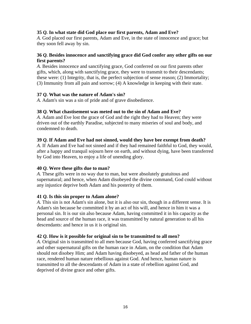## **35** *Q.* **In what state did God place our first parents, Adam and Eve?**

*A.* God placed our first parents, Adam and Eve, in the state of innocence and grace; but they soon fell away by sin.

## **36** *Q.* **Besides innocence and sanctifying grace did God confer any other gifts on our first parents?**

*A.* Besides innocence and sanctifying grace, God conferred on our first parents other gifts, which, along with sanctifying grace, they were to transmit to their descendants; these were: (1) Integrity, that is, the perfect subjection of sense reason; (2) Immortality; (3) Immunity from all pain and sorrow; (4) A knowledge in keeping with their state.

## **37** *Q.* **What was the nature of Adam's sin?**

*A.* Adam's sin was a sin of pride and of grave disobedience.

## **38** *Q.* **What chastisement was meted out to the sin of Adam and Eve?**

*A.* Adam and Eve lost the grace of God and the right they had to Heaven; they were driven out of the earthly Paradise, subjected to many miseries of soul and body, and condemned to death.

## **39** *Q.* **If Adam and Eve had not sinned, would they have bee exempt from death?**

*A.* If Adam and Eve had not sinned and if they had remained faithful to God, they would, after a happy and tranquil sojourn here on earth, and without dying, have been transferred by God into Heaven, to enjoy a life of unending glory.

## **40** *Q.* **Were these gifts due to man?**

*A.* These gifts were in no way due to man, but were absolutely gratuitous and supernatural; and hence, when Adam disobeyed the divine command, God could without any injustice deprive both Adam and his posterity of them.

#### **41** *Q.* **Is this sin proper to Adam alone?**

*A.* This sin is not Adam's sin alone, but it is also our sin, though in a different sense. It is Adam's sin because he committed it by an act of his will, and hence in him it was a personal sin. It is our sin also because Adam, having committed it in his capacity as the head and source of the human race, it was transmitted by natural generation to all his descendants: and hence in us it is original sin.

## **42** *Q.* **How is it possible for original sin to be transmitted to all men?**

*A.* Original sin is transmitted to all men because God, having conferred sanctifying grace and other supernatural gifts on the human race in Adam, on the condition that Adam should not disobey Him; and Adam having disobeyed, as head and father of the human race, rendered human nature rebellious against God. And hence, human nature is transmitted to all the descendants of Adam in a state of rebellion against God, and deprived of divine grace and other gifts.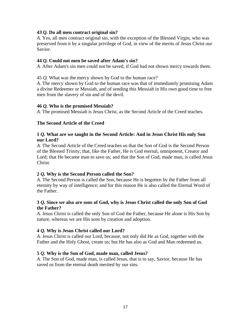## <span id="page-16-0"></span>**43** *Q.* **Do all men contract original sin?**

*A.* Yes, all men contract original sin, with the exception of the Blessed Virgin, who was preserved from it by a singular privilege of God, in view of the merits of Jesus Christ our Savior.

## **44** *Q.* **Could not men be saved after Adam's sin?**

*A.* After Adam's sin men could not be saved, if God had not shown mercy towards them.

45 *Q.* What was the mercy shown by God to the human race?

*A.* The mercy shown by God to the human race was that of immediately promising Adam a divine Redeemer or Messiah, and of sending this Messiah in His own good time to free men from the slavery of sin and of the devil.

## **46** *Q.* **Who is the promised Messiah?**

*A.* The promised Messiah is Jesus Christ, as the Second Article of the Creed teaches.

## **The Second Article of the Creed**

## **1** *Q.* **What are we taught in the Second Article: And in Jesus Christ His only Son our Lord?**

*A.* The Second Article of the Creed teaches us that the Son of God is the Second Person of the Blessed Trinity; that, like the Father, He is God eternal, omnipotent, Creator and Lord; that He became man to save us; and that the Son of God, made man, is called Jesus Christ.

## **2** *Q.* **Why is the Second Person called the Son?**

*A.* The Second Person is called the Son, because He is begotten by the Father from all eternity by way of intelligence; and for this reason He is also called the Eternal Word of the Father.

#### **3** *Q.* **Since we also are sons of God, why is Jesus Christ called the only Son of God the Father?**

*A.* Jesus Christ is called the only Son of God the Father, because He alone is His Son by nature, whereas we are His sons by creation and adoption.

## **4** *Q.* **Why is Jesus Christ called our Lord?**

*A.* Jesus Christ is called our Lord, because, not only did He as God, together with the Father and the Holy Ghost, create us; but He has also as God and Man redeemed us.

## **5** *Q.* **Why is the Son of God, made man, called Jesus?**

*A.* The Son of God, made man, is called Jesus, that is to say, Savior, because He has saved us from the eternal death merited by our sins.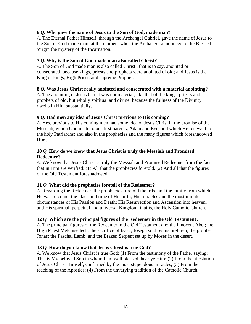## **6** *Q.* **Who gave the name of Jesus to the Son of God, made man?**

*A.* The Eternal Father Himself, through the Archangel Gabriel, gave the name of Jesus to the Son of God made man, at the moment when the Archangel announced to the Blessed Virgin the mystery of the Incarnation.

## **7** *Q.* **Why is the Son of God made man also called Christ?**

*A.* The Son of God made man is also called Christ , that is to say, anointed or consecrated, because kings, priests and prophets were anointed of old; and Jesus is the King of kings, High Priest, and supreme Prophet.

## **8** *Q.* **Was Jesus Christ really anointed and consecrated with a material anointing?**

*A.* The anointing of Jesus Christ was not material, like that of the kings, priests and prophets of old, but wholly spiritual and divine, because the fullness of the Divinity dwells in Him substantially.

## **9** *Q.* **Had men any idea of Jesus Christ previous to His coming?**

*A.* Yes, previous to His coming men had some idea of Jesus Christ in the promise of the Messiah, which God made to our first parents, Adam and Eve, and which He renewed to the holy Patriarchs; and also in the prophecies and the many figures which foreshadowed Him.

## **10** *Q.* **How do we know that Jesus Christ is truly the Messiah and Promised Redeemer?**

*A.* We know that Jesus Christ is truly the Messiah and Promised Redeemer from the fact that in Him are verified: (1) All that the prophecies foretold, (2) And all that the figures of the Old Testament foreshadowed.

## **11** *Q.* **What did the prophecies foretell of the Redeemer?**

*A.* Regarding the Redeemer, the prophecies foretold the tribe and the family from which He was to come; the place and time of His birth; His miracles and the most minute circumstances of His Passion and Death; His Resurrection and Ascension into heaven; and His spiritual, perpetual and universal Kingdom, that is, the Holy Catholic Church.

## **12** *Q.* **Which are the principal figures of the Redeemer in the Old Testament?**

*A.* The principal figures of the Redeemer in the Old Testament are: the innocent Abel; the High Priest Melchisedech; the sacrifice of Isaac; Joseph sold by his brethren; the prophet Jonas; the Paschal Lamb; and the Brazen Serpent set up by Moses in the desert.

#### **13** *Q.* **How do you know that Jesus Christ is true God?**

*A.* We know that Jesus Christ is true God: (1) From the testimony of the Father saying: This is My beloved Son in whom I am well pleased, hear ye Him; (2) From the attestation of Jesus Christ Himself, confirmed by the most stupendous miracles; (3) From the teaching of the Apostles; (4) From the unvarying tradition of the Catholic Church.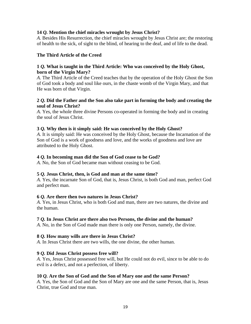## <span id="page-18-0"></span>**14** *Q.* **Mention the chief miracles wrought by Jesus Christ?**

*A.* Besides His Resurrection, the chief miracles wrought by Jesus Christ are; the restoring of health to the sick, of sight to the blind, of hearing to the deaf, and of life to the dead.

## **The Third Article of the Creed**

## **1** *Q.* **What is taught in the Third Article: Who was conceived by the Holy Ghost, born of the Virgin Mary?**

*A.* The Third Article of the Creed teaches that by the operation of the Holy Ghost the Son of God took a body and soul like ours, in the chaste womb of the Virgin Mary, and that He was born of that Virgin.

## **2** *Q.* **Did the Father and the Son also take part in forming the body and creating the soul of Jesus Christ?**

*A.* Yes, the whole three divine Persons co-operated in forming the body and in creating the soul of Jesus Christ.

## **3** *Q.* **Why then is it simply said: He was conceived by the Holy Ghost?**

*A.* It is simply said: He was conceived by the Holy Ghost, because the Incarnation of the Son of God is a work of goodness and love, and the works of goodness and love are attributed to the Holy Ghost.

## **4** *Q.* **In becoming man did the Son of God cease to be God?**

*A.* No, the Son of God became man without ceasing to be God.

## **5** *Q.* **Jesus Christ, then, is God and man at the same time?**

*A.* Yes, the incarnate Son of God, that is, Jesus Christ, is both God and man, perfect God and perfect man.

## **6** *Q.* **Are there then two natures in Jesus Christ?**

*A.* Yes, in Jesus Christ, who is both God and man, there are two natures, the divine and the human.

#### **7** *Q.* **In Jesus Christ are there also two Persons, the divine and the human?**

*A.* No, in the Son of God made man there is only one Person, namely, the divine.

## **8** *Q.* **How many wills are there in Jesus Christ?**

*A.* In Jesus Christ there are two wills, the one divine, the other human.

## **9** *Q.* **Did Jesus Christ possess free will?**

*A.* Yes, Jesus Christ possessed free will, but He could not do evil, since to be able to do evil is a defect, and not a perfection, of liberty.

## **10** *Q.* **Are the Son of God and the Son of Mary one and the same Person?**

*A.* Yes, the Son of God and the Son of Mary are one and the same Person, that is, Jesus Christ, true God and true man.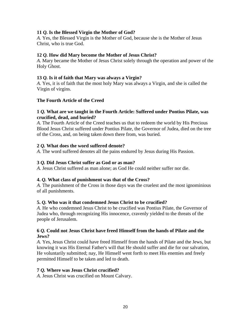## <span id="page-19-0"></span>**11** *Q.* **Is the Blessed Virgin the Mother of God?**

*A.* Yes, the Blessed Virgin is the Mother of God, because she is the Mother of Jesus Christ, who is true God.

#### **12** *Q.* **How did Mary become the Mother of Jesus Christ?**

*A.* Mary became the Mother of Jesus Christ solely through the operation and power of the Holy Ghost.

#### **13** *Q.* **Is it of faith that Mary was always a Virgin?**

*A.* Yes, it is of faith that the most holy Mary was always a Virgin, and she is called the Virgin of virgins.

#### **The Fourth Article of the Creed**

#### **1** *Q.* **What are we taught in the Fourth Article: Suffered under Pontius Pilate, was crucified, dead, and buried?**

*A.* The Fourth Article of the Creed teaches us that to redeem the world by His Precious Blood Jesus Christ suffered under Pontius Pilate, the Governor of Judea, died on the tree of the Cross, and, on being taken down there from, was buried.

#### **2** *Q.* **What does the word suffered denote?**

*A.* The word suffered denotes all the pains endured by Jesus during His Passion.

#### **3** *Q.* **Did Jesus Christ suffer as God or as man?**

*A.* Jesus Christ suffered as man alone; as God He could neither suffer nor die.

#### **4.** *Q.* **What class of punishment was that of the Cross?**

*A.* The punishment of the Cross in those days was the cruelest and the most ignominious of all punishments.

#### **5.** *Q.* **Who was it that condemned Jesus Christ to be crucified?**

*A.* He who condemned Jesus Christ to be crucified was Pontius Pilate, the Governor of Judea who, through recognizing His innocence, cravenly yielded to the threats of the people of Jerusalem.

#### **6** *Q.* **Could not Jesus Christ have freed Himself from the hands of Pilate and the Jews?**

*A.* Yes, Jesus Christ could have freed Himself from the hands of Pilate and the Jews, but knowing it was His Eternal Father's will that He should suffer and die for our salvation, He voluntarily submitted; nay, He Himself went forth to meet His enemies and freely permitted Himself to be taken and led to death.

#### **7** *Q.* **Where was Jesus Christ crucified?**

*A.* Jesus Christ was crucified on Mount Calvary.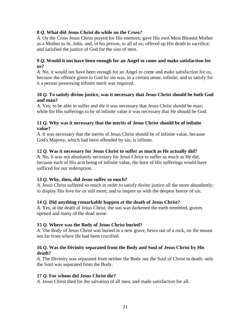## **8** *Q.* **What did Jesus Christ do while on the Cross?**

*A.* On the Cross Jesus Christ prayed for His enemies; gave His own Most Blessed Mother as a Mother to St. John, and, in his person, to all of us; offered up His death in sacrifice; and satisfied the justice of God for the sins of men.

#### **9** *Q.* **Would it not have been enough for an Angel to come and make satisfaction for us?**

*A.* No, it would not have been enough for an Angel to come and make satisfaction for us, because the offence given to God by sin was, in a certain sense, infinite, and to satisfy for it a person possessing infinite merit was required.

#### **10** *Q.* **To satisfy divine justice, was it necessary that Jesus Christ should be both God and man?**

*A.* Yes; to be able to suffer and die it was necessary that Jesus Christ should be man; while for His sufferings to be of infinite value it was necessary that He should be God.

## **11** *Q.* **Why was it necessary that the merits of Jesus Christ should be of infinite value?**

*A.* It was necessary that the merits of Jesus Christ should be of infinite value, because God's Majesty, which had been offended by sin, is infinite.

## **12** *Q.* **Was it necessary for Jesus Christ to suffer as much as He actually did?**

*A.* No, it was not absolutely necessary for Jesus Christ to suffer as much as He did, because each of His acts being of infinite value, the least of His sufferings would have sufficed for our redemption.

## **13** *Q.* **Why, then, did Jesus suffer so much?**

*A.* Jesus Christ suffered so much in order to satisfy divine justice all the more abundantly; to display His love for us still more; and to inspire us with the deepest horror of sin.

#### **14** *Q.* **Did anything remarkable happen at the death of Jesus Christ?**

*A.* Yes, at the death of Jesus Christ, the sun was darkened the earth trembled, graves opened and many of the dead arose.

## **15** *Q.* **Where was the Body of Jesus Christ buried?**

*A.* The Body of Jesus Christ was buried in a new grave, hewn out of a rock, on the mount not far from where He had been crucified.

## **16** *Q.* **Was the Divinity separated from the Body and Soul of Jesus Christ by His death?**

*A.* The Divinity was separated from neither the Body nor the Soul of Christ in death; only the Soul was separated from the Body.

## **17** *Q.* **For whom did Jesus Christ die?**

*A.* Jesus Christ died for the salvation of all men, and made satisfaction for all.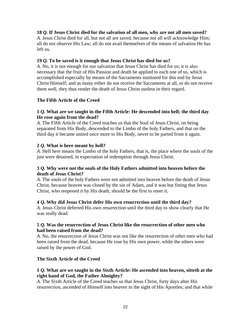## <span id="page-21-0"></span>**18** *Q.* **If Jesus Christ died for the salvation of all men, why are not all men saved?**

*A.* Jesus Christ died for all, but not all are saved, because not all will acknowledge Him; all do not observe His Law; all do not avail themselves of the means of salvation He has left us.

#### **19** *Q.* **To be saved is it enough that Jesus Christ has died for us?**

*A.* No, it is not enough for our salvation that Jesus Christ has died for us; it is also necessary that the fruit of His Passion and death be applied to each one of us, which is accomplished especially by means of the Sacraments instituted for this end by Jesus Christ Himself; and as many either do not receive the Sacraments at all, or do not receive them well, they thus render the death of Jesus Christ useless in their regard.

## **The Fifth Article of the Creed**

## **1** *Q.* **What are we taught in the Fifth Article: He descended into hell; the third day He rose again from the dead?**

*A.* The Fifth Article of the Creed teaches us that the Soul of Jesus Christ, on being separated from His Body, descended to the Limbo of the holy Fathers, and that on the third day it became united once more to His Body, never to be parted from it again.

#### **2** *Q.* **What is here meant by hell?**

*A.* Hell here means the Limbo of the holy Fathers, that is, the place where the souls of the just were detained, in expectation of redemption through Jesus Christ.

## **3** *Q.* **Why were not the souls of the Holy Fathers admitted into heaven before the death of Jesus Christ?**

*A.* The souls of the holy Fathers were not admitted into heaven before the death of Jesus Christ, because heaven was closed by the sin of Adam, and it was but fitting that Jesus Christ, who reopened it by His death, should be the first to enter it.

#### **4** *Q.* **Why did Jesus Christ defer His own resurrection until the third day?**

*A.* Jesus Christ deferred His own resurrection until the third day to show clearly that He was really dead.

## **5** *Q.* **Was the resurrection of Jesus Christ like the resurrection of other men who had been raised from the dead?**

*A.* No, the resurrection of Jesus Christ was not like the resurrection of other men who had been raised from the dead, because He rose by His own power, while the others were raised by the power of God.

#### **The Sixth Article of the Creed**

## **1** *Q.* **What are we taught in the Sixth Article: He ascended into heaven, sitteth at the right hand of God, the Father Almighty?**

*A.* The Sixth Article of the Creed teaches us that Jesus Christ, forty days after His resurrection, ascended of Himself into heaven in the sight of His Apostles; and that while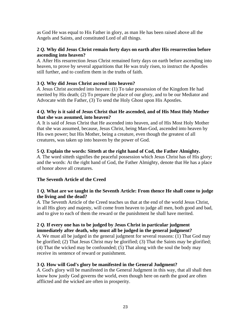<span id="page-22-0"></span>as God He was equal to His Father in glory, as man He has been raised above all the Angels and Saints, and constituted Lord of all things.

## **2** *Q.* **Why did Jesus Christ remain forty days on earth after His resurrection before ascending into heaven?**

*A.* After His resurrection Jesus Christ remained forty days on earth before ascending into heaven, to prove by several apparitions that He was truly risen, to instruct the Apostles still further, and to confirm them in the truths of faith.

# **3** *Q.* **Why did Jesus Christ ascend into heaven?**

*A.* Jesus Christ ascended into heaven: (1) To take possession of the Kingdom He had merited by His death; (2) To prepare the place of our glory, and to be our Mediator and Advocate with the Father, (3) To send the Holy Ghost upon His Apostles.

## **4** *Q.* **Why is it said of Jesus Christ that He ascended, and of His Most Holy Mother that she was assumed, into heaven?**

*A.* It is said of Jesus Christ that He ascended into heaven, and of His Most Holy Mother that she was assumed, because, Jesus Christ, being Man-God, ascended into heaven by His own power; but His Mother, being a creature, even though the greatest of all creatures, was taken up into heaven by the power of God.

# **5** *Q.* **Explain the words: Sitteth at the right hand of Cod, the Father Almighty.**

*A.* The word sitteth signifies the peaceful possession which Jesus Christ has of His glory; and the words: At the right hand of God, the Father Almighty, denote that He has a place of honor above all creatures.

## **The Seventh Article of the Creed**

## **1** *Q.* **What are we taught in the Seventh Article: From thence He shall come to judge the living and the dead?**

*A.* The Seventh Article of the Creed teaches us that at the end of the world Jesus Christ, in all His glory and majesty, will come from heaven to judge all men, both good and bad, and to give to each of them the reward or the punishment he shall have merited.

# **2** *Q.* **If every one has to be judged by Jesus Christ in particular judgment immediately after death, why must all be judged in the general judgment?**

*A.* We must all be judged in the general judgment for several reasons: (1) That God may be glorified; (2) That Jesus Christ may be glorified; (3) That the Saints may be glorified; (4) That the wicked may be confounded; (5) That along with the soul the body may receive its sentence of reward or punishment.

## **3** *Q.* **How will God's glory be manifested in the General Judgment?**

*A.* God's glory will be manifested in the General Judgment in this way, that all shall then know how justly God governs the world, even though here on earth the good are often afflicted and the wicked are often in prosperity.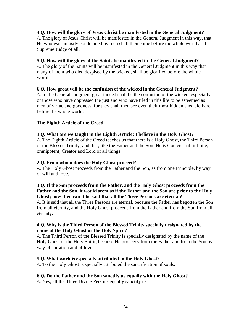## <span id="page-23-0"></span>**4** *Q.* **How will the glory of Jesus Christ be manifested in the General Judgment?**

*A.* The glory of Jesus Christ will be manifested in the General Judgment in this way, that He who was unjustly condemned by men shall then come before the whole world as the Supreme Judge of all.

## **5** *Q.* **How will the glory of the Saints be manifested in the General Judgment?**

*A.* The glory of the Saints will be manifested in the General Judgment in this way that many of them who died despised by the wicked, shall be glorified before the whole world.

## **6** *Q.* **How great will be the confusion of the wicked in the General Judgment?**

*A.* In the General Judgment great indeed shall be the confusion of the wicked, especially of those who have oppressed the just and who have tried in this life to be esteemed as men of virtue and goodness; for they shall then see even their most hidden sins laid bare before the whole world.

## **The Eighth Article of the Creed**

#### **1** *Q.* **What are we taught in the Eighth Article: I believe in the Holy Ghost?**

*A.* The Eighth Article of the Creed teaches us that there is a Holy Ghost, the Third Person of the Blessed Trinity; and that, like the Father and the Son, He is God eternal, infinite, omnipotent, Creator and Lord of all things.

#### **2** *Q.* **From whom does the Holy Ghost proceed?**

*A.* The Holy Ghost proceeds from the Father and the Son, as from one Principle, by way of will and love.

## **3** *Q.* **If the Son proceeds from the Father, and the Holy Ghost proceeds from the Father and the Son, it would seem as if the Father and the Son are prior to the Holy Ghost; how then can it be said that all the Three Persons are eternal?**

*A.* It is said that all the Three Persons are eternal, because the Father has begotten the Son from all eternity, and the Holy Ghost proceeds from the Father and from the Son from all eternity.

## **4** *Q.* **Why is the Third Person of the Blessed Trinity specially designated by the name of the Holy Ghost or the Holy Spirit?**

*A.* The Third Person of the Blessed Trinity is specially designated by the name of the Holy Ghost or the Holy Spirit, because He proceeds from the Father and from the Son by way of spiration and of love.

## **5** *Q.* **What work is especially attributed to the Holy Ghost?**

*A.* To the Holy Ghost is specially attributed the sanctification of souls.

#### **6** *Q.* **Do the Father and the Son sanctify us equally with the Holy Ghost?**

*A.* Yes, all the Three Divine Persons equally sanctify us.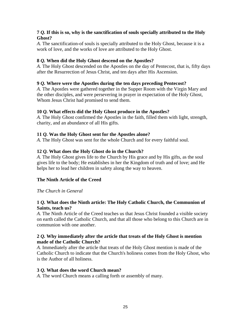## <span id="page-24-0"></span>**7** *Q.* **If this is so, why is the sanctification of souls specially attributed to the Holy Ghost?**

*A.* The sanctification-of souls is specially attributed to the Holy Ghost, because it is a work of love, and the works of love are attributed to the Holy Ghost.

## **8** *Q.* **When did the Holy Ghost descend on the Apostles?**

*A.* The Holy Ghost descended on the Apostles on the day of Pentecost, that is, fifty days after the Resurrection of Jesus Christ, and ten days after His Ascension.

## **9** *Q.* **Where were the Apostles during the ten days preceding Pentecost?**

*A.* The Apostles were gathered together in the Supper Room with the Virgin Mary and the other disciples, and were persevering in prayer in expectation of the Holy Ghost, Whom Jesus Christ had promised to send them.

## **10** *Q.* **What effects did the Holy Ghost produce in the Apostles?**

*A.* The Holy Ghost confirmed the Apostles in the faith, filled them with light, strength, charity, and an abundance of all His gifts.

# **11** *Q.* **Was the Holy Ghost sent for the Apostles alone?**

*A.* The Holy Ghost was sent for the whole Church and for every faithful soul.

# **12** *Q.* **What does the Holy Ghost do in the Church?**

*A.* The Holy Ghost gives life to the Church by His grace and by His gifts, as the soul gives life to the body; He establishes in her the Kingdom of truth and of love; and He helps her to lead her children in safety along the way to heaven.

# **The Ninth Article of the Creed**

## *The Church in General*

## **1** *Q.* **What does the Ninth article: The Holy Catholic Church, the Communion of Saints, teach us?**

*A.* The Ninth Article of the Creed teaches us that Jesus Christ founded a visible society on earth called the Catholic Church, and that all those who belong to this Church are in communion with one another.

## **2** *Q.* **Why immediately after the article that treats of the Holy Ghost is mention made of the Catholic Church?**

*A.* Immediately after the article that treats of the Holy Ghost mention is made of the Catholic Church to indicate that the Church's holiness comes from the Holy Ghost, who is the Author of all holiness.

## **3** *Q.* **What does the word Church mean?**

*A.* The word Church means a calling forth or assembly of many.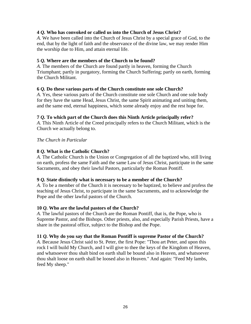## <span id="page-25-0"></span>**4** *Q.* **Who has convoked or called us into the Church of Jesus Christ?**

*A.* We have been called into the Church of Jesus Christ by a special grace of God, to the end, that by the light of faith and the observance of the divine law, we may render Him the worship due to Him, and attain eternal life.

## **5** *Q.* **Where are the members of the Church to be found?**

*A.* The members of the Church are found partly in heaven, forming the Church Triumphant; partly in purgatory, forming the Church Suffering; partly on earth, forming the Church Militant.

## **6** *Q.* **Do these various parts of the Church constitute one sole Church?**

*A.* Yes, these various parts of the Church constitute one sole Church and one sole body for they have the same Head, Jesus Christ, the same Spirit animating and uniting them, and the same end, eternal happiness, which some already enjoy and the rest hope for.

## **7** *Q.* **To which part of the Church does this Ninth Article principally refer?**

*A.* This Ninth Article of the Creed principally refers to the Church Militant, which is the Church we actually belong to.

## *The Church in Particular*

## **8** *Q.* **What is the Catholic Church?**

*A.* The Catholic Church is the Union or Congregation of all the baptized who, still living on earth, profess the same Faith and the same Law of Jesus Christ, participate in the same Sacraments, and obey their lawful Pastors, particularly the Roman Pontiff.

#### **9** *Q.* **State distinctly what is necessary to be a member of the Church?**

*A.* To be a member of the Church it is necessary to be baptized, to believe and profess the teaching of Jesus Christ, to participate in the same Sacraments, and to acknowledge the Pope and the other lawful pastors of the Church.

#### **10** *Q.* **Who are the lawful pastors of the Church?**

*A.* The lawful pastors of the Church are the Roman Pontiff, that is, the Pope, who is Supreme Pastor, and the Bishops. Other priests, also, and especially Parish Priests, have a share in the pastoral office, subject to the Bishop and the Pope.

#### **11** *Q.* **Why do you say that the Roman Pontiff is supreme Pastor of the Church?**

*A.* Because Jesus Christ said to St. Peter, the first Pope: "Thou art Peter, and upon this rock I will build My Church, and I will give to thee the keys of the Kingdom of Heaven, and whatsoever thou shalt bind on earth shall be bound also in Heaven, and whatsoever thou shalt loose on earth shall be loosed also in Heaven." And again: "Feed My lambs, feed My sheep."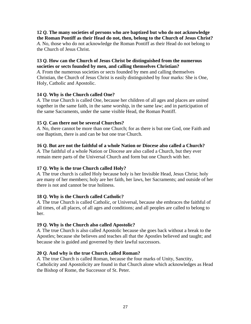## **12** *Q.* **The many societies of persons who are baptized but who do not acknowledge the Roman Pontiff as their Head do not, then, belong to the Church of Jesus Christ?**

*A.* No, those who do not acknowledge the Roman Pontiff as their Head do not belong to the Church of Jesus Christ.

## **13** *Q.* **How can the Church of Jesus Christ be distinguished from the numerous societies or sects founded by men, and calling themselves Christian?**

*A.* From the numerous societies or sects founded by men and calling themselves Christian, the Church of Jesus Christ is easily distinguished by four marks: She is One, Holy, Catholic and Apostolic.

# **14** *Q.* **Why is the Church called One?**

*A.* The true Church is called One, because her children of all ages and places are united together in the same faith, in the same worship, in the same law; and in participation of the same Sacraments, under the same visible Head, the Roman Pontiff.

# **15** *Q.* **Can there not be several Churches?**

*A.* No, there cannot be more than one Church; for as there is but one God, one Faith and one Baptism, there is and can be but one true Church.

# **16** *Q.* **But are not the faithful of a whole Nation or Diocese also called a Church?**

*A.* The faithful of a whole Nation or Diocese are also called a Church, but they ever remain mere parts of the Universal Church and form but one Church with her.

# **17** *Q.* **Why is the true Church called Holy?**

*A.* The true church is called Holy because holy is her Invisible Head, Jesus Christ; holy are many of her members; holy are her faith, her laws, her Sacraments; and outside of her there is not and cannot be true holiness.

# **18** *Q.* **Why is the Church called Catholic?**

*A.* The true Church is called Catholic, or Universal, because she embraces the faithful of all times, of all places, of all ages and conditions; and all peoples are called to belong to her.

# **19** *Q.* **Why is the Church also called Apostolic?**

*A.* The true Church is also called Apostolic because she goes back without a break to the Apostles; because she believes and teaches all that the Apostles believed and taught; and because she is guided and governed by their lawful successors.

# **20** *Q.* **And why is the true Church called Roman?**

*A.* The true Church is called Roman, because the four marks of Unity, Sanctity, Catholicity and Apostolicity are found in that Church alone which acknowledges as Head the Bishop of Rome, the Successor of St. Peter.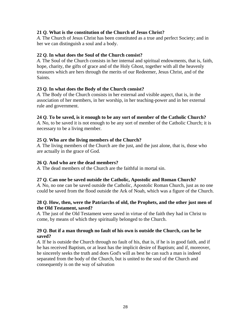## **21** *Q.* **What is the constitution of the Church of Jesus Christ?**

*A.* The Church of Jesus Christ has been constituted as a true and perfect Society; and in her we can distinguish a soul and a body.

## **22** *Q.* **In what does the Soul of the Church consist?**

*A.* The Soul of the Church consists in her internal and spiritual endowments, that is, faith, hope, charity, the gifts of grace and of the Holy Ghost, together with all the heavenly treasures which are hers through the merits of our Redeemer, Jesus Christ, and of the Saints.

# **23** *Q.* **In what does the Body of the Church consist?**

*A.* The Body of the Church consists in her external and visible aspect, that is, in the association of her members, in her worship, in her teaching-power and in her external rule and government.

# **24** *Q.* **To be saved, is it enough to be any sort of member of the Catholic Church?**

*A.* No, to be saved it is not enough to be any sort of member of the Catholic Church; it is necessary to be a living member.

# **25** *Q.* **Who are the living members of the Church?**

*A.* The living members of the Church are the just, and the just alone, that is, those who are actually in the grace of God.

## **26** *Q.* **And who are the dead members?**

*A.* The dead members of the Church are the faithful in mortal sin.

## **27** *Q.* **Can one be saved outside the Catholic, Apostolic and Roman Church?**

*A.* No, no one can be saved outside the Catholic, Apostolic Roman Church, just as no one could be saved from the flood outside the Ark of Noah, which was a figure of the Church.

## **28** *Q.* **How, then, were the Patriarchs of old, the Prophets, and the other just men of the Old Testament, saved?**

*A.* The just of the Old Testament were saved in virtue of the faith they had in Christ to come, by means of which they spiritually belonged to the Church.

## **29** *Q.* **But if a man through no fault of his own is outside the Church, can he be saved?**

*A.* If he is outside the Church through no fault of his, that is, if he is in good faith, and if he has received Baptism, or at least has the implicit desire of Baptism; and if, moreover, he sincerely seeks the truth and does God's will as best he can such a man is indeed separated from the body of the Church, but is united to the soul of the Church and consequently is on the way of salvation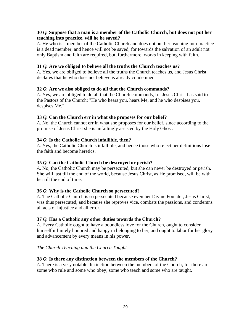## <span id="page-28-0"></span>**30** *Q.* **Suppose that a man is a member of the Catholic Church, but does not put her teaching into practice, will he be saved?**

*A.* He who is a member of the Catholic Church and does not put her teaching into practice is a dead member, and hence will not be saved; for towards the salvation of an adult not only Baptism and faith are required, but, furthermore, works in keeping with faith.

## **31** *Q.* **Are we obliged to believe all the truths the Church teaches us?**

*A.* Yes, we are obliged to believe all the truths the Church teaches us, and Jesus Christ declares that he who does not believe is already condemned.

## **32** *Q.* **Are we also obliged to do all that the Church commands?**

*A.* Yes, we are obliged to do all that the Church commands, for Jesus Christ has said to the Pastors of the Church: "He who hears you, hears Me, and he who despises you, despises Me."

## **33** *Q.* **Can the Church err in what she proposes for our belief?**

*A.* No, the Church cannot err in what she proposes for our belief, since according to the promise of Jesus Christ she is unfailingly assisted by the Holy Ghost.

## **34** *Q.* **Is the Catholic Church infallible, then?**

*A.* Yes, the Catholic Church is infallible, and hence those who reject her definitions lose the faith and become heretics.

#### **35** *Q.* **Can the Catholic Church be destroyed or perish?**

*A.* No; the Catholic Church may be persecuted, but she can never be destroyed or perish. She will last till the end of the world, because Jesus Christ, as He promised, will be with her till the end of time.

## **36** *Q.* **Why is the Catholic Church so persecuted?**

*A.* The Catholic Church is so persecuted because even her Divine Founder, Jesus Christ, was thus persecuted, and because she reproves vice, combats the passions, and condemns all acts of injustice and all error.

## **37** *Q.* **Has a Catholic any other duties towards the Church?**

*A.* Every Catholic ought to have a boundless love for the Church, ought to consider himself infinitely honored and happy in belonging to her, and ought to labor for her glory and advancement by every means in his power.

#### *The Church Teaching and the Church Taught*

#### **38** *Q.* **Is there any distinction between the members of the Church?**

*A.* There is a very notable distinction between the members of the Church; for there are some who rule and some who obey; some who teach and some who are taught.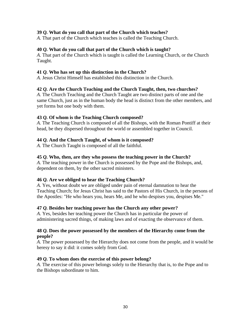## **39** *Q.* **What do you call that part of the Church which teaches?**

*A.* That part of the Church which teaches is called the Teaching Church.

## **40** *Q.* **What do you call that part of the Church which is taught?**

*A.* That part of the Church which is taught is called the Learning Church, or the Church Taught.

## **41** *Q.* **Who has set up this distinction in the Church?**

*A.* Jesus Christ Himself has established this distinction in the Church.

## **42** *Q.* **Are the Church Teaching and the Church Taught, then, two churches?**

*A.* The Church Teaching and the Church Taught are two distinct parts of one and the same Church, just as in the human body the head is distinct from the other members, and yet forms but one body with them.

## **43** *Q.* **Of whom is the Teaching Church composed?**

*A.* The Teaching Church is composed of all the Bishops, with the Roman Pontiff at their head, be they dispersed throughout the world or assembled together in Council.

## **44** *Q.* **And the Church Taught, of whom is it composed?**

*A.* The Church Taught is composed of all the faithful.

## **45** *Q.* **Who, then, are they who possess the teaching power in the Church?**

*A.* The teaching power in the Church is possessed by the Pope and the Bishops, and, dependent on them, by the other sacred ministers.

#### **46** *Q.* **Are we obliged to hear the Teaching Church?**

*A.* Yes, without doubt we are obliged under pain of eternal damnation to hear the Teaching Church; for Jesus Christ has said to the Pastors of His Church, in the persons of the Apostles: "He who hears you, hears Me, and he who despises you, despises Me."

#### **47** *Q.* **Besides her teaching power has the Church any other power?**

*A.* Yes, besides her teaching power the Church has in particular the power of administering sacred things, of making laws and of exacting the observance of them.

## **48** *Q.* **Does the power possessed by the members of the Hierarchy come from the people?**

*A.* The power possessed by the Hierarchy does not come from the people, and it would be heresy to say it did: it comes solely from God.

#### **49** *Q.* **To whom does the exercise of this power belong?**

*A.* The exercise of this power belongs solely to the Hierarchy that is, to the Pope and to the Bishops subordinate to him.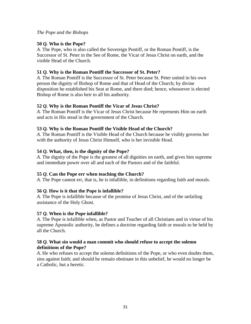#### <span id="page-30-0"></span>*The Pope and the Bishops*

## **50** *Q.* **Who is the Pope?**

*A.* The Pope, who is also called the Sovereign Pontiff, or the Roman Pontiff, is the Successor of St. Peter in the See of Rome, the Vicar of Jesus Christ on earth, and the visible Head of the Church.

## **51** *Q.* **Why is the Roman Pontiff the Successor of St. Peter?**

*A.* The Roman Pontiff is the Successor of St. Peter because St. Peter united in his own person the dignity of Bishop of Rome and that of Head of the Church; by divine disposition he established his Seat at Rome, and there died; hence, whosoever is elected Bishop of Rome is also heir to all his authority.

# **52** *Q.* **Why is the Roman Pontiff the Vicar of Jesus Christ?**

*A.* The Roman Pontiff is the Vicar of Jesus Christ because He represents Him on earth and acts in His stead in the government of the Church.

# **53** *Q.* **Why is the Roman Pontiff the Visible Head of the Church?**

*A.* The Roman Pontiff is the Visible Head of the Church because he visibly governs her with the authority of Jesus Christ Himself, who is her invisible Head.

# **54** *Q.* **What, then, is the dignity of the Pope?**

*A.* The dignity of the Pope is the greatest of all dignities on earth, and gives him supreme and immediate power over all and each of the Pastors and of the faithful.

# **55** *Q.* **Can the Pope err when teaching the Church?**

*A.* The Pope cannot err, that is, he is infallible, in definitions regarding faith and morals.

# **56** *Q.* **How is it that the Pope is infallible?**

*A.* The Pope is infallible because of the promise of Jesus Christ, and of the unfailing assistance of the Holy Ghost.

## **57** *Q.* **When is the Pope infallible?**

*A*. The Pope is infallible when, as Pastor and Teacher of all Christians and in virtue of his supreme Apostolic authority, he defines a doctrine regarding faith or morals to be held by all the Church.

## **58** *Q.* **What sin would a man commit who should refuse to accept the solemn definitions of the Pope?**

*A.* He who refuses to accept the solemn definitions of the Pope, or who even doubts them, sins against faith; and should he remain obstinate in this unbelief, he would no longer be a Catholic, but a heretic.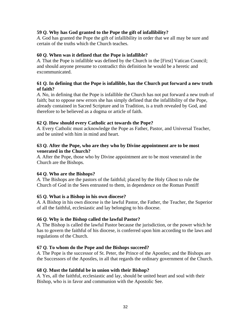## **59** *Q.* **Why has God granted to the Pope the gift of infallibility?**

*A.* God has granted the Pope the gift of infallibility in order that we all may be sure and certain of the truths which the Church teaches.

# **60** *Q.* **When was it defined that the Pope is infallible?**

*A.* That the Pope is infallible was defined by the Church in the [First] Vatican Council; and should anyone presume to contradict this definition he would be a heretic and excommunicated.

## **61** *Q.* **In defining that the Pope is infallible, has the Church put forward a new truth of faith?**

*A.* No, in defining that the Pope is infallible the Church has not put forward a new truth of faith; but to oppose new errors she has simply defined that the infallibility of the Pope, already contained in Sacred Scripture and in Tradition, is a truth revealed by God, and therefore to be believed as a dogma or article of faith.

# **62** *Q.* **How should every Catholic act towards the Pope?**

*A.* Every Catholic must acknowledge the Pope as Father, Pastor, and Universal Teacher, and be united with him in mind and heart.

## **63** *Q.* **After the Pope, who are they who by Divine appointment are to be most venerated in the Church?**

*A.* After the Pope, those who by Divine appointment are to be most venerated in the Church are the Bishops.

## **64** *Q.* **Who are the Bishops?**

*A.* The Bishops are the pastors of the faithful; placed by the Holy Ghost to rule the Church of God in the Sees entrusted to them, in dependence on the Roman Pontiff

## **65** *Q.* **What is a Bishop in his own diocese?**

*A.* A Bishop in his own diocese is the lawful Pastor, the Father, the Teacher, the Superior of all the faithful, ecclesiastic and lay belonging to his diocese.

# **66** *Q.* **Why is the Bishop called the lawful Pastor?**

*A.* The Bishop is called the lawful Pastor because the jurisdiction, or the power which he has to govern the faithful of his diocese, is conferred upon him according to the laws and regulations of the Church.

## **67** *Q.* **To whom do the Pope and the Bishops succeed?**

*A.* The Pope is the successor of St. Peter, the Prince of the Apostles; and the Bishops are the Successors of the Apostles, in all that regards the ordinary government of the Church.

# **68** *Q.* **Must the faithful be in union with their Bishop?**

*A.* Yes, all the faithful, ecclesiastic and lay, should be united heart and soul with their Bishop, who is in favor and communion with the Apostolic See.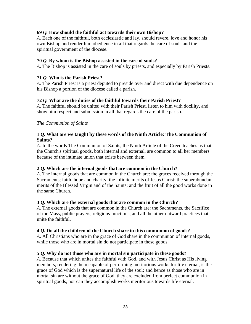## <span id="page-32-0"></span>**69** *Q.* **How should the faithful act towards their own Bishop?**

*A.* Each one of the faithful, both ecclesiastic and lay, should revere, love and honor his own Bishop and render him obedience in all that regards the care of souls and the spiritual government of the diocese.

#### **70** *Q.* **By whom is the Bishop assisted in the care of souls?**

*A.* The Bishop is assisted in the care of souls by priests, and especially by Parish Priests.

## **71** *Q.* **Who is the Parish Priest?**

*A.* The Parish Priest is a priest deputed to preside over and direct with due dependence on his Bishop a portion of the diocese called a parish.

## **72** *Q.* **What are the duties of the faithful towards their Parish Priest?**

*A.* The faithful should be united with their Parish Priest, listen to him with docility, and show him respect and submission in all that regards the care of the parish.

## *The Communion of Saints*

## **1** *Q.* **What are we taught by these words of the Ninth Article: The Communion of Saints?**

*A.* In the words The Communion of Saints, the Ninth Article of the Creed teaches us that the Church's spiritual goods, both internal and external, are common to all her members because of the intimate union that exists between them.

#### **2** *Q.* **Which are the internal goods that are common in the Church?**

*A.* The internal goods that are common in the Church are: the graces received through the Sacraments; faith, hope and charity; the infinite merits of Jesus Christ; the superabundant merits of the Blessed Virgin and of the Saints; and the fruit of all the good works done in the same Church.

#### **3** *Q.* **Which are the external goods that are common in the Church?**

*A.* The external goods that are common in the Church are: the Sacraments, the Sacrifice of the Mass, public prayers, religious functions, and all the other outward practices that unite the faithful.

#### **4** *Q.* **Do all the children of the Church share in this communion of goods?**

*A.* All Christians who are in the grace of God share in the communion of internal goods, while those who are in mortal sin do not participate in these goods.

#### **5** *Q.* **Why do not those who are in mortal sin participate in these goods?**

*A.* Because that which unites the faithful with God, and with Jesus Christ as His living members, rendering them capable of performing meritorious works for life eternal, is the grace of God which is the supernatural life of the soul; and hence as those who are in mortal sin are without the grace of God, they are excluded from perfect communion in spiritual goods, nor can they accomplish works meritorious towards life eternal.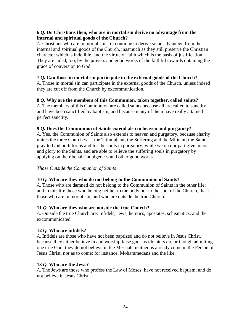## <span id="page-33-0"></span>**6** *Q.* **Do Christians then, who are in mortal sin derive no advantage from the internal and spiritual goods of the Church?**

*A.* Christians who are in mortal sin still continue to derive some advantage from the internal and spiritual goods of the Church, inasmuch as they still preserve the Christian character which is indelible, and the virtue of faith which is the basis of justification. They are aided, too, by the prayers and good works of the faithful towards obtaining the grace of conversion to God.

## **7** *Q.* **Can those in mortal sin participate in the external goods of the Church?**

*A.* Those in mortal sin can participate in the external goods of the Church, unless indeed they are cut off from the Church by excommunication.

# **8** *Q.* **Why are the members of this Communion, taken together, called saints?**

*A.* The members of this Communion are called saints because all are called to sanctity and have been sanctified by baptism, and because many of them have really attained perfect sanctity.

# **9** *Q.* **Does the Communion of Saints extend also to heaven and purgatory?**

*A.* Yes, the Communion of Saints also extends to heaven and purgatory, because charity unites the three Churches — the Triumphant, the Suffering and the Militant; the Saints pray to God both for us and for the souls in purgatory; while we on our part give honor and glory to the Saints, and are able to relieve the suffering souls in purgatory by applying on their behalf indulgences and other good works.

## *Those Outside the Communion of Saints*

# **10** *Q.* **Who are they who do not belong to the Communion of Saints?**

*A.* Those who are damned do not belong to the Communion of Saints in the other life; and in this life those who belong neither to the body nor to the soul of the Church, that is, those who are in mortal sin, and who are outside the true Church.

## **11** *Q.* **Who are they who are outside the true Church?**

*A.* Outside the true Church are: Infidels, Jews, heretics, apostates, schismatics, and the excommunicated.

## **12** *Q.* **Who are infidels?**

*A.* Infidels are those who have not been baptized and do not believe in Jesus Christ, because they either believe in and worship false gods as idolaters do, or though admitting one true God, they do not believe in the Messiah, neither as already come in the Person of Jesus Christ, nor as to come; for instance, Mohammedans and the like.

## **13** *Q.* **Who are the Jews?**

*A.* The Jews are those who profess the Law of Moses; have not received baptism; and do not believe in Jesus Christ.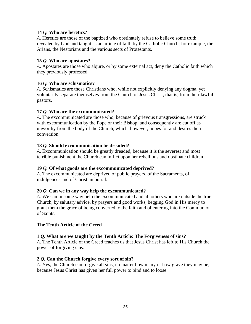## <span id="page-34-0"></span>**14** *Q.* **Who are heretics?**

*A.* Heretics are those of the baptized who obstinately refuse to believe some truth revealed by God and taught as an article of faith by the Catholic Church; for example, the Arians, the Nestorians and the various sects of Protestants.

## **15** *Q.* **Who are apostates?**

*A.* Apostates are those who abjure, or by some external act, deny the Catholic faith which they previously professed.

## **16** *Q.* **Who are schismatics?**

*A.* Schismatics are those Christians who, while not explicitly denying any dogma, yet voluntarily separate themselves from the Church of Jesus Christ, that is, from their lawful pastors.

## **17** *Q.* **Who are the excommunicated?**

*A.* The excommunicated are those who, because of grievous transgressions, are struck with excommunication by the Pope or their Bishop, and consequently are cut off as unworthy from the body of the Church, which, however, hopes for and desires their conversion.

## **18** *Q.* **Should excommunication be dreaded?**

*A.* Excommunication should be greatly dreaded, because it is the severest and most terrible punishment the Church can inflict upon her rebellious and obstinate children.

## **19** *Q.* **Of what goods are the excommunicated deprived?**

*A.* The excommunicated are deprived of public prayers, of the Sacraments, of indulgences and of Christian burial.

## **20** *Q.* **Can we in any way help the excommunicated?**

*A.* We can in some way help the excommunicated and all others who are outside the true Church, by salutary advice, by prayers and good works, begging God in His mercy to grant them the grace of being converted to the faith and of entering into the Communion of Saints.

## **The Tenth Article of the Creed**

## **1** *Q.* **What are we taught by the Tenth Article: The Forgiveness of sins?**

*A.* The Tenth Article of the Creed teaches us that Jesus Christ has left to His Church the power of forgiving sins.

## **2** *Q.* **Can the Church forgive every sort of sin?**

*A.* Yes, the Church can forgive all sins, no matter how many or how grave they may be, because Jesus Christ has given her full power to bind and to loose.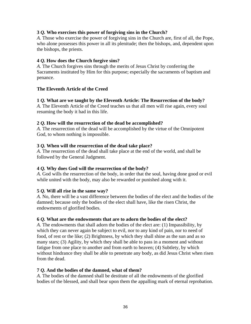## <span id="page-35-0"></span>**3** *Q.* **Who exercises this power of forgiving sins in the Church?**

*A.* Those who exercise the power of forgiving sins in the Church are, first of all, the Pope, who alone possesses this power in all its plenitude; then the bishops, and, dependent upon the bishops, the priests.

## **4** *Q.* **How does the Church forgive sins?**

*A.* The Church forgives sins through the merits of Jesus Christ by conferring the Sacraments instituted by Him for this purpose; especially the sacraments of baptism and penance.

# **The Eleventh Article of the Creed**

# **1** *Q.* **What are we taught by the Eleventh Article: The Resurrection of the body?**

*A.* The Eleventh Article of the Creed teaches us that all men will rise again, every soul resuming the body it had in this life.

## **2** *Q.* **How will the resurrection of the dead be accomplished?**

*A.* The resurrection of the dead will be accomplished by the virtue of the Omnipotent God, to whom nothing is impossible.

## **3** *Q.* **When will the resurrection of the dead take place?**

*A.* The resurrection of the dead shall take place at the end of the world, and shall be followed by the General Judgment.

## **4** *Q.* **Why does God will the resurrection of the body?**

*A.* God wills the resurrection of the body, in order that the soul, having done good or evil while united with the body, may also be rewarded or punished along with it.

## **5** *Q.* **Will all rise in the same way?**

*A.* No, there will be a vast difference between the bodies of the elect and the bodies of the damned; because only the bodies of the elect shall have, like the risen Christ, the endowments of glorified bodies.

## **6** *Q.* **What are the endowments that are to adorn the bodies of the elect?**

*A.* The endowments that shall adorn the bodies of the elect are: (1) Impassibility, by which they can never again be subject to evil, nor to any kind of pain, nor to need of food, of rest or the like; (2) Brightness, by which they shall shine as the sun and as so many stars; (3) Agility, by which they shall be able to pass in a moment and without fatigue from one place to another and from earth to heaven; (4) Subtlety, by which without hindrance they shall be able to penetrate any body, as did Jesus Christ when risen from the dead.

## **7** *Q.* **And the bodies of the damned, what of them?**

*A.* The bodies of the damned shall be destitute of all the endowments of the glorified bodies of the blessed, and shall bear upon them the appalling mark of eternal reprobation.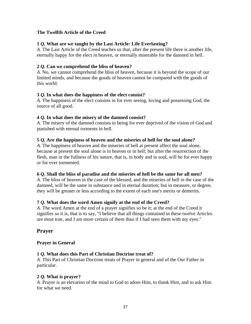# **The Twelfth Article of the Creed**

# **1** *Q.* **What are we taught by the Last Article: Life Everlasting?**

*A.* The Last Article of the Creed teaches us that, after the present life there is another life, eternally happy for the elect in heaven, or eternally miserable for the damned in hell.

# **2** *Q.* **Can we comprehend the bliss of heaven?**

*A.* No, we cannot comprehend the bliss of heaven, because it is beyond the scope of our limited minds, and because the goods of heaven cannot be compared with the goods of this world.

# **3** *Q.* **In what does the happiness of the elect consist?**

*A.* The happiness of the elect consists in for ever seeing, loving and possessing God, the source of all good.

# **4** *Q.* **In what does the misery of the damned consist?**

*A.* The misery of the damned consists in being for ever deprived of the vision of God and punished with eternal torments in hell.

# **5** *Q.* **Are the happiness of heaven and the miseries of hell for the soul alone?**

*A.* The happiness of heaven and the miseries of hell at present affect the soul alone, because at present the soul alone is in heaven or in hell; but after the resurrection of the flesh, man in the fullness of his nature, that is, in body and in soul, will be for ever happy or for ever tormented.

# **6** *Q.* **Shall the bliss of paradise and the miseries of hell be the same for all men?**

*A.* The bliss of heaven in the case of the blessed, and the miseries of hell in the case of the damned, will be the same in substance and in eternal duration; but in measure, or degree, they will be greater or less according to the extent of each one's merits or demerits.

# **7** *Q.* **What does the word Amen signify at the end of the Creed?**

*A.* The word Amen at the end of a prayer signifies so be it; at the end of the Creed it signifies so it is, that is to say, "I believe that all things contained in these twelve Articles are most true, and I am more certain of them than if I had seen them with my eyes."

# **Prayer**

# **Prayer in General**

# **1** *Q.* **What does this Part of Christian Doctrine treat of?**

*A.* This Part of Christian Doctrine treats of Prayer in general and of the Our Father in particular.

# **2** *Q.* **What is prayer?**

*A.* Prayer is an elevation of the mind to God to adore Him, to thank Him, and to ask Him for what we need.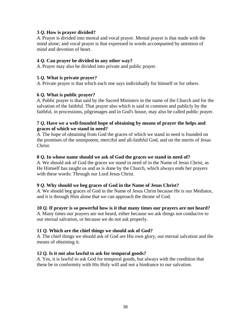## **3** *Q.* **How is prayer divided?**

*A.* Prayer is divided into mental and vocal prayer. Mental prayer is that made with the mind alone; and vocal prayer is that expressed in words accompanied by attention of mind and devotion of heart.

#### **4** *Q.* **Can prayer be divided in any other way?**

*A.* Prayer may also be divided into private and public prayer.

#### **5** *Q.* **What is private prayer?**

*A.* Private prayer is that which each one says individually for himself or for others.

#### **6** *Q.* **What is public prayer?**

*A.* Public prayer is that said by the Sacred Ministers in the name of the Church and for the salvation of the faithful. That prayer also which is said in common and publicly by the faithful, in processions, pilgrimages and in God's house, may also be called public prayer.

#### **7** *Q.* **Have we a well-founded hope of obtaining by means of prayer the helps and graces of which we stand in need?**

*A.* The hope of obtaining from God the graces of which we stand in need is founded on the promises of the omnipotent, merciful and all-faithful God, and on the merits of Jesus Christ.

#### **8** *Q.* **In whose name should we ask of God the graces we stand in need of?**

*A.* We should ask of God the graces we stand in need of in the Name of Jesus Christ, as He Himself has taught us and as is done by the Church, which always ends her prayers with these words: Through our Lord Jesus Christ.

#### **9** *Q.* **Why should we beg graces of God in the Name of Jesus Christ?**

*A.* We should beg graces of God in the Name of Jesus Christ because He is our Mediator, and it is through Him alone that we can approach the throne of God.

#### **10** *Q.* **If prayer is so powerful how is it that many times our prayers are not heard?**

*A.* Many times our prayers are not heard, either because we ask things not conducive to our eternal salvation, or because we do not ask properly.

#### **11** *Q.* **Which are the chief things we should ask of God?**

*A.* The chief things we should ask of God are His own glory, our eternal salvation and the means of obtaining it.

#### **12** *Q.* **Is it not also lawful to ask for temporal goods?**

*A.* Yes, it is lawful to ask God for temporal goods, but always with the condition that these be in conformity with His Holy will and not a hindrance to our salvation.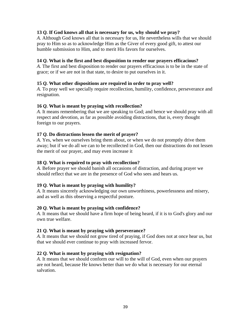### **13** *Q.* **If God knows all that is necessary for us, why should we pray?**

*A.* Although God knows all that is necessary for us, He nevertheless wills that we should pray to Him so as to acknowledge Him as the Giver of every good gift, to attest our humble submission to Him, and to merit His favors for ourselves.

### **14** *Q.* **What is the first and best disposition to render our prayers efficacious?**

*A.* The first and best disposition to render our prayers efficacious is to be in the state of grace; or if we are not in that state, to desire to put ourselves in it.

### **15** *Q.* **What other dispositions are required in order to pray well?**

*A.* To pray well we specially require recollection, humility, confidence, perseverance and resignation.

# **16** *Q.* **What is meant by praying with recollection?**

*A.* It means remembering that we are speaking to God; and hence we should pray with all respect and devotion, as far as possible avoiding distractions, that is, every thought foreign to our prayers.

### **17** *Q.* **Do distractions lessen the merit of prayer?**

*A.* Yes, when we ourselves bring them about, or when we do not promptly drive them away; but if we do all we can to be recollected in God, then our distractions do not lessen the merit of our prayer, and may even increase it

## **18** *Q.* **What is required to pray with recollection?**

*A.* Before prayer we should banish all occasions of distraction, and during prayer we should reflect that we are in the presence of God who sees and hears us.

# **19** *Q.* **What is meant by praying with humility?**

*A.* It means sincerely acknowledging our own unworthiness, powerlessness and misery, and as well as this observing a respectful posture.

#### **20** *Q.* **What is meant by praying with confidence?**

*A.* It means that we should have a firm hope of being heard, if it is to God's glory and our own true welfare.

# **21** *Q.* **What is meant by praying with perseverance?**

*A.* It means that we should not grow tired of praying, if God does not at once hear us, but that we should ever continue to pray with increased fervor.

#### **22** *Q.* **What is meant by praying with resignation?**

*A.* It means that we should conform our will to the will of God, even when our prayers are not heard, because He knows better than we do what is necessary for our eternal salvation.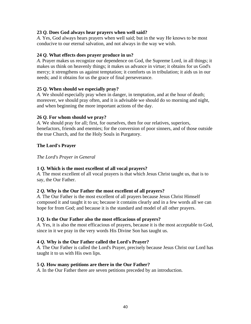# **23** *Q.* **Does God always hear prayers when well said?**

*A.* Yes, God always hears prayers when well said; but in the way He knows to be most conducive to our eternal salvation, and not always in the way we wish.

# **24** *Q.* **What effects does prayer produce in us?**

*A.* Prayer makes us recognize our dependence on God, the Supreme Lord, in all things; it makes us think on heavenly things; it makes us advance in virtue; it obtains for us God's mercy; it strengthens us against temptation; it comforts us in tribulation; it aids us in our needs; and it obtains for us the grace of final perseverance.

# **25** *Q.* **When should we especially pray?**

*A.* We should especially pray when in danger, in temptation, and at the hour of death; moreover, we should pray often, and it is advisable we should do so morning and night, and when beginning the more important actions of the day.

# **26** *Q.* **For whom should we pray?**

*A.* We should pray for all; first, for ourselves, then for our relatives, superiors, benefactors, friends and enemies; for the conversion of poor sinners, and of those outside the true Church, and for the Holy Souls in Purgatory.

# **The Lord's Prayer**

*The Lord's Prayer in General*

# **1** *Q.* **Which is the most excellent of all vocal prayers?**

*A.* The most excellent of all vocal prayers is that which Jesus Christ taught us, that is to say, the Our Father.

# **2** *Q.* **Why is the Our Father the most excellent of all prayers?**

*A.* The Our Father is the most excellent of all prayers because Jesus Christ Himself composed it and taught it to us; because it contains clearly and in a few words all we can hope for from God; and because it is the standard and model of all other prayers.

# **3** *Q.* **Is the Our Father also the most efficacious of prayers?**

*A.* Yes, it is also the most efficacious of prayers, because it is the most acceptable to God, since in it we pray in the very words His Divine Son has taught us.

# **4** *Q.* **Why is the Our Father called the Lord's Prayer?**

*A.* The Our Father is called the Lord's Prayer, precisely because Jesus Christ our Lord has taught it to us with His own lips.

# **5** *Q.* **How many petitions are there in the Our Father?**

*A.* In the Our Father there are seven petitions preceded by an introduction.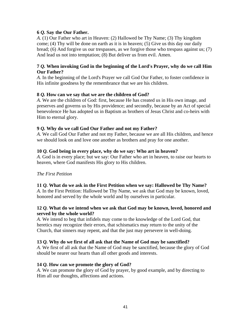### **6** *Q.* **Say the Our Father.**

*A.* (1) Our Father who art in Heaven: (2) Hallowed be Thy Name; (3) Thy kingdom come; (4) Thy will be done on earth as it is in heaven; (5) Give us this day our daily bread; (6) And forgive us our trespasses, as we forgive those who trespass against us; (7) And lead us not into temptation; (8) But deliver us from evil. Amen.

### **7** *Q.* **When invoking God in the beginning of the Lord's Prayer, why do we call Him Our Father?**

*A.* In the beginning of the Lord's Prayer we call God Our Father, to foster confidence in His infinite goodness by the remembrance that we are his children.

### **8** *Q.* **How can we say that we are the children of God?**

*A.* We are the children of God: first, because He has created us in His own image, and preserves and governs us by His providence; and secondly, because by an Act of special benevolence He has adopted us in Baptism as brothers of Jesus Christ and co-heirs with Him to eternal glory.

### **9** *Q.* **Why do we call God Our Father and not my Father?**

*A.* We call God Our Father and not my Father, because we are all His children, and hence we should look on and love one another as brothers and pray for one another.

### **10** *Q.* **God being in every place, why do we say: Who art in heaven?**

*A.* God is in every place; but we say: Our Father who art in heaven, to raise our hearts to heaven, where God manifests His glory to His children.

# *The First Petition*

# **11** *Q.* **What do we ask in the First Petition when we say: Hallowed be Thy Name?**

*A.* In the First Petition: Hallowed be Thy Name, we ask that God may be known, loved, honored and served by the whole world and by ourselves in particular.

### **12** *Q.* **What do we intend when we ask that God may be known, loved, honored and served by the whole world?**

*A.* We intend to beg that infidels may come to the knowledge of the Lord God, that heretics may recognize their errors, that schismatics may return to the unity of the Church, that sinners may repent, and that the just may persevere in well-doing.

# **13** *Q.* **Why do we first of all ask that the Name of God may be sanctified?**

*A.* We first of all ask that the Name of God may be sanctified, because the glory of God should be nearer our hearts than all other goods and interests.

# **14** *Q.* **How can we promote the glory of God?**

*A.* We can promote the glory of God by prayer, by good example, and by directing to Him all our thoughts, affections and actions.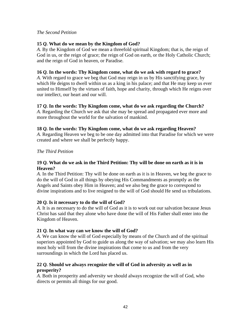### *The Second Petition*

# **15** *Q.* **What do we mean by the Kingdom of God?**

*A.* By the Kingdom of God we mean a threefold spiritual Kingdom; that is, the reign of God in us, or the reign of grace; the reign of God on earth, or the Holy Catholic Church; and the reign of God in heaven, or Paradise.

# **16** *Q.* **In the words: Thy Kingdom come, what do we ask with regard to grace?**

*A.* With regard to grace we beg that God may reign in us by His sanctifying grace, by which He deigns to dwell within us as a king in his palace; and that He may keep us ever united to Himself by the virtues of faith, hope and charity, through which He reigns over our intellect, our heart and our will.

# **17** *Q.* **In the words: Thy Kingdom come, what do we ask regarding the Church?**

*A.* Regarding the Church we ask that she may be spread and propagated ever more and more throughout the world for the salvation of mankind.

# **18** *Q.* **In the words: Thy Kingdom come, what do we ask regarding Heaven?**

*A.* Regarding Heaven we beg to be one day admitted into that Paradise for which we were created and where we shall be perfectly happy.

# *The Third Petition*

# **19** *Q.* **What do we ask in the Third Petition: Thy will be done on earth as it is in Heaven?**

*A.* In the Third Petition: Thy will be done on earth as it is in Heaven, we beg the grace to do the will of God in all things by obeying His Commandments as promptly as the Angels and Saints obey Him in Heaven; and we also beg the grace to correspond to divine inspirations and to live resigned to the will of God should He send us tribulations.

# **20** *Q.* **Is it necessary to do the will of God?**

*A.* It is as necessary to do the will of God as it is to work out our salvation because Jesus Christ has said that they alone who have done the will of His Father shall enter into the Kingdom of Heaven.

# **21** *Q.* **In what way can we know the will of God?**

*A.* We can know the will of God especially by means of the Church and of the spiritual superiors appointed by God to guide us along the way of salvation; we may also learn His most holy will from the divine inspirations that come to us and from the very surroundings in which the Lord has placed us.

# **22** *Q.* **Should we always recognize the will of God in adversity as well as in prosperity?**

*A.* Both in prosperity and adversity we should always recognize the will of God, who directs or permits all things for our good.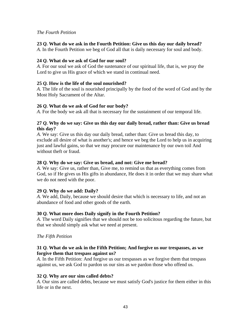### *The Fourth Petition*

## **23** *Q.* **What do we ask in the Fourth Petition: Give us this day our daily bread?**

*A.* In the Fourth Petition we beg of God all that is daily necessary for soul and body.

# **24** *Q.* **What do we ask of God for our soul?**

*A.* For our soul we ask of God the sustenance of our spiritual life, that is, we pray the Lord to give us His grace of which we stand in continual need.

# **25** *Q.* **How is the life of the soul nourished?**

*A.* The life of the soul is nourished principally by the food of the word of God and by the Most Holy Sacrament of the Altar.

# **26** *Q.* **What do we ask of God for our body?**

*A.* For the body we ask all that is necessary for the sustainment of our temporal life.

### **27** *Q.* **Why do we say: Give us this day our daily bread, rather than: Give us bread this day?**

*A.* We say: Give us this day our daily bread, rather than: Give us bread this day, to exclude all desire of what is another's; and hence we beg the Lord to help us in acquiring just and lawful gains, so that we may procure our maintenance by our own toil And without theft or fraud.

#### **28** *Q.* **Why do we say: Give us bread, and not: Give me bread?**

*A.* We say: Give us, rather than, Give me, to remind us that as everything comes from God, so if He gives us His gifts in abundance, He does it in order that we may share what we do not need with the poor.

# **29** *Q.* **Why do we add: Daily?**

*A.* We add, Daily, because we should desire that which is necessary to life, and not an abundance of food and other goods of the earth.

# **30** *Q.* **What more does Daily signify in the Fourth Petition?**

*A.* The word Daily signifies that we should not be too solicitous regarding the future, but that we should simply ask what we need at present.

#### *The Fifth Petition*

### **31** *Q.* **What do we ask in the Fifth Petition; And forgive us our trespasses, as we forgive them that trespass against us?**

*A.* In the Fifth Petition: And forgive us our trespasses as we forgive them that trespass against us, we ask God to pardon us our sins as we pardon those who offend us.

# **32** *Q.* **Why are our sins called debts?**

*A.* Our sins are called debts, because we must satisfy God's justice for them either in this life or in the next.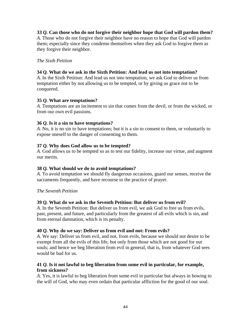# **33** *Q.* **Can those who do not forgive their neighbor hope that God will pardon them?**

*A.* Those who do not forgive their neighbor have no reason to hope that God will pardon them; especially since they condemn themselves when they ask God to forgive them as they forgive their neighbor.

## *The Sixth Petition*

# **34** *Q.* **What do we ask in the Sixth Petition: And lead us not into temptation?**

*A.* In the Sixth Petition: And lead us not into temptation, we ask God to deliver us from temptation either by not allowing us to be tempted, or by giving us grace not to be conquered.

### **35** *Q.* **What are temptations?**

*A.* Temptations are an incitement to sin that comes from the devil, or from the wicked, or from our own evil passions.

### **36** *Q.* **Is it a sin to have temptations?**

*A.* No, it is no sin to have temptations; but it is a sin to consent to them, or voluntarily to expose oneself to the danger of consenting to them.

### **37** *Q.* **Why does God allow us to be tempted?**

*A.* God allows us to be tempted so as to test our fidelity, increase our virtue, and augment our merits.

# **38** *Q.* **What should we do to avoid temptations?**

*A.* To avoid temptation we should fly dangerous occasions, guard our senses, receive the sacraments frequently, and have recourse to the practice of prayer.

#### *The Seventh Petition*

# **39** *Q.* **What do we ask in the Seventh Petition: But deliver us from evil?**

*A.* In the Seventh Petition: But deliver us from evil, we ask God to free us from evils, past, present, and future, and particularly from the greatest of all evils which is sin, and from eternal damnation, which is its penalty.

#### **40** *Q.* **Why do we say: Deliver us from evil and not: From evils?**

*A.* We say: Deliver us from evil, and not, from evils, because we should not desire to be exempt from all the evils of this life, but only from those which are not good for our souls; and hence we beg liberation from evil in general, that is, from whatever God sees would be bad for us.

### **41** *Q.* **Is it not lawful to beg liberation from some evil in particular, for example, from sickness?**

*A.* Yes, it is lawful to beg liberation from some evil in particular but always in bowing to the will of God, who may even ordain that particular affliction for the good of our soul.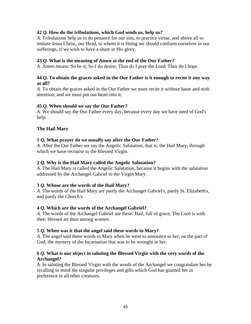### **42** *Q.* **How do the tribulations, which God sends us, help us?**

*A.* Tribulations help us to do penance for our sins, to practice virtue, and above all to imitate Jesus Christ, our Head, to whom it is fitting we should conform ourselves in our sufferings, if we wish to have a share in His glory.

### **43** *Q.* **What is the meaning of Amen at the end of the Our Father?**

*A.* Amen means: So be it; So I do desire; Thus do I pray the Lord; Thus do I hope.

#### **44** *Q.* **To obtain the graces asked in the Our Father is it enough to recite it any way at all?**

*A.* To obtain the graces asked in the Our Father we must recite it without haste and with attention; and we must put our heart into it.

# **45** *Q.* **When should we say the Our Father?**

*A.* We should say the Our Father every day, because every day we have need of God's help.

# **The Hail Mary**

# **1** *Q.* **What prayer do we usually say after the Our Father?**

*A.* After the Our Father we say the Angelic Salutation, that is, the Hail Mary, through which we have recourse to the Blessed Virgin.

# **2** *Q.* **Why is the Hail Mary called the Angelic Salutation?**

*A.* The Hail Mary is called the Angelic Salutation, because it begins with the salutation addressed by the Archangel Gabriel to the Virgin Mary.

# **3** *Q.* **Whose are the words of the Hail Mary?**

*A.* The words of the Hail Mary are partly the Archangel Gabriel's, partly St. Elizabeth's, and partly the Church's.

# **4** *Q.* **Which are the words of the Archangel Gabriel?**

*A.* The words of the Archangel Gabriel are these: Hail, full of grace, The Lord is with thee; blessed art thou among women.

# **5** *Q.* **When was it that the angel said these words to Mary?**

*A.* The angel said these words to Mary when he went to announce to her, on the part of God, the mystery of the Incarnation that was to be wrought in her.

# **6** *Q.* **What is our object in saluting the Blessed Virgin with the very words of the Archangel?**

*A.* In saluting the Blessed Virgin with the words of the Archangel we congratulate her by recalling to mind the singular privileges and gifts which God has granted her in preference to all other creatures.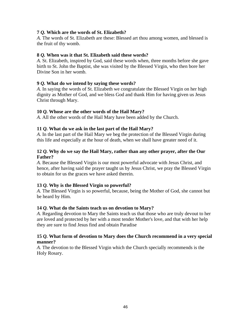### **7** *Q.* **Which are the words of St. Elizabeth?**

*A.* The words of St. Elizabeth are these: Blessed art thou among women, and blessed is the fruit of thy womb.

#### **8** *Q.* **When was it that St. Elizabeth said these words?**

*A.* St. Elizabeth, inspired by God, said these words when, three months before she gave birth to St. John the Baptist, she was visited by the Blessed Virgin, who then bore her Divine Son in her womb.

### **9** *Q.* **What do we intend by saying these words?**

*A.* In saying the words of St. Elizabeth we congratulate the Blessed Virgin on her high dignity as Mother of God, and we bless God and thank Him for having given us Jesus Christ through Mary.

### **10** *Q.* **Whose are the other words of the Hail Mary?**

*A.* All the other words of the Hail Mary have been added by the Church.

### **11** *Q.* **What do we ask in the last part of the Hail Mary?**

*A.* In the last part of the Hail Mary we beg the protection of the Blessed Virgin during this life and especially at the hour of death, when we shall have greater need of it.

#### **12** *Q.* **Why do we say the Hail Mary, rather than any other prayer, after the Our Father?**

*A.* Because the Blessed Virgin is our most powerful advocate with Jesus Christ, and hence, after having said the prayer taught us by Jesus Christ, we pray the Blessed Virgin to obtain for us the graces we have asked therein.

# **13** *Q.* **Why is the Blessed Virgin so powerful?**

*A.* The Blessed Virgin is so powerful, because, being the Mother of God, she cannot but be heard by Him.

#### **14** *Q.* **What do the Saints teach us on devotion to Mary?**

*A.* Regarding devotion to Mary the Saints teach us that those who are truly devout to her are loved and protected by her with a most tender Mother's love, and that with her help they are sure to find Jesus find and obtain Paradise

#### **15** *Q.* **What form of devotion to Mary does the Church recommend in a very special manner?**

*A.* The devotion to the Blessed Virgin which the Church specially recommends is the Holy Rosary.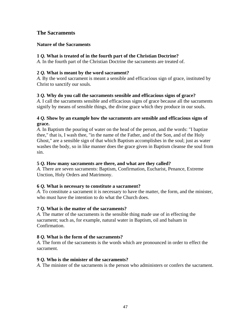# **The Sacraments**

# **Nature of the Sacraments**

# **1** *Q.* **What is treated of in the fourth part of the Christian Doctrine?**

*A.* In the fourth part of the Christian Doctrine the sacraments are treated of.

# **2** *Q.* **What is meant by the word sacrament?**

*A.* By the word sacrament is meant a sensible and efficacious sign of grace, instituted by Christ to sanctify our souls.

# **3** *Q.* **Why do you call the sacraments sensible and efficacious signs of grace?**

*A.* I call the sacraments sensible and efficacious signs of grace because all the sacraments signify by means of sensible things, the divine grace which they produce in our souls.

# **4** *Q.* **Show by an example how the sacraments are sensible and efficacious signs of grace.**

*A.* In Baptism the pouring of water on the head of the person, and the words: "I baptize thee," that is, I wash thee, "in the name of the Father, and of the Son, and of the Holy Ghost," are a sensible sign of that which Baptism accomplishes in the soul; just as water washes the body, so in like manner does the grace given in Baptism cleanse the soul from sin.

# **5** *Q.* **How many sacraments are there, and what are they called?**

*A.* There are seven sacraments: Baptism, Confirmation, Eucharist, Penance, Extreme Unction, Holy Orders and Matrimony.

# **6** *Q.* **What is necessary to constitute a sacrament?**

*A.* To constitute a sacrament it is necessary to have the matter, the form, and the minister, who must have the intention to do what the Church does.

# **7** *Q.* **What is the matter of the sacraments?**

*A.* The matter of the sacraments is the sensible thing made use of in effecting the sacrament; such as, for example, natural water in Baptism, oil and balsam in Confirmation.

# **8** *Q.* **What is the form of the sacraments?**

*A.* The form of the sacraments is the words which are pronounced in order to effect the sacrament.

# **9** *Q.* **Who is the minister of the sacraments?**

*A.* The minister of the sacraments is the person who administers or confers the sacrament.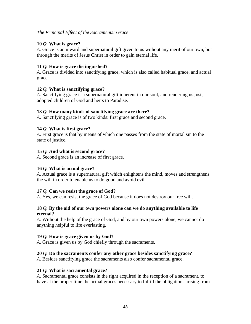# *The Principal Effect of the Sacraments: Grace*

# **10** *Q.* **What is grace?**

*A.* Grace is an inward and supernatural gift given to us without any merit of our own, but through the merits of Jesus Christ in order to gain eternal life.

# **11** *Q.* **How is grace distinguished?**

*A.* Grace is divided into sanctifying grace, which is also called habitual grace, and actual grace.

### **12** *Q.* **What is sanctifying grace?**

*A.* Sanctifying grace is a supernatural gift inherent in our soul, and rendering us just, adopted children of God and heirs to Paradise.

### **13** *Q.* **How many kinds of sanctifying grace are there?**

*A.* Sanctifying grace is of two kinds: first grace and second grace.

### **14** *Q.* **What is first grace?**

*A.* First grace is that by means of which one passes from the state of mortal sin to the state of justice.

#### **15** *Q.* **And what is second grace?**

*A.* Second grace is an increase of first grace.

#### **16** *Q.* **What is actual grace?**

*A.* Actual grace is a supernatural gift which enlightens the mind, moves and strengthens the will in order to enable us to do good and avoid evil.

# **17** *Q.* **Can we resist the grace of God?**

*A.* Yes, we can resist the grace of God because it does not destroy our free will.

#### **18** *Q.* **By the aid of our own powers alone can we do anything available to life eternal?**

*A.* Without the help of the grace of God, and by our own powers alone, we cannot do anything helpful to life everlasting.

#### **19** *Q.* **How is grace given us by God?**

*A.* Grace is given us by God chiefly through the sacraments.

# **20** *Q.* **Do the sacraments confer any other grace besides sanctifying grace?**

*A.* Besides sanctifying grace the sacraments also confer sacramental grace.

#### **21** *Q.* **What is sacramental grace?**

*A.* Sacramental grace consists in the right acquired in the reception of a sacrament, to have at the proper time the actual graces necessary to fulfill the obligations arising from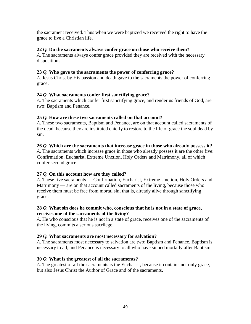the sacrament received. Thus when we were baptized we received the right to have the grace to live a Christian life.

## **22** *Q.* **Do the sacraments always confer grace on those who receive them?**

*A.* The sacraments always confer grace provided they are received with the necessary dispositions.

## **23** *Q.* **Who gave to the sacraments the power of conferring grace?**

*A.* Jesus Christ by His passion and death gave to the sacraments the power of conferring grace.

### **24** *Q.* **What sacraments confer first sanctifying grace?**

*A.* The sacraments which confer first sanctifying grace, and render us friends of God, are two: Baptism and Penance.

### **25** *Q.* **How are these two sacraments called on that account?**

*A.* These two sacraments, Baptism and Penance, are on that account called sacraments of the dead, because they are instituted chiefly to restore to the life of grace the soul dead by sin.

### **26** *Q.* **Which are the sacraments that increase grace in those who already possess it?**

*A.* The sacraments which increase grace in those who already possess it are the other five: Confirmation, Eucharist, Extreme Unction, Holy Orders and Matrimony, all of which confer second grace.

# **27** *Q.* **On this account how are they called?**

*A.* These five sacraments — Confirmation, Eucharist, Extreme Unction, Holy Orders and Matrimony — are on that account called sacraments of the living, because those who receive them must be free from mortal sin, that is, already alive through sanctifying grace.

### **28** *Q.* **What sin does he commit who, conscious that he is not in a state of grace, receives one of the sacraments of the living?**

*A.* He who conscious that he is not in a state of grace, receives one of the sacraments of the living, commits a serious sacrilege.

# **29** *Q.* **What sacraments are most necessary for salvation?**

*A.* The sacraments most necessary to salvation are two: Baptism and Penance. Baptism is necessary to all, and Penance is necessary to all who have sinned mortally after Baptism.

# **30** *Q.* **What is the greatest of all the sacraments?**

*A.* The greatest of all the sacraments is the Eucharist, because it contains not only grace, but also Jesus Christ the Author of Grace and of the sacraments.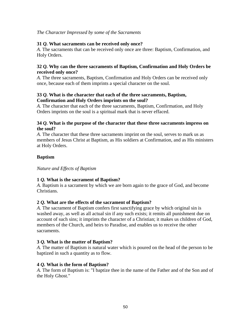# *The Character Impressed by some of the Sacraments*

## **31** *Q.* **What sacraments can be received only once?**

*A.* The sacraments that can be received only once are three: Baptism, Confirmation, and Holy Orders.

#### **32** *Q.* **Why can the three sacraments of Baptism, Confirmation and Holy Orders be received only once?**

*A.* The three sacraments, Baptism, Confirmation and Holy Orders can be received only once, because each of them imprints a special character on the soul.

### **33** *Q.* **What is the character that each of the three sacraments, Baptism, Confirmation and Holy Orders imprints on the soul?**

*A.* The character that each of the three sacraments, Baptism, Confirmation, and Holy Orders imprints on the soul is a spiritual mark that is never effaced.

### **34** *Q.* **What is the purpose of the character that these three sacraments impress on the soul?**

*A.* The character that these three sacraments imprint on the soul, serves to mark us as members of Jesus Christ at Baptism, as His soldiers at Confirmation, and as His ministers at Holy Orders.

### **Baptism**

*Nature and Effects of Baptism*

# **1** *Q.* **What is the sacrament of Baptism?**

*A.* Baptism is a sacrament by which we are born again to the grace of God, and become Christians.

# **2** *Q.* **What are the effects of the sacrament of Baptism?**

*A.* The sacrament of Baptism confers first sanctifying grace by which original sin is washed away, as well as all actual sin if any such exists; it remits all punishment due on account of such sins; it imprints the character of a Christian; it makes us children of God, members of the Church, and heirs to Paradise, and enables us to receive the other sacraments.

# **3** *Q.* **What is the matter of Baptism?**

*A.* The matter of Baptism is natural water which is poured on the head of the person to be baptized in such a quantity as to flow.

# **4** *Q.* **What is the form of Baptism?**

*A.* The form of Baptism is: "I baptize thee in the name of the Father and of the Son and of the Holy Ghost."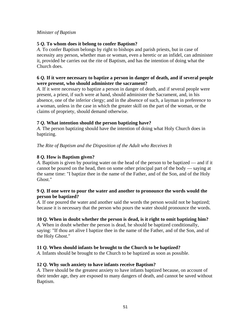## *Minister of Baptism*

# **5** *Q.* **To whom does it belong to confer Baptism?**

*A.* To confer Baptism belongs by right to bishops and parish priests, but in case of necessity any person, whether man or woman, even a heretic or an infidel, can administer it, provided he carries out the rite of Baptism, and has the intention of doing what the Church does.

### **6** *Q.* **If it were necessary to baptize a person in danger of death, and if several people were present, who should administer the sacrament?**

*A.* If it were necessary to baptize a person in danger of death, and if several people were present, a priest, if such were at hand, should administer the Sacrament, and, in his absence, one of the inferior clergy; and in the absence of such, a layman in preference to a woman, unless in the case in which the greater skill on the part of the woman, or the claims of propriety, should demand otherwise.

# **7** *Q.* **What intention should the person baptizing have?**

*A.* The person baptizing should have the intention of doing what Holy Church does in baptizing.

*The Rite of Baptism and the Disposition of the Adult who Receives It*

# **8** *Q.* **How is Baptism given?**

*A.* Baptism is given by pouring water on the head of the person to be baptized — and if it cannot be poured on the head, then on some other principal part of the body — saying at the same time: "I baptize thee in the name of the Father, and of the Son, and of the Holy Ghost."

### **9** *Q.* **If one were to pour the water and another to pronounce the words would the person be baptized?**

*A.* If one poured the water and another said the words the person would not be baptized; because it is necessary that the person who pours the water should pronounce the words.

# **10** *Q.* **When in doubt whether the person is dead, is it right to omit baptizing him?**

*A.* When in doubt whether the person is dead, he should be baptized conditionally, saying: "If thou art alive I baptize thee in the name of the Father, and of the Son, and of the Holy Ghost."

# **11** *Q.* **When should infants be brought to the Church to be baptized?**

*A.* Infants should be brought to the Church to be baptized as soon as possible.

# **12** *Q.* **Why such anxiety to have infants receive Baptism?**

*A.* There should be the greatest anxiety to have infants baptized because, on account of their tender age, they are exposed to many dangers of death, and cannot be saved without Baptism.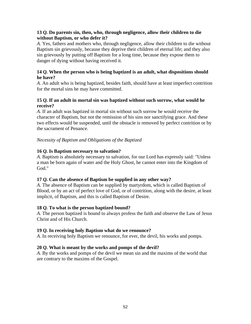### **13** *Q.* **Do parents sin, then, who, through negligence, allow their children to die without Baptism, or who defer it?**

*A.* Yes, fathers and mothers who, through negligence, allow their children to die without Baptism sin grievously, because they deprive their children of eternal life; and they also sin grievously by putting off Baptism for a long time, because they expose them to danger of dying without having received it.

### **14** *Q.* **When the person who is being baptized is an adult, what dispositions should he have?**

*A.* An adult who is being baptized, besides faith, should have at least imperfect contrition for the mortal sins he may have committed.

# **15** *Q.* **If an adult in mortal sin was baptized without such sorrow, what would he receive?**

*A.* If an adult was baptized in mortal sin without such sorrow he would receive the character of Baptism, but not the remission of his sins nor sanctifying grace. And these two effects would be suspended, until the obstacle is removed by perfect contrition or by the sacrament of Penance.

# *Necessity of Baptism and Obligations of the Baptized*

# **16** *Q.* **Is Baptism necessary to salvation?**

*A.* Baptism is absolutely necessary to salvation, for our Lord has expressly said: "Unless a man be born again of water and the Holy Ghost, he cannot enter into the Kingdom of God."

# **17** *Q.* **Can the absence of Baptism be supplied in any other way?**

*A.* The absence of Baptism can be supplied by martyrdom, which is called Baptism of Blood, or by an act of perfect love of God, or of contrition, along with the desire, at least implicit, of Baptism, and this is called Baptism of Desire.

# **18** *Q.* **To what is the person baptized bound?**

*A.* The person baptized is bound to always profess the faith and observe the Law of Jesus Christ and of His Church.

# **19** *Q.* **In receiving holy Baptism what do we renounce?**

*A.* In receiving holy Baptism we renounce, for ever, the devil, his works and pomps.

# **20** *Q.* **What is meant by the works and pomps of the devil?**

*A.* By the works and pomps of the devil we mean sin and the maxims of the world that are contrary to the maxims of the Gospel.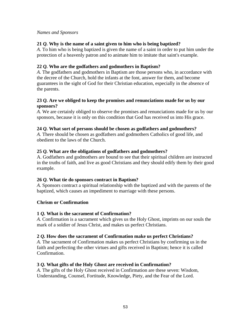### *Names and Sponsors*

# **21** *Q.* **Why is the name of a saint given to him who is being baptized?**

*A.* To him who is being baptized is given the name of a saint in order to put him under the protection of a heavenly patron and to animate him to imitate that saint's example.

## **22** *Q.* **Who are the godfathers and godmothers in Baptism?**

*A.* The godfathers and godmothers in Baptism are those persons who, in accordance with the decree of the Church, hold the infants at the font, answer for them, and become guarantees in the sight of God for their Christian education, especially in the absence of the parents.

# **23** *Q.* **Are we obliged to keep the promises and renunciations made for us by our sponsors?**

*A.* We are certainly obliged to observe the promises and renunciations made for us by our sponsors, because it is only on this condition that God has received us into His grace.

### **24** *Q.* **What sort of persons should be chosen as godfathers and godmothers?**

*A.* There should be chosen as godfathers and godmothers Catholics of good life, and obedient to the laws of the Church.

# **25** *Q.* **What are the obligations of godfathers and godmothers?**

A. Godfathers and godmothers are bound to see that their spiritual children are instructed in the truths of faith, and live as good Christians and they should edify them by their good example.

# **26** *Q.* **What tie do sponsors contract in Baptism?**

*A.* Sponsors contract a spiritual relationship with the baptized and with the parents of the baptized, which causes an impediment to marriage with these persons.

# **Chrism or Confirmation**

# **1** *Q.* **What is the sacrament of Confirmation?**

*A.* Confirmation is a sacrament which gives us the Holy Ghost, imprints on our souls the mark of a soldier of Jesus Christ, and makes us perfect Christians.

#### **2** *Q.* **How does the sacrament of Confirmation make us perfect Christians?**

*A.* The sacrament of Confirmation makes us perfect Christians by confirming us in the faith and perfecting the other virtues and gifts received in Baptism; hence it is called Confirmation.

# **3** *Q.* **What gifts of the Holy Ghost are received in Confirmation?**

*A.* The gifts of the Holy Ghost received in Confirmation are these seven: Wisdom, Understanding, Counsel, Fortitude, Knowledge, Piety, and the Fear of the Lord.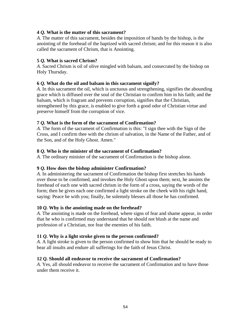### **4** *Q.* **What is the matter of this sacrament?**

*A.* The matter of this sacrament, besides the imposition of hands by the bishop, is the anointing of the forehead of the baptized with sacred chrism; and for this reason it is also called the sacrament of Chrism, that is Anointing.

### **5** *Q.* **What is sacred Chrism?**

*A.* Sacred Chrism is oil of olive mingled with balsam, and consecrated by the bishop on Holy Thursday.

# **6** *Q.* **What do the oil and balsam in this sacrament signify?**

*A.* In this sacrament the oil, which is unctuous and strengthening, signifies the abounding grace which is diffused over the soul of the Christian to confirm him in his faith; and the balsam, which is fragrant and prevents corruption, signifies that the Christian, strengthened by this grace, is enabled to give forth a good odor of Christian virtue and preserve himself from the corruption of vice.

### **7** *Q.* **What is the form of the sacrament of Confirmation?**

*A.* The form of the sacrament of Confirmation is this: "I sign thee with the Sign of the Cross, and I confirm thee with the chrism of salvation, in the Name of the Father, and of the Son, and of the Holy Ghost. Amen."

### **8** *Q.* **Who is the minister of the sacrament of Confirmation?**

*A.* The ordinary minister of the sacrament of Confirmation is the bishop alone.

#### **9** *Q.* **How does the bishop administer Confirmation?**

*A.* In administering the sacrament of Confirmation the bishop first stretches his hands over those to be confirmed, and invokes the Holy Ghost upon them; next, he anoints the forehead of each one with sacred chrism in the form of a cross, saying the words of the form; then he gives each one confirmed a light stroke on the cheek with his right hand, saying: Peace be with you; finally, he solemnly blesses all those he has confirmed.

#### **10** *Q.* **Why is the anointing made on the forehead?**

*A.* The anointing is made on the forehead, where signs of fear and shame appear, in order that he who is confirmed may understand that he should not blush at the name and profession of a Christian, nor fear the enemies of his faith.

# **11** *Q.* **Why is a light stroke given to the person confirmed?**

*A.* A light stroke is given to the person confirmed to show him that he should be ready to bear all insults and endure all sufferings for the faith of Jesus Christ.

# **12** *Q.* **Should all endeavor to receive the sacrament of Confirmation?**

*A.* Yes, all should endeavor to receive the sacrament of Confirmation and to have those under them receive it.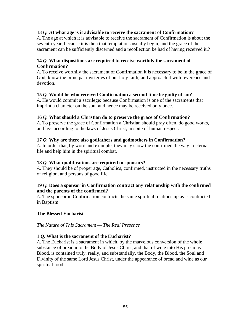# **13** *Q.* **At what age is it advisable to receive the sacrament of Confirmation?**

*A.* The age at which it is advisable to receive the sacrament of Confirmation is about the seventh year, because it is then that temptations usually begin, and the grace of the sacrament can be sufficiently discerned and a recollection be had of having received it.?

### **14** *Q.* **What dispositions are required to receive worthily the sacrament of Confirmation?**

*A.* To receive worthily the sacrament of Confirmation it is necessary to be in the grace of God; know the principal mysteries of our holy faith; and approach it with reverence and devotion.

### **15** *Q.* **Would he who received Confirmation a second time be guilty of sin?**

*A.* He would commit a sacrilege; because Confirmation is one of the sacraments that imprint a character on the soul and hence may be received only once.

### **16** *Q.* **What should a Christian do to preserve the grace of Confirmation?**

*A.* To preserve the grace of Confirmation a Christian should pray often, do good works, and live according to the laws of Jesus Christ, in spite of human respect.

### **17** *Q.* **Why are there also godfathers and godmothers in Confirmation?**

*A.* In order that, by word and example, they may show the confirmed the way to eternal life and help him in the spiritual combat.

#### **18** *Q.* **What qualifications are required in sponsors?**

*A.* They should be of proper age, Catholics, confirmed, instructed in the necessary truths of religion, and persons of good life.

### **19** *Q.* **Does a sponsor in Confirmation contract any relationship with the confirmed and the parents of the confirmed?**

*A.* The sponsor in Confirmation contracts the same spiritual relationship as is contracted in Baptism.

#### **The Blessed Eucharist**

*The Nature of This Sacrament — The Real Presence*

#### **1** *Q.* **What is the sacrament of the Eucharist?**

*A.* The Eucharist is a sacrament in which, by the marvelous conversion of the whole substance of bread into the Body of Jesus Christ, and that of wine into His precious Blood, is contained truly, really, and substantially, the Body, the Blood, the Soul and Divinity of the same Lord Jesus Christ, under the appearance of bread and wine as our spiritual food.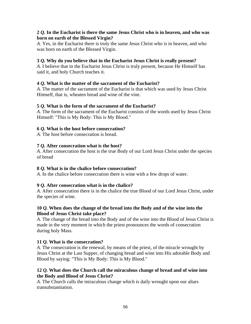### **2** *Q.* **In the Eucharist is there the same Jesus Christ who is in heaven, and who was born on earth of the Blessed Virgin?**

*A.* Yes, in the Eucharist there is truly the same Jesus Christ who is in heaven, and who was born on earth of the Blessed Virgin.

## **3** *Q.* **Why do you believe that in the Eucharist Jesus Christ is really present?**

*A.* I believe that in the Eucharist Jesus Christ is truly present, because He Himself has said it, and holy Church teaches it.

# **4** *Q.* **What is the matter of the sacrament of the Eucharist?**

*A.* The matter of the sacrament of the Eucharist is that which was used by Jesus Christ Himself, that is, wheaten bread and wine of the vine.

# **5** *Q.* **What is the form of the sacrament of the Eucharist?**

*A.* The form of the sacrament of the Eucharist consists of the words used by Jesus Christ Himself: "This is My Body: This is My Blood."

# **6** *Q.* **What is the host before consecration?**

*A.* The host before consecration is bread.

# **7** *Q.* **After consecration what is the host?**

*A.* After consecration the host is the true Body of our Lord Jesus Christ under the species of bread

# **8** *Q.* **What is in the chalice before consecration?**

*A.* In the chalice before consecration there is wine with a few drops of water.

# **9** *Q.* **After consecration what is in the chalice?**

*A.* After consecration there is in the chalice the true Blood of our Lord Jesus Christ, under the species of wine.

# **10** *Q.* **When does the change of the bread into the Body and of the wine into the Blood of Jesus Christ take place?**

*A.* The change of the bread into the Body and of the wine into the Blood of Jesus Christ is made in the very moment in which the priest pronounces the words of consecration during holy Mass.

# **11** *Q.* **What is the consecration?**

*A.* The consecration is the renewal, by means of the priest, of the miracle wrought by Jesus Christ at the Last Supper, of changing bread and wine into His adorable Body and Blood by saying: "This is My Body: This is My Blood."

# **12** *Q.* **What does the Church call the miraculous change of bread and of wine into the Body and Blood of Jesus Christ?**

*A.* The Church calls the miraculous change which is daily wrought upon our altars transubstantiation.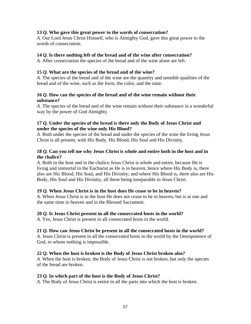### **13** *Q.* **Who gave this great power to the words of consecration?**

*A.* Our Lord Jesus Christ Himself, who is Almighty God, gave this great power to the words of consecration.

#### **14** *Q.* **Is there nothing left of the bread and of the wine after consecration?**

*A.* After consecration the species of the bread and of the wine alone are left.

#### **15** *Q.* **What are the species of the bread and of the wine?**

*A.* The species of the bread and of the wine are the quantity and sensible qualities of the bread and of the wine, such as the form, the color, and the taste.

#### **16** *Q.* **How can the species of the bread and of the wine remain without their substance?**

*A.* The species of the bread and of the wine remain without their substance in a wonderful way by the power of God Almighty.

#### **17** *Q.* **Under the species of the bread is there only the Body of Jesus Christ and under the species of the wine only His Blood?**

*A.* Both under the species of the bread and under the species of the wine the living Jesus Christ is all present, with His Body, His Blood, His Soul and His Divinity.

#### **18** *Q.* **Can you tell me why Jesus Christ is whole and entire both in the host and in the chalice?**

*A.* Both in the host and in the chalice Jesus Christ is whole and entire, because He is living and immortal in the Eucharist as He is in heaven; hence where His Body is, there also are His Blood, His Soul, and His Divinity; and where His Blood is, there also are His Body, His Soul and His Divinity, all these being inseparable in Jesus Christ.

#### **19** *Q.* **When Jesus Christ is in the host does He cease to be in heaven?**

*A.* When Jesus Christ is in the host He does not cease to be in heaven, but is at one and the same time in heaven and in the Blessed Sacrament.

#### **20** *Q.* **Is Jesus Christ present in all the consecrated hosts in the world?**

*A.* Yes, Jesus Christ is present in all consecrated hosts in the world.

#### **21** *Q.* **How can Jesus Christ be present in all the consecrated hosts in the world?**

*A.* Jesus Christ is present in all the consecrated hosts in the world by the Omnipotence of God, to whom nothing is impossible.

#### **22** *Q.* **When the host is broken is the Body of Jesus Christ broken also?**

*A.* When the host is broken, the Body of Jesus Christ is not broken, but only the species of the bread are broken.

#### **23** *Q.* **In which part of the host is the Body of Jesus Christ?**

*A.* The Body of Jesus Christ is entire in all the parts into which the host is broken.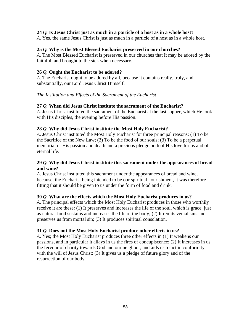### **24** *Q.* **Is Jesus Christ just as much in a particle of a host as in a whole host?**

*A.* Yes, the same Jesus Christ is just as much in a particle of a host as in a whole host.

### **25** *Q.* **Why is the Most Blessed Eucharist preserved in our churches?**

*A.* The Most Blessed Eucharist is preserved in our churches that It may be adored by the faithful, and brought to the sick when necessary.

## **26** *Q.* **Ought the Eucharist to be adored?**

*A.* The Eucharist ought to be adored by all, because it contains really, truly, and substantially, our Lord Jesus Christ Himself.

### *The Institution and Effects of the Sacrament of the Eucharist*

# **27** *Q.* **When did Jesus Christ institute the sacrament of the Eucharist?**

*A.* Jesus Christ instituted the sacrament of the Eucharist at the last supper, which He took with His disciples, the evening before His passion.

### **28** *Q.* **Why did Jesus Christ institute the Most Holy Eucharist?**

*A.* Jesus Christ instituted the Most Holy Eucharist for three principal reasons: (1) To be the Sacrifice of the New Law; (2) To be the food of our souls; (3) To be a perpetual memorial of His passion and death and a precious pledge both of His love for us and of eternal life.

### **29** *Q.* **Why did Jesus Christ institute this sacrament under the appearances of bread and wine?**

*A.* Jesus Christ instituted this sacrament under the appearances of bread and wine, because, the Eucharist being intended to be our spiritual nourishment, it was therefore fitting that it should be given to us under the form of food and drink.

# **30** *Q.* **What are the effects which the Most Holy Eucharist produces in us?**

*A.* The principal effects which the Most Holy Eucharist produces in those who worthily receive it are these: (1) It preserves and increases the life of the soul, which is grace, just as natural food sustains and increases the life of the body; (2) It remits venial sins and preserves us from mortal sin; (3) It produces spiritual consolation.

#### **31** *Q.* **Does not the Most Holy Eucharist produce other effects in us?**

*A.* Yes; the Most Holy Eucharist produces three other effects in (1) It weakens our passions, and in particular it allays in us the fires of concupiscence; (2) It increases in us the fervour of charity towards God and our neighbor, and aids us to act in conformity with the will of Jesus Christ; (3) It gives us a pledge of future glory and of the resurrection of our body.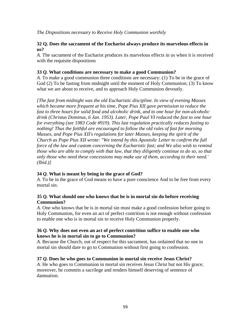### *The Dispositions necessary to Receive Holy Communion worthily*

### **32 Q. Does the sacrament of the Eucharist always produce its marvelous effects in us?**

*A.* The sacrament of the Eucharist produces its marvelous effects in us when it is received with the requisite dispositions

## **33** *Q.* **What conditions are necessary to make a good Communion?**

*A.* To make a good communion three conditions are necessary: (1) To be in the grace of God (2) To be fasting from midnight until the moment of Holy Communion; (3) To know what we are about to receive, and to approach Holy Communion devoutly.

*[The fast from midnight was the old Eucharistic discipline. In view of evening Masses which became more frequent at his time, Pope Pius XII gave permission to reduce the fast to three hours for solid food and alcoholic drink, and to one hour for non-alcoholic drink (Christus Dominus, 6 Jan. 1953). Later, Pope Paul VI reduced the fast to one hour for everything (see 1983 Code #919). This last regulation practically reduces fasting to nothing! Thus the faithful are encouraged to follow the old rules of fast for morning Masses, and Pope Pius XII's regulations for later Masses, keeping the spirit of the Church as Pope Pius XII wrote: "We intend by this Apostolic Letter to confirm the full force of the law and custom concerning the Eucharistic fast; and We also wish to remind those who are able to comply with that law, that they diligently continue to do so, so that only those who need these concessions may make use of them, according to their need.' (Ibid.)]*

# **34** *Q.* **What is meant by being in the grace of God?**

*A.* To be in the grace of God means to have a pure conscience And to be free from every mortal sin.

### **35** *Q.* **What should one who knows that he is in mortal sin do before receiving Communion?**

*A.* One who knows that he is in mortal sin must make a good confession before going to Holy Communion, for even an act of perfect contrition is not enough without confession to enable one who is in mortal sin to receive Holy Communion properly.

### **36** *Q.* **Why does not even an act of perfect contrition suffice to enable one who knows he is in mortal sin to go to Communion?**

*A.* Because the Church, out of respect for this sacrament, has ordained that no one in mortal sin should dare to go to Communion without first going to confession.

#### **37** *Q.* **Does he who goes to Communion in mortal sin receive Jesus Christ?**

*A.* He who goes to Communion in mortal sin receives Jesus Christ but not His grace; moreover, he commits a sacrilege and renders himself deserving of sentence of damnation.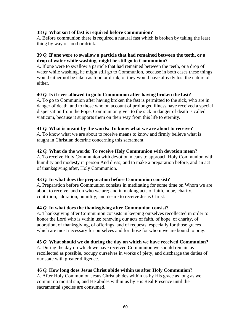## **38** *Q.* **What sort of fast is required before Communion?**

*A.* Before communion there is required a natural fast which is broken by taking the least thing by way of food or drink.

### **39** *Q.* **If one were to swallow a particle that had remained between the teeth, or a drop of water while washing, might he still go to Communion?**

*A.* If one were to swallow a particle that had remained between the teeth, or a drop of water while washing, he might still go to Communion, because in both cases these things would either not be taken as food or drink, or they would have already lost the nature of either.

### **40** *Q.* **Is it ever allowed to go to Communion after having broken the fast?**

*A.* To go to Communion after having broken the fast is permitted to the sick, who are in danger of death, and to those who on account of prolonged illness have received a special dispensation from the Pope. Communion given to the sick in danger of death is called viaticum, because it supports them on their way from this life to eternity.

### **41** *Q.* **What is meant by the words: To know what we are about to receive?**

*A.* To know what we are about to receive means to know and firmly believe what is taught in Christian doctrine concerning this sacrament.

### **42** *Q.* **What do the words: To receive Holy Communion with devotion mean?**

*A.* To receive Holy Communion with devotion means to approach Holy Communion with humility and modesty in person And dress; and to make a preparation before, and an act of thanksgiving after, Holy Communion.

#### **43** *Q.* **In what does the preparation before Communion consist?**

*A.* Preparation before Communion consists in meditating for some time on Whom we are about to receive, and on who we are; and in making acts of faith, hope, charity, contrition, adoration, humility, and desire to receive Jesus Christ.

#### **44** *Q.* **In what does the thanksgiving after Communion consist?**

*A.* Thanksgiving after Communion consists in keeping ourselves recollected in order to honor the Lord who is within us; renewing our acts of faith, of hope, of charity, of adoration, of thanksgiving, of offerings, and of requests, especially for those graces which are most necessary for ourselves and for those for whom we are bound to pray.

# **45** *Q.* **What should we do during the day on which we have received Communion?**

*A.* During the day on which we have received Communion we should remain as recollected as possible, occupy ourselves in works of piety, and discharge the duties of our state with greater diligence.

#### **46** *Q.* **How long does Jesus Christ abide within us after Holy Communion?**

*A.* After Holy Communion Jesus Christ abides within us by His grace as long as we commit no mortal sin; and He abides within us by His Real Presence until the sacramental species are consumed.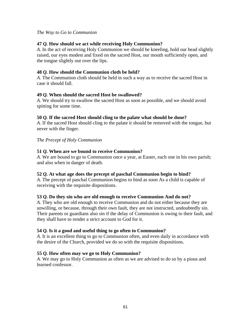### *The Way to Go to Communion*

## **47** *Q.* **How should we act while receiving Holy Communion?**

*A.* In the act of receiving Holy Communion we should be kneeling, hold our head slightly raised, our eyes modest and fixed on the sacred Host, our mouth sufficiently open, and the tongue slightly out over the lips.

### **48** *Q.* **How should the Communion cloth be held?**

*A.* The Communion cloth should be held in such a way as to receive the sacred Host in case it should fall.

#### **49** *Q.* **When should the sacred Host be swallowed?**

*A.* We should try to swallow the sacred Host as soon as possible, and we should avoid spitting for some time.

### **50** *Q.* **If the sacred Host should cling to the palate what should be done?**

*A.* If the sacred Host should cling to the palate it should be removed with the tongue, but never with the finger.

### *The Precept of Holy Communion*

### **51** *Q.* **When are we bound to receive Communion?**

*A.* We are bound to go to Communion once a year, at Easter, each one in his own parish; and also when in danger of death.

#### **52** *Q.* **At what age does the precept of paschal Communion begin to bind?**

*A.* The precept of paschal Communion begins to bind as soon As a child is capable of receiving with the requisite dispositions.

#### **53** *Q.* **Do they sin who are old enough to receive Communion And do not?**

*A.* They who are old enough to receive Communion and do not either because they are unwilling, or because, through their own fault, they are not instructed, undoubtedly sin. Their parents or guardians also sin if the delay of Communion is owing to their fault, and they shall have to render a strict account to God for it.

#### **54** *Q.* **Is it a good and useful thing to go often to Communion?**

*A.* It is an excellent thing to go to Communion often, and even daily in accordance with the desire of the Church, provided we do so with the requisite dispositions.

#### **55** *Q.* **How often may we go to Holy Communion?**

*A.* We may go to Holy Communion as often as we are advised to do so by a pious and learned confessor.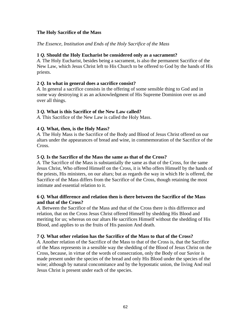# **The Holy Sacrifice of the Mass**

*The Essence, Institution and Ends of the Holy Sacrifice of the Mass*

# **1** *Q.* **Should the Holy Eucharist be considered only as a sacrament?**

*A.* The Holy Eucharist, besides being a sacrament, is also the permanent Sacrifice of the New Law, which Jesus Christ left to His Church to be offered to God by the hands of His priests.

# **2** *Q.* **In what in general does a sacrifice consist?**

*A.* In general a sacrifice consists in the offering of some sensible thing to God and in some way destroying it as an acknowledgment of His Supreme Dominion over us and over all things.

# **3** *Q.* **What is this Sacrifice of the New Law called?**

*A.* This Sacrifice of the New Law is called the Holy Mass.

# **4** *Q.* **What, then, is the Holy Mass?**

*A.* The Holy Mass is the Sacrifice of the Body and Blood of Jesus Christ offered on our altars under the appearances of bread and wine, in commemoration of the Sacrifice of the Cross.

# **5** *Q.* **Is the Sacrifice of the Mass the same as that of the Cross?**

*A.* The Sacrifice of the Mass is substantially the same as that of the Cross, for the same Jesus Christ, Who offered Himself on the Cross, it is Who offers Himself by the hands of the priests, His ministers, on our altars; but as regards the way in which He is offered, the Sacrifice of the Mass differs from the Sacrifice of the Cross, though retaining the most intimate and essential relation to it.

# **6** *Q.* **What difference and relation then is there between the Sacrifice of the Mass and that of the Cross?**

*A.* Between the Sacrifice of the Mass and that of the Cross there is this difference and relation, that on the Cross Jesus Christ offered Himself by shedding His Blood and meriting for us; whereas on our altars He sacrifices Himself without the shedding of His Blood, and applies to us the fruits of His passion And death.

# **7** *Q.* **What other relation has the Sacrifice of the Mass to that of the Cross?**

*A.* Another relation of the Sacrifice of the Mass to that of the Cross is, that the Sacrifice of the Mass represents in a sensible way the shedding of the Blood of Jesus Christ on the Cross, because, in virtue of the words of consecration, only the Body of our Savior is made present under the species of the bread and only His Blood under the species of the wine; although by natural concomitance and by the hypostatic union, the living And real Jesus Christ is present under each of the species.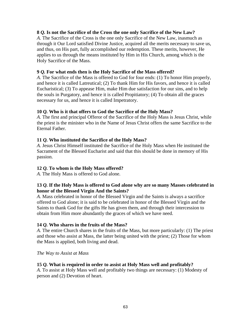### **8** *Q.* **Is not the Sacrifice of the Cross the one only Sacrifice of the New Law?**

*A.* The Sacrifice of the Cross is the one only Sacrifice of the New Law, inasmuch as through it Our Lord satisfied Divine Justice, acquired all the merits necessary to save us, and thus, on His part, fully accomplished our redemption. These merits, however, He applies to us through the means instituted by Him in His Church, among which is the Holy Sacrifice of the Mass.

### **9** *Q.* **For what ends then is the Holy Sacrifice of the Mass offered?**

*A.* The Sacrifice of the Mass is offered to God for four ends: (1) To honor Him properly, and hence it is called Latreutical; (2) To thank Him for His favors, and hence it is called Eucharistical; (3) To appease Him, make Him due satisfaction for our sins, and to help the souls in Purgatory, and hence it is called Propitiatory; (4) To obtain all the graces necessary for us, and hence it is called Impetratory.

### **10** *Q.* **Who is it that offers to God the Sacrifice of the Holy Mass?**

*A.* The first and principal Offeror of the Sacrifice of the Holy Mass is Jesus Christ, while the priest is the minister who in the Name of Jesus Christ offers the same Sacrifice to the Eternal Father.

### **11** *Q.* **Who instituted the Sacrifice of the Holy Mass?**

*A.* Jesus Christ Himself instituted the Sacrifice of the Holy Mass when He instituted the Sacrament of the Blessed Eucharist and said that this should be done in memory of His passion.

# **12** *Q.* **To whom is the Holy Mass offered?**

*A.* The Holy Mass is offered to God alone.

### **13** *Q.* **If the Holy Mass is offered to God alone why are so many Masses celebrated in honor of the Blessed Virgin And the Saints?**

*A.* Mass celebrated in honor of the Blessed Virgin and the Saints is always a sacrifice offered to God alone; it is said to be celebrated in honor of the Blessed Virgin and the Saints to thank God for the gifts He has given them, and through their intercession to obtain from Him more abundantly the graces of which we have need.

# **14** *Q.* **Who shares in the fruits of the Mass?**

*A.* The entire Church shares in the fruits of the Mass, but more particularly: (1) The priest and those who assist at Mass, the latter being united with the priest; (2) Those for whom the Mass is applied, both living and dead.

*The Way to Assist at Mass*

# **15** *Q.* **What is required in order to assist at Holy Mass well and profitably?**

*A.* To assist at Holy Mass well and profitably two things are necessary: (1) Modesty of person and (2) Devotion of heart.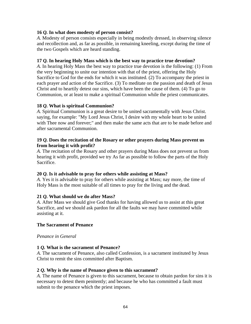## **16** *Q.* **In what does modesty of person consist?**

*A.* Modesty of person consists especially in being modestly dressed, in observing silence and recollection and, as far as possible, in remaining kneeling, except during the time of the two Gospels which are heard standing.

#### **17** *Q.* **In hearing Holy Mass which is the best way to practice true devotion?**

*A.* In hearing Holy Mass the best way to practice true devotion is the following: (1) From the very beginning to unite our intention with that of the priest, offering the Holy Sacrifice to God for the ends for which it was instituted. (2) To accompany the priest in each prayer and action of the Sacrifice. (3) To meditate on the passion and death of Jesus Christ and to heartily detest our sins, which have been the cause of them. (4) To go to Communion, or at least to make a spiritual Communion while the priest communicates.

### **18** *Q.* **What is spiritual Communion?**

*A.* Spiritual Communion is a great desire to be united sacramentally with Jesus Christ. saying, for example: "My Lord Jesus Christ, I desire with my whole heart to be united with Thee now and forever;" and then make the same acts that are to be made before and after sacramental Communion.

## **19** *Q.* **Does the recitation of the Rosary or other prayers during Mass prevent us from hearing it with profit?**

*A.* The recitation of the Rosary and other prayers during Mass does not prevent us from hearing it with profit, provided we try As far as possible to follow the parts of the Holy Sacrifice.

#### **20** *Q.* **Is it advisable to pray for others while assisting at Mass?**

*A.* Yes it is advisable to pray for others while assisting at Mass; nay more, the time of Holy Mass is the most suitable of all times to pray for the living and the dead.

# **21** *Q.* **What should we do after Mass?**

*A.* After Mass we should give God thanks for having allowed us to assist at this great Sacrifice, and we should ask pardon for all the faults we may have committed while assisting at it.

#### **The Sacrament of Penance**

*Penance in General*

# **1** *Q.* **What is the sacrament of Penance?**

*A.* The sacrament of Penance, also called Confession, is a sacrament instituted by Jesus Christ to remit the sins committed after Baptism.

#### **2** *Q.* **Why is the name of Penance given to this sacrament?**

*A.* The name of Penance is given to this sacrament, because to obtain pardon for sins it is necessary to detest them penitently; and because he who has committed a fault must submit to the penance which the priest imposes.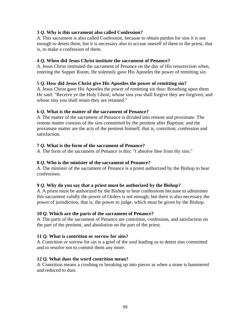## **3** *Q.* **Why is this sacrament also called Confession?**

*A.* This sacrament is also called Confession, because to obtain pardon for sins it is not enough to detest them, but it is necessary also to accuse oneself of them to the priest, that is, to make a confession of them.

### **4** *Q.* **When did Jesus Christ institute the sacrament of Penance?**

*A.* Jesus Christ instituted the sacrament of Penance on the day of His resurrection when, entering the Supper Room, He solemnly gave His Apostles the power of remitting sin.

### **5** *Q.* **How did Jesus Christ give His Apostles the power of remitting sin?**

*A.* Jesus Christ gave His Apostles the power of remitting sin thus: Breathing upon them He said: "Receive ye the Holy Ghost; whose sins you shall forgive they are forgiven; and whose sins you shall retain they are retained."

### **6** *Q.* **What is the matter of the sacrament of Penance?**

*A.* The matter of the sacrament of Penance is divided into remote and proximate. The remote matter consists of the sins committed by the penitent after Baptism; and the proximate matter are the acts of the penitent himself, that is, contrition, confession and satisfaction.

### **7** *Q.* **What is the form of the sacrament of Penance?**

*A.* The form of the sacrament of Penance is this: "I absolve thee from thy sins."

#### **8** *Q.* **Who is the minister of the sacrament of Penance?**

*A.* The minister of the sacrament of Penance is a priest authorized by the Bishop to hear confessions.

#### **9** *Q.* **Why do you say that a priest must be authorized by the Bishop?**

*A.* A priest must be authorized by the Bishop to hear confessions because to administer this sacrament validly the power of Orders is not enough, but there is also necessary the power of jurisdiction, that is, the power to judge, which must be given by the Bishop.

#### **10** *Q.* **Which are the parts of the sacrament of Penance?**

*A.* The parts of the sacrament of Penance are contrition, confession, and satisfaction on the part of the penitent, and absolution on the part of the priest.

# **11** *Q.* **What is contrition or sorrow for sins?**

*A.* Contrition or sorrow for sin is a grief of the soul leading us to detest sins committed and to resolve not to commit them any more.

# **12** *Q.* **What does the word contrition mean?**

*A.* Contrition means a crushing or breaking up into pieces as when a stone is hammered and reduced to dust.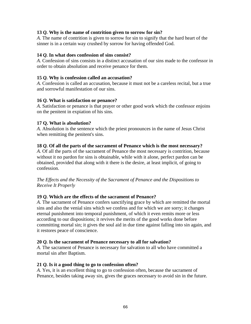### **13** *Q.* **Why is the name of contrition given to sorrow for sin?**

*A.* The name of contrition is given to sorrow for sin to signify that the hard heart of the sinner is in a certain way crushed by sorrow for having offended God.

#### **14** *Q.* **In what does confession of sins consist?**

*A.* Confession of sins consists in a distinct accusation of our sins made to the confessor in order to obtain absolution and receive penance for them.

#### **15** *Q.* **Why is confession called an accusation?**

*A.* Confession is called an accusation, because it must not be a careless recital, but a true and sorrowful manifestation of our sins.

### **16** *Q.* **What is satisfaction or penance?**

*A.* Satisfaction or penance is that prayer or other good work which the confessor enjoins on the penitent in expiation of his sins.

### **17 Q. What is absolution?**

*A.* Absolution is the sentence which the priest pronounces in the name of Jesus Christ when remitting the penitent's sins.

#### **18** *Q.* **Of all the parts of the sacrament of Penance which is the most necessary?**

*A.* Of all the parts of the sacrament of Penance the most necessary is contrition, because without it no pardon for sins is obtainable, while with it alone, perfect pardon can be obtained, provided that along with it there is the desire, at least implicit, of going to confession.

*The Effects and the Necessity of the Sacrament of Penance and the Dispositions to Receive It Properly*

# **19** *Q.* **Which are the effects of the sacrament of Penance?**

*A.* The sacrament of Penance confers sanctifying grace by which are remitted the mortal sins and also the venial sins which we confess and for which we are sorry; it changes eternal punishment into temporal punishment, of which it even remits more or less according to our dispositions; it revives the merits of the good works done before committing mortal sin; it gives the soul aid in due time against falling into sin again, and it restores peace of conscience.

#### **20** *Q.* **Is the sacrament of Penance necessary to all for salvation?**

*A.* The sacrament of Penance is necessary for salvation to all who have committed a mortal sin after Baptism.

# **21** *Q.* **Is it a good thing to go to confession often?**

*A.* Yes, it is an excellent thing to go to confession often, because the sacrament of Penance, besides taking away sin, gives the graces necessary to avoid sin in the future.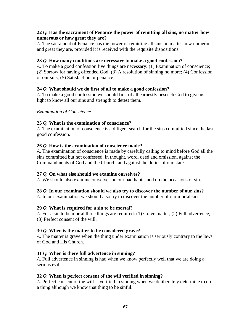### **22** *Q.* **Has the sacrament of Penance the power of remitting all sins, no matter how numerous or how great they are?**

*A.* The sacrament of Penance has the power of remitting all sins no matter how numerous and great they are, provided it is received with the requisite dispositions.

# **23** *Q.* **How many conditions are necessary to make a good confession?**

*A.* To make a good confession five things are necessary: (1) Examination of conscience; (2) Sorrow for having offended God; (3) A resolution of sinning no more; (4) Confession of our sins; (5) Satisfaction or penance

# **24** *Q.* **What should we do first of all to make a good confession?**

*A.* To make a good confession we should first of all earnestly beseech God to give us light to know all our sins and strength to detest them.

### *Examination of Conscience*

# **25** *Q.* **What is the examination of conscience?**

*A.* The examination of conscience is a diligent search for the sins committed since the last good confession.

#### **26** *Q.* **How is the examination of conscience made?**

*A.* The examination of conscience is made by carefully calling to mind before God all the sins committed but not confessed, in thought, word, deed and omission, against the Commandments of God and the Church, and against the duties of our state.

# **27** *Q.* **On what else should we examine ourselves?**

*A.* We should also examine ourselves on our bad habits and on the occasions of sin.

# **28** *Q.* **In our examination should we also try to discover the number of our sins?**

*A.* In our examination we should also try to discover the number of our mortal sins.

# **29** *Q.* **What is required for a sin to be mortal?**

*A.* For a sin to be mortal three things are required: (1) Grave matter, (2) Full advertence, (3) Perfect consent of the will.

#### **30** *Q.* **When is the matter to be considered grave?**

*A.* The matter is grave when the thing under examination is seriously contrary to the laws of God and His Church.

#### **31** *Q.* **When is there full advertence in sinning?**

*A.* Full advertence in sinning is had when we know perfectly well that we are doing a serious evil.

#### **32** *Q.* **When is perfect consent of the will verified in sinning?**

*A.* Perfect consent of the will is verified in sinning when we deliberately determine to do a thing although we know that thing to be sinful.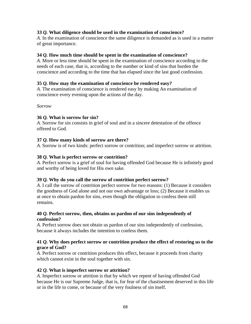# **33** *Q.* **What diligence should be used in the examination of conscience?**

*A.* In the examination of conscience the same diligence is demanded as is used in a matter of great importance.

## **34** *Q.* **How much time should be spent in the examination of conscience?**

*A.* More or less time should be spent in the examination of conscience according to the needs of each case, that is, according to the number or kind of sins that burden the conscience and according to the time that has elapsed since the last good confession.

### **35** *Q.* **How may the examination of conscience be rendered easy?**

*A.* The examination of conscience is rendered easy by making An examination of conscience every evening upon the actions of the day.

*Sorrow*

# **36** *Q.* **What is sorrow for sin?**

*A.* Sorrow for sin consists in grief of soul and in a sincere detestation of the offence offered to God.

### **37** *Q.* **How many kinds of sorrow are there?**

*A.* Sorrow is of two kinds: perfect sorrow or contrition; and imperfect sorrow or attrition.

### **38** *Q.* **What is perfect sorrow or contrition?**

*A.* Perfect sorrow is a grief of soul for having offended God because He is infinitely good and worthy of being loved for His own sake.

# **39** *Q.* **Why do you call the sorrow of contrition perfect sorrow?**

*A.* I call the sorrow of contrition perfect sorrow for two reasons: (1) Because it considers the goodness of God alone and not our own advantage or loss; (2) Because it enables us at once to obtain pardon for sins, even though the obligation to confess them still remains.

### **40** *Q.* **Perfect sorrow, then, obtains us pardon of our sins independently of confession?**

*A.* Perfect sorrow does not obtain us pardon of our sins independently of confession, because it always includes the intention to confess them.

### **41** *Q.* **Why does perfect sorrow or contrition produce the effect of restoring us to the grace of God?**

*A.* Perfect sorrow or contrition produces this effect, because it proceeds from charity which cannot exist in the soul together with sin.

# **42** *Q.* **What is imperfect sorrow or attrition?**

*A.* Imperfect sorrow or attrition is that by which we repent of having offended God because He is our Supreme Judge, that is, for fear of the chastisement deserved in this life or in the life to come, or because of the very foulness of sin itself.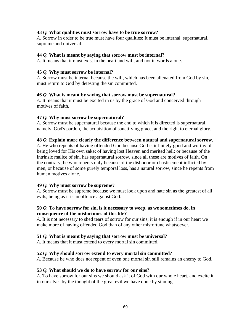#### **43** *Q.* **What qualities must sorrow have to be true sorrow?**

*A.* Sorrow in order to be true must have four qualities: It must be internal, supernatural, supreme and universal.

#### **44** *Q.* **What is meant by saying that sorrow must be internal?**

*A.* It means that it must exist in the heart and will, and not in words alone.

#### **45** *Q.* **Why must sorrow be internal?**

*A.* Sorrow must be internal because the will, which has been alienated from God by sin, must return to God by detesting the sin committed.

### **46** *Q.* **What is meant by saying that sorrow must be supernatural?**

*A.* It means that it must be excited in us by the grace of God and conceived through motives of faith.

### **47** *Q.* **Why must sorrow be supernatural?**

*A.* Sorrow must be supernatural because the end to which it is directed is supernatural, namely, God's pardon, the acquisition of sanctifying grace, and the right to eternal glory.

### **48** *Q.* **Explain more clearly the difference between natural and supernatural sorrow.**

*A.* He who repents of having offended God because God is infinitely good and worthy of being loved for His own sake; of having lost Heaven and merited hell; or because of the intrinsic malice of sin, has supernatural sorrow, since all these are motives of faith. On the contrary, he who repents only because of the dishonor or chastisement inflicted by men, or because of some purely temporal loss, has a natural sorrow, since he repents from human motives alone.

#### **49** *Q.* **Why must sorrow be supreme?**

*A.* Sorrow must be supreme because we must look upon and hate sin as the greatest of all evils, being as it is an offence against God.

### **50** *Q.* **To have sorrow for sin, is it necessary to weep, as we sometimes do, in consequence of the misfortunes of this life?**

*A.* It is not necessary to shed tears of sorrow for our sins; it is enough if in our heart we make more of having offended God than of any other misfortune whatsoever.

# **51** *Q.* **What is meant by saying that sorrow must be universal?**

*A.* It means that it must extend to every mortal sin committed.

# **52** *Q.* **Why should sorrow extend to every mortal sin committed?**

*A.* Because he who does not repent of even one mortal sin still remains an enemy to God.

#### **53** *Q.* **What should we do to have sorrow for our sins?**

*A.* To have sorrow for our sins we should ask it of God with our whole heart, and excite it in ourselves by the thought of the great evil we have done by sinning.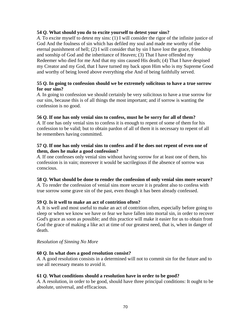### **54** *Q.* **What should you do to excite yourself to detest your sins?**

*A.* To excite myself to detest my sins: (1) I will consider the rigor of the infinite justice of God And the foulness of sin which has defiled my soul and made me worthy of the eternal punishment of hell; (2) I will consider that by sin I have lost the grace, friendship and sonship of God and the inheritance of Heaven; (3) That I have offended my Redeemer who died for me And that my sins caused His death; (4) That I have despised my Creator and my God, that I have turned my back upon Him who is my Supreme Good and worthy of being loved above everything else And of being faithfully served.

### **55** *Q.* **In going to confession should we be extremely solicitous to have a true sorrow for our sins?**

*A.* In going to confession we should certainly be very solicitous to have a true sorrow for our sins, because this is of all things the most important; and if sorrow is wanting the confession is no good.

# **56** *Q.* **If one has only venial sins to confess, must he be sorry for all of them?**

*A.* If one has only venial sins to confess it is enough to repent of some of them for his confession to be valid; but to obtain pardon of all of them it is necessary to repent of all he remembers having committed.

### **57** *Q.* **If one has only venial sins to confess and if he does not repent of even one of them, does he make a good confession?**

*A.* If one confesses only venial sins without having sorrow for at least one of them, his confession is in vain; moreover it would be sacrilegious if the absence of sorrow was conscious.

# **58** *Q.* **What should be done to render the confession of only venial sins more secure?**

*A.* To render the confession of venial sins more secure it is prudent also to confess with true sorrow some grave sin of the past, even though it has been already confessed.

# **59** *Q.* **Is it well to make an act of contrition often?**

*A.* It is well and most useful to make an act of contrition often, especially before going to sleep or when we know we have or fear we have fallen into mortal sin, in order to recover God's grace as soon as possible; and this practice will make it easier for us to obtain from God the grace of making a like act at time of our greatest need, that is, when in danger of death.

#### *Resolution of Sinning No More*

#### **60** *Q.* **In what does a good resolution consist?**

*A.* A good resolution consists in a determined will not to commit sin for the future and to use all necessary means to avoid it.

#### **61** *Q.* **What conditions should a resolution have in order to be good?**

*A.* A resolution, in order to be good, should have three principal conditions: It ought to be absolute, universal, and efficacious.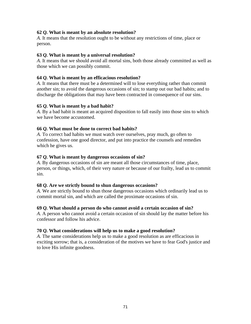### **62** *Q.* **What is meant by an absolute resolution?**

*A.* It means that the resolution ought to be without any restrictions of time, place or person.

#### **63** *Q.* **What is meant by a universal resolution?**

*A.* It means that we should avoid all mortal sins, both those already committed as well as those which we can possibly commit.

### **64** *Q.* **What is meant by an efficacious resolution?**

*A.* It means that there must be a determined will to lose everything rather than commit another sin; to avoid the dangerous occasions of sin; to stamp out our bad habits; and to discharge the obligations that may have been contracted in consequence of our sins.

#### **65** *Q.* **What is meant by a bad habit?**

*A.* By a bad habit is meant an acquired disposition to fall easily into those sins to which we have become accustomed.

### **66** *Q.* **What must be done to correct bad habits?**

*A.* To correct bad habits we must watch over ourselves, pray much, go often to confession, have one good director, and put into practice the counsels and remedies which he gives us.

### **67** *Q.* **What is meant by dangerous occasions of sin?**

*A.* By dangerous occasions of sin are meant all those circumstances of time, place, person, or things, which, of their very nature or because of our frailty, lead us to commit sin.

#### **68** *Q.* **Are we strictly bound to shun dangerous occasions?**

*A.* We are strictly bound to shun those dangerous occasions which ordinarily lead us to commit mortal sin, and which are called the proximate occasions of sin.

#### **69** *Q.* **What should a person do who cannot avoid a certain occasion of sin?**

*A.* A person who cannot avoid a certain occasion of sin should lay the matter before his confessor and follow his advice.

#### **70** *Q.* **What considerations will help us to make a good resolution?**

*A.* The same considerations help us to make a good resolution as are efficacious in exciting sorrow; that is, a consideration of the motives we have to fear God's justice and to love His infinite goodness.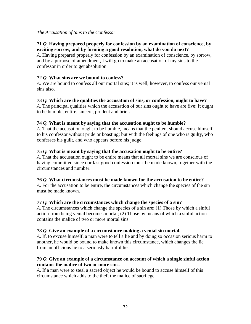### *The Accusation of Sins to the Confessor*

# **71** *Q.* **Having prepared properly for confession by an examination of conscience, by exciting sorrow, and by forming a good resolution, what do you do next?**

*A.* Having prepared properly for confession by an examination of conscience, by sorrow, and by a purpose of amendment, I will go to make an accusation of my sins to the confessor in order to get absolution.

### **72** *Q.* **What sins are we bound to confess?**

*A.* We are bound to confess all our mortal sins; it is well, however, to confess our venial sins also.

### **73** *Q.* **Which are the qualities the accusation of sins, or confession, ought to have?**

*A.* The principal qualities which the accusation of our sins ought to have are five: It ought to be humble, entire, sincere, prudent and brief.

### **74** *Q.* **What is meant by saying that the accusation ought to be humble?**

*A.* That the accusation ought to be humble, means that the penitent should accuse himself to his confessor without pride or boasting; but with the feelings of one who is guilty, who confesses his guilt, and who appears before his judge.

#### **75** *Q.* **What is meant by saying that the accusation ought to be entire?**

*A.* That the accusation ought to be entire means that all mortal sins we are conscious of having committed since our last good confession must be made known, together with the circumstances and number.

#### **76** *Q.* **What circumstances must be made known for the accusation to be entire?**

*A.* For the accusation to be entire, the circumstances which change the species of the sin must be made known.

#### **77** *Q.* **Which are the circumstances which change the species of a sin?**

*A.* The circumstances which change the species of a sin are: (1) Those by which a sinful action from being venial becomes mortal; (2) Those by means of which a sinful action contains the malice of two or more mortal sins.

#### **78** *Q.* **Give an example of a circumstance making a venial sin mortal.**

*A.* If, to excuse himself, a man were to tell a lie and by doing so occasion serious harm to another, he would be bound to make known this circumstance, which changes the lie from an officious lie to a seriously harmful lie.

### **79** *Q.* **Give an example of a circumstance on account of which a single sinful action contains the malice of two or more sins.**

*A.* If a man were to steal a sacred object he would be bound to accuse himself of this circumstance which adds to the theft the malice of sacrilege.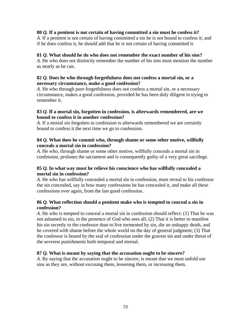### **80** *Q.* **If a penitent is not certain of having committed a sin must he confess it?**

*A.* If a penitent is not certain of having committed a sin he is not bound to confess it; and if he does confess it, he should add that he is not certain of having committed it.

#### **81** *Q.* **What should he do who does not remember the exact number of his sins?**

*A.* He who does not distinctly remember the number of his sins must mention the number as nearly as he can.

#### **82** *Q.* **Does he who through forgetfulness does not confess a mortal sin, or a necessary circumstance, make a good confession?**

*A.* He who through pure forgetfulness does not confess a mortal sin, or a necessary circumstance, makes a good confession, provided he has been duly diligent in trying to remember it.

### **83** *Q.* **If a mortal sin, forgotten in confession, is afterwards remembered, are we bound to confess it in another confession?**

*A.* If a mortal sin forgotten in confession is afterwards remembered we are certainly bound to confess it the next time we go to confession.

#### **84** *Q.* **What does he commit who, through shame or some other motive, willfully conceals a mortal sin in confession?**

*A.* He who, through shame or some other motive, willfully conceals a mortal sin in confession, profanes the sacrament and is consequently guilty of a very great sacrilege.

### **85** *Q.* **In what way must he relieve his conscience who has willfully concealed a mortal sin in confession?**

*A.* He who has willfully concealed a mortal sin in confession, must reveal to his confessor the sin concealed, say in how many confessions he has concealed it, and make all these confessions over again, from the last good confession.

### **86** *Q.* **What reflection should a penitent make who is tempted to conceal a sin in confession?**

*A.* He who is tempted to conceal a mortal sin in confession should reflect: (1) That he was not ashamed to sin, in the presence of God who sees all; (2) That it is better to manifest his sin secretly to the confessor than to live tormented by sin, die an unhappy death, and be covered with shame before the whole world on the day of general judgment; (3) That the confessor is bound by the seal of confession under the gravest sin and under threat of the severest punishments both temporal and eternal.

## **87** *Q.* **What is meant by saying that the accusation ought to be sincere?**

*A.* By saying that the accusation ought to be sincere, is meant that we must unfold our sins as they are, without excusing them, lessening them, or increasing them.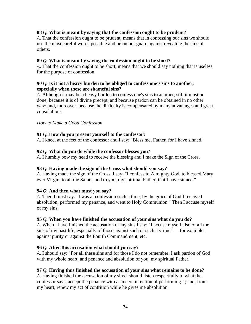### **88** *Q.* **What is meant by saying that the confession ought to be prudent?**

*A.* That the confession ought to be prudent, means that in confessing our sins we should use the most careful words possible and be on our guard against revealing the sins of others.

#### **89** *Q.* **What is meant by saying the confession ought to be short?**

*A.* That the confession ought to be short, means that we should say nothing that is useless for the purpose of confession.

### **90** *Q.* **Is it not a heavy burden to be obliged to confess one's sins to another, especially when these are shameful sins?**

*A.* Although it may be a heavy burden to confess one's sins to another, still it must be done, because it is of divine precept, and because pardon can be obtained in no other way; and, moreover, because the difficulty is compensated by many advantages and great consolations.

#### *How to Make a Good Confession*

### **91** *Q.* **How do you present yourself to the confessor?**

*A.* I kneel at the feet of the confessor and I say: "Bless me, Father, for I have sinned."

### **92** *Q.* **What do you do while the confessor blesses you?**

*A.* I humbly bow my head to receive the blessing and I make the Sign of the Cross.

### **93** *Q.* **Having made the sign of the Cross what should you say?**

*A.* Having made the sign of the Cross, I say: "I confess to Almighty God, to blessed Mary ever Virgin, to all the Saints, and to you, my spiritual Father, that I have sinned."

## **94** *Q.* **And then what must you say?**

*A.* Then I must say: "I was at confession such a time; by the grace of God I received absolution, performed my penance, and went to Holy Communion." Then I accuse myself of my sins.

#### **95** *Q.* **When you have finished the accusation of your sins what do you do?**

*A.* When I have finished the accusation of my sins I say: "I accuse myself also of all the sins of my past life, especially of those against such or such a virtue" — for example, against purity or against the Fourth Commandment, etc.

#### **96** *Q.* **After this accusation what should you say?**

*A.* I should say: "For all these sins and for those I do not remember, I ask pardon of God with my whole heart, and penance and absolution of you, my spiritual Father."

#### **97** *Q.* **Having thus finished the accusation of your sins what remains to be done?**

*A.* Having finished the accusation of my sins I should listen respectfully to what the confessor says, accept the penance with a sincere intention of performing it; and, from my heart, renew my act of contrition while he gives me absolution.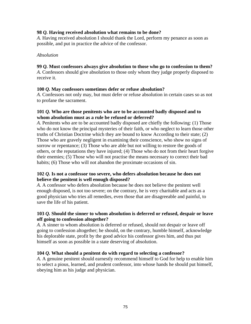## **98** *Q.* **Having received absolution what remains to be done?**

*A.* Having received absolution I should thank the Lord, perform my penance as soon as possible, and put in practice the advice of the confessor.

#### *Absolution*

### **99** *Q.* **Must confessors always give absolution to those who go to confession to them?**

*A.* Confessors should give absolution to those only whom they judge properly disposed to receive it.

### **100** *Q.* **May confessors sometimes defer or refuse absolution?**

*A.* Confessors not only may, but must defer or refuse absolution in certain cases so as not to profane the sacrament.

### **101** *Q.* **Who are those penitents who are to be accounted badly disposed and to whom absolution must as a rule be refused or deferred?**

*A.* Penitents who are to be accounted badly disposed are chiefly the following: (1) Those who do not know the principal mysteries of their faith, or who neglect to learn those other truths of Christian Doctrine which they are bound to know According to their state; (2) Those who are gravely negligent in examining their conscience, who show no signs of sorrow or repentance; (3) Those who are able but not willing to restore the goods of others, or the reputations they have injured; (4) Those who do not from their heart forgive their enemies; (5) Those who will not practise the means necessary to correct their bad habits; (6) Those who will not abandon the proximate occasions of sin.

## **102** *Q.* **Is not a confessor too severe, who defers absolution because he does not believe the penitent is well enough disposed?**

*A.* A confessor who defers absolution because he does not believe the penitent well enough disposed, is not too severe; on the contrary, he is very charitable and acts as a good physician who tries all remedies, even those that are disagreeable and painful, to save the life of his patient.

## **103** *Q.* **Should the sinner to whom absolution is deferred or refused, despair or leave off going to confession altogether?**

*A.* A sinner to whom absolution is deferred or refused, should not despair or leave off going to confession altogether; he should, on the contrary, humble himself, acknowledge his deplorable state, profit by the good advice his confessor gives him, and thus put himself as soon as possible in a state deserving of absolution.

## **104** *Q.* **What should a penitent do with regard to selecting a confessor?**

*A.* A genuine penitent should earnestly recommend himself to God for help to enable him to select a pious, learned, and prudent confessor, into whose hands he should put himself, obeying him as his judge and physician.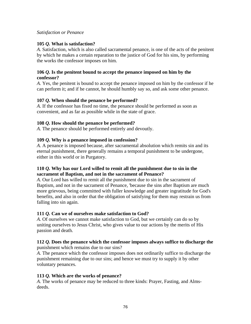### *Satisfaction or Penance*

### **105** *Q.* **What is satisfaction?**

*A.* Satisfaction, which is also called sacramental penance, is one of the acts of the penitent by which he makes a certain reparation to the justice of God for his sins, by performing the works the confessor imposes on him.

### **106** *Q.* **Is the penitent bound to accept the penance imposed on him by the confessor?**

*A.* Yes, the penitent is bound to accept the penance imposed on him by the confessor if he can perform it; and if he cannot, he should humbly say so, and ask some other penance.

## **107** *Q.* **When should the penance be performed?**

*A.* If the confessor has fixed no time, the penance should be performed as soon as convenient, and as far as possible while in the state of grace.

## **108** *Q.* **How should the penance be performed?**

*A.* The penance should be performed entirely and devoutly.

## **109** *Q.* **Why is a penance imposed in confession?**

*A.* A penance is imposed because, after sacramental absolution which remits sin and its eternal punishment, there generally remains a temporal punishment to be undergone, either in this world or in Purgatory.

### **110** *Q.* **Why has our Lord willed to remit all the punishment due to sin in the sacrament of Baptism, and not in the sacrament of Penance?**

*A.* Our Lord has willed to remit all the punishment due to sin in the sacrament of Baptism, and not in the sacrament of Penance, 'because the sins after Baptism are much more grievous, being committed with fuller knowledge and greater ingratitude for God's benefits, and also in order that the obligation of satisfying for them may restrain us from falling into sin again.

## **111** *Q.* **Can we of ourselves make satisfaction to God?**

*A.* Of ourselves we cannot make satisfaction to God, but we certainly can do so by uniting ourselves to Jesus Christ, who gives value to our actions by the merits of His passion and death.

#### **112** *Q.* **Does the penance which the confessor imposes always suffice to discharge the** punishment which remains due to our sins?

*A.* The penance which the confessor imposes does not ordinarily suffice to discharge the punishment remaining due to our sins; and hence we must try to supply it by other voluntary penances.

## **113** *Q.* **Which are the works of penance?**

*A.* The works of penance may be reduced to three kinds: Prayer, Fasting, and Almsdeeds.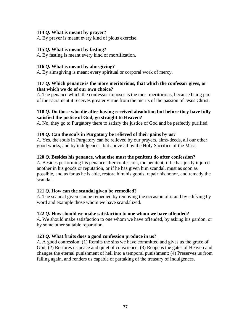### **114** *Q.* **What is meant by prayer?**

*A.* By prayer is meant every kind of pious exercise.

#### **115** *Q.* **What is meant by fasting?**

*A.* By fasting is meant every kind of mortification.

#### **116** *Q.* **What is meant by almsgiving?**

*A.* By almsgiving is meant every spiritual or corporal work of mercy.

#### **117** *Q.* **Which penance is the more meritorious, that which the confessor gives, or that which we do of our own choice?**

*A.* The penance which the confessor imposes is the most meritorious, because being part of the sacrament it receives greater virtue from the merits of the passion of Jesus Christ.

#### **118** *Q.* **Do those who die after having received absolution but before they have fully satisfied the justice of God, go straight to Heaven?**

*A.* No, they go to Purgatory there to satisfy the justice of God and be perfectly purified.

#### **119** *Q.* **Can the souls in Purgatory be relieved of their pains by us?**

*A.* Yes, the souls in Purgatory can be relieved by our prayers, alms-deeds, all our other good works, and by indulgences, but above all by the Holy Sacrifice of the Mass.

#### **120** *Q.* **Besides his penance, what else must the penitent do after confession?**

*A.* Besides performing his penance after confession, the penitent, if he has justly injured another in his goods or reputation, or if he has given him scandal, must as soon as possible, and as far as he is able, restore him his goods, repair his honor, and remedy the scandal.

#### **121** *Q.* **How can the scandal given be remedied?**

*A.* The scandal given can be remedied by removing the occasion of it and by edifying by word and example those whom we have scandalized.

#### **122** *Q.* **How should we make satisfaction to one whom we have offended?**

*A.* We should make satisfaction to one whom we have offended, by asking his pardon, or by some other suitable reparation.

#### **123** *Q.* **What fruits does a good confession produce in us?**

*A.* A good confession: (1) Remits the sins we have committed and gives us the grace of God; (2) Restores us peace and quiet of conscience; (3) Reopens the gates of Heaven and changes the eternal punishment of hell into a temporal punishment; (4) Preserves us from falling again, and renders us capable of partaking of the treasury of Indulgences.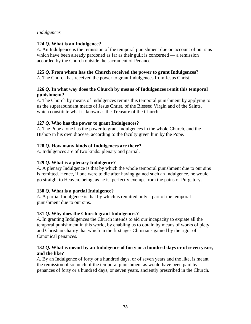## *Indulgences*

### **124** *Q.* **What is an Indulgence?**

*A.* An Indulgence is the remission of the temporal punishment due on account of our sins which have been already pardoned as far as their guilt is concerned — a remission accorded by the Church outside the sacrament of Penance.

### **125** *Q.* **From whom has the Church received the power to grant Indulgences?**

*A.* The Church has received the power to grant Indulgences from Jesus Christ.

### **126** *Q.* **In what way does the Church by means of Indulgences remit this temporal punishment?**

*A.* The Church by means of Indulgences remits this temporal punishment by applying to us the superabundant merits of Jesus Christ, of the Blessed Virgin and of the Saints, which constitute what is known as the Treasure of the Church.

## **127** *Q.* **Who has the power to grant Indulgences?**

*A.* The Pope alone has the power to grant Indulgences in the whole Church, and the Bishop in his own diocese, according to the faculty given him by the Pope.

### **128** *Q.* **How many kinds of Indulgences are there?**

*A.* Indulgences are of two kinds: plenary and partial.

### **129** *Q.* **What is a plenary Indulgence?**

*A.* A plenary Indulgence is that by which the whole temporal punishment due to our sins is remitted. Hence, if one were to die after having gained such an Indulgence, he would go straight to Heaven, being, as he is, perfectly exempt from the pains of Purgatory.

## **130** *Q.* **What is a partial Indulgence?**

*A.* A partial Indulgence is that by which is remitted only a part of the temporal punishment due to our sins.

## **131** *Q.* **Why does the Church grant Indulgences?**

*A.* In granting Indulgences the Church intends to aid our incapacity to expiate all the temporal punishment in this world, by enabling us to obtain by means of works of piety and Christian charity that which in the first ages Christians gained by the rigor of Canonical penances.

### **132** *Q.* **What is meant by an Indulgence of forty or a hundred days or of seven years, and the like?**

*A.* By an Indulgence of forty or a hundred days, or of seven years and the like, is meant the remission of so much of the temporal punishment as would have been paid by penances of forty or a hundred days, or seven years, anciently prescribed in the Church.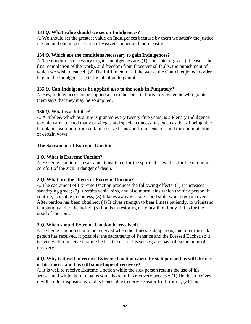## **133** *Q.* **What value should we set on Indulgences?**

*A.* We should set the greatest value on Indulgences because by them we satisfy the justice of God and obtain possession of Heaven sooner and more easily.

### **134** *Q.* **Which are the conditions necessary to gain Indulgences?**

*A.* The conditions necessary to gain Indulgences are: (1) The state of grace (at least at the final completion of the work), and freedom from those venial faults, the punishment of which we wish to cancel; (2) The fulfillment of all the works the Church enjoins in order to gain the Indulgence; (3) The intention to gain it.

### **135** *Q.* **Can Indulgences be applied also to the souls in Purgatory?**

*A.* Yes, Indulgences can be applied also to the souls in Purgatory, when he who grants them says that they may be so applied.

### **136** *Q.* **What is a Jubilee?**

*A.* A Jubilee, which as a rule is granted every twenty-five years, is a Plenary Indulgence to which are attached many privileges and special concessions, such as that of being able to obtain absolution from certain reserved sins and from censures, and the commutation of certain vows.

#### **The Sacrament of Extreme Unction**

### **1** *Q.* **What is Extreme Unction?**

*A.* Extreme Unction is a sacrament instituted for the spiritual as well as for the temporal comfort of the sick in danger of death.

## **2** *Q.* **What are the effects of Extreme Unction?**

*A.* The sacrament of Extreme Unction produces the following effects: (1) It increases sanctifying grace; (2) It remits venial sins, and also mortal sins which the sick person, if contrite, is unable to confess; (3) It takes away weakness and sloth which remain even After pardon has been obtained; (4) It gives strength to bear illness patiently, to withstand temptation and to die holily; (5) It aids in restoring us to health of body if it is for the good of the soul.

## **3** *Q.* **When should Extreme Unction be received?**

*A.* Extreme Unction should be received when the illness is dangerous, and after the sick person has received, if possible, the sacraments of Penance and the Blessed Eucharist; it is even well to receive it while he has the use of his senses, and has still some hope of recovery.

### **4** *Q.* **Why is it well to receive Extreme Unction when the sick person has still the use of his senses, and has still some hope of recovery?**

*A.* It is well to receive Extreme Unction while the sick person retains the use of his senses, and while there remains some hope of his recovery because: (1) He thus receives it with better dispositions, and is hence able to derive greater fruit from it; (2) This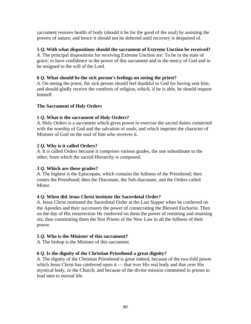sacrament restores health of body (should it be for the good of the soul) by assisting the powers of nature; and hence it should not be deferred until recovery is despaired of.

## **5** *Q.* **With what dispositions should the sacrament of Extreme Unction be received?**

*A.* The principal dispositions for receiving Extreme Unction are: To be in the state of grace; to have confidence in the power of this sacrament and in the mercy of God and to be resigned to the will of the Lord.

# **6** *Q.* **What should be the sick person's feelings on seeing the priest?**

*A.* On seeing the priest, the sick person should feel thankful to God for having sent him; and should gladly receive the comforts of religion, which, if he is able, he should request himself.

# **The Sacrament of Holy Orders**

# **1** *Q.* **What is the sacrament of Holy Orders?**

*A.* Holy Orders is a sacrament which gives power to exercise the sacred duties connected with the worship of God and the salvation of souls, and which imprints the character of Minister of God on the soul of him who receives it.

# **2** *Q.* **Why is it called Orders?**

*A.* It is called Orders because it comprises various grades, the one subordinate to the other, from which the sacred Hierarchy is composed.

# **3** *Q.* **Which are these grades?**

*A.* The highest is the Episcopate, which contains the fullness of the Priesthood; then comes the Priesthood; then the Diaconate, the Sub-diaconate, and the Orders called Minor.

# **4** *Q.* **When did Jesus Christ institute the Sacerdotal Order?**

*A.* Jesus Christ instituted the Sacerdotal Order at the Last Supper when he conferred on the Apostles and their successors the power of consecrating the Blessed Eucharist. Then on the day of His resurrection He conferred on them the power of remitting and retaining sin, thus constituting them the first Priests of the New Law in all the fullness of their power.

# **5** *Q.* **Who is the Minister of this sacrament?**

*A.* The bishop is the Minister of this sacrament.

# **6** *Q.* **Is the dignity of the Christian Priesthood a great dignity?**

*A.* The dignity of the Christian Priesthood is great indeed, because of the two-fold power which Jesus Christ has conferred upon it — that over His real body and that over His mystical body, or the Church; and because of the divine mission committed to priests to lead men to eternal life.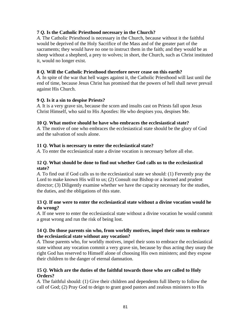## **7** *Q.* **Is the Catholic Priesthood necessary in the Church?**

*A.* The Catholic Priesthood is necessary in the Church, because without it the faithful would be deprived of the Holy Sacrifice of the Mass and of the greater part of the sacraments; they would have no one to instruct them in the faith; and they would be as sheep without a shepherd, a prey to wolves; in short, the Church, such as Christ instituted it, would no longer exist.

# **8** *Q.* **Will the Catholic Priesthood therefore never cease on this earth?**

*A.* In spite of the war that hell wages against it, the Catholic Priesthood will last until the end of time, because Jesus Christ has promised that the powers of hell shall never prevail against His Church.

# **9** *Q.* **Is it a sin to despise Priests?**

*A.* It is a very grave sin, because the scorn and insults cast on Priests fall upon Jesus Christ Himself, who said to His Apostles: He who despises you, despises Me.

# **10** *Q.* **What motive should he have who embraces the ecclesiastical state?**

*A.* The motive of one who embraces the ecclesiastical state should be the glory of God and the salvation of souls alone.

# **11** *Q.* **What is necessary to enter the ecclesiastical state?**

*A.* To enter the ecclesiastical state a divine vocation is necessary before all else.

## **12** *Q.* **What should be done to find out whether God calls us to the ecclesiastical state?**

*A.* To find out if God calls us to the ecclesiastical state we should: (1) Fervently pray the Lord to make known His will to us; (2) Consult our Bishop or a learned and prudent director; (3) Diligently examine whether we have the capacity necessary for the studies, the duties, and the obligations of this state.

### **13** *Q.* **If one were to enter the ecclesiastical state without a divine vocation would he do wrong?**

*A.* If one were to enter the ecclesiastical state without a divine vocation he would commit a great wrong and run the risk of being lost.

### **14** *Q.* **Do those parents sin who, from worldly motives, impel their sons to embrace the ecclesiastical state without any vocation?**

*A.* Those parents who, for worldly motives, impel their sons to embrace the ecclesiastical state without any vocation commit a very grave sin, because by thus acting they usurp the right God has reserved to Himself alone of choosing His own ministers; and they expose their children to the danger of eternal damnation.

## **15** *Q.* **Which are the duties of the faithful towards those who are called to Holy Orders?**

*A.* The faithful should: (1) Give their children and dependents full liberty to follow the call of God; (2) Pray God to deign to grant good pastors and zealous ministers to His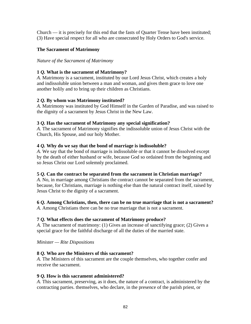Church — it is precisely for this end that the fasts of Quarter Tense have been instituted; (3) Have special respect for all who are consecrated by Holy Orders to God's service.

## **The Sacrament of Matrimony**

### *Nature of the Sacrament of Matrimony*

### **1** *Q.* **What is the sacrament of Matrimony?**

*A.* Matrimony is a sacrament, instituted by our Lord Jesus Christ, which creates a holy and indissoluble union between a man and woman, and gives them grace to love one another holily and to bring up their children as Christians.

### **2** *Q.* **By whom was Matrimony instituted?**

*A.* Matrimony was instituted by God Himself in the Garden of Paradise, and was raised to the dignity of a sacrament by Jesus Christ in the New Law.

#### **3** *Q.* **Has the sacrament of Matrimony any special signification?**

*A.* The sacrament of Matrimony signifies the indissoluble union of Jesus Christ with the Church, His Spouse, and our holy Mother.

#### **4** *Q.* **Why do we say that the bond of marriage is indissoluble?**

*A.* We say that the bond of marriage is indissoluble or that it cannot be dissolved except by the death of either husband or wife, because God so ordained from the beginning and so Jesus Christ our Lord solemnly proclaimed.

#### **5** *Q.* **Can the contract be separated from the sacrament in Christian marriage?**

*A.* No, in marriage among Christians the contract cannot be separated from the sacrament, because, for Christians, marriage is nothing else than the natural contract itself, raised by Jesus Christ to the dignity of a sacrament.

## **6** *Q.* **Among Christians, then, there can be no true marriage that is not a sacrament?**

*A.* Among Christians there can be no true marriage that is not a sacrament.

#### **7** *Q.* **What effects does the sacrament of Matrimony produce?**

*A.* The sacrament of matrimony: (1) Gives an increase of sanctifying grace; (2) Gives a special grace for the faithful discharge of all the duties of the married state.

*Minister — Rite Dispositions*

#### **8** *Q.* **Who are the Ministers of this sacrament?**

*A.* The Ministers of this sacrament are the couple themselves, who together confer and receive the sacrament.

#### **9** *Q.* **How is this sacrament administered?**

*A.* This sacrament, preserving, as it does, the nature of a contract, is administered by the contracting parties. themselves, who declare, in the presence of the parish priest, or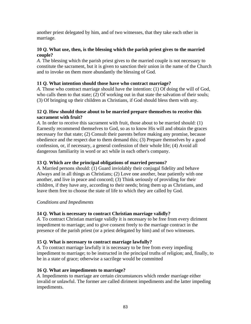another priest delegated by him, and of two witnesses, that they take each other in marriage.

# **10** *Q.* **What use, then, is the blessing which the parish priest gives to the married couple?**

*A.* The blessing which the parish priest gives to the married couple is not necessary to constitute the sacrament, but it is given to sanction their union in the name of the Church and to invoke on them more abundantly the blessing of God.

# **11** *Q.* **What intention should those have who contract marriage?**

*A.* Those who contract marriage should have the intention: (1) Of doing the will of God, who calls them to that state; (2) Of working out in that state the salvation of their souls; (3) Of bringing up their children as Christians, if God should bless them with any.

### **12** *Q.* **How should those about to be married prepare themselves to receive this sacrament with fruit?**

*A.* In order to receive this sacrament with fruit, those about to be married should: (1) Earnestly recommend themselves to God, so as to know His will and obtain the graces necessary for that state; (2) Consult their parents before making any promise, because obedience and the respect due to them demand this; (3) Prepare themselves by a good confession, or, if necessary, a general confession of their whole life; (4) Avoid all dangerous familiarity in word or act while in each other's company.

## **13** *Q.* **Which are the principal obligations of married persons?**

*A.* Married persons should: (1) Guard inviolably their conjugal fidelity and behave Always and in all things as Christians; (2) Love one another, bear patiently with one another, and live in peace and concord; (3) Think seriously of providing for their children, if they have any, according to their needs; bring them up as Christians, and leave them free to choose the state of life to which they are called by God.

## *Conditions and Impediments*

# **14** *Q.* **What is necessary to contract Christian marriage validly?**

*A.* To contract Christian marriage validly it is necessary to be free from every diriment impediment to marriage; and to give consent freely to the marriage contract in the presence of the parish priest (or a priest delegated by him) and of two witnesses.

## **15** *Q.* **What is necessary to contract marriage lawfully?**

*A.* To contract marriage lawfully it is necessary to be free from every impeding impediment to marriage; to be instructed in the principal truths of religion; and, finally, to be in a state of grace; otherwise a sacrilege would be committed

## **16** *Q.* **What are impediments to marriage?**

*A.* Impediments to marriage are certain circumstances which render marriage either invalid or unlawful. The former are called diriment impediments and the latter impeding impediments.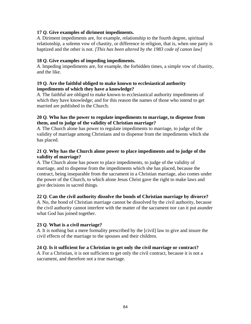## **17** *Q.* **Give examples of diriment impediments.**

*A.* Diriment impediments are, for example, relationship to the fourth degree, spiritual relationship, a solemn vow of chastity, or difference in religion, that is, when one party is baptized and the other is not. *[This has been altered by the 1983 code of canon law]*

#### **18** *Q.* **Give examples of impeding impediments.**

*A.* Impeding impediments are, for example, the forbidden times, a simple vow of chastity, and the like.

#### **19** *Q.* **Are the faithful obliged to make known to ecclesiastical authority impediments of which they have a knowledge?**

*A.* The faithful are obliged to make known to ecclesiastical authority impediments of which they have knowledge; and for this reason the names of those who intend to get married are published in the Church.

### **20** *Q.* **Who has the power to regulate impediments to marriage, to dispense from them, and to judge of the validity of Christian marriage?**

*A.* The Church alone has power to regulate impediments to marriage, to judge of the validity of marriage among Christians and to dispense from the impediments which she has placed.

### **21** *Q.* **Why has the Church alone power to place impediments and to judge of the validity of marriage?**

*A.* The Church alone has power to place impediments, to judge of the validity of marriage, and to dispense from the impediments which she has placed, because the contract, being inseparable from the sacrament in a Christian marriage, also comes under the power of the Church, to which alone Jesus Christ gave the right to make laws and give decisions in sacred things.

## **22** *Q.* **Can the civil authority dissolve the bonds of Christian marriage by divorce?**

*A.* No, the bond of Christian marriage cannot be dissolved by the civil authority, because the civil authority cannot interfere with the matter of the sacrament nor can it put asunder what God has joined together.

## **23** *Q.* **What is a civil marriage?**

*A.* It is nothing but a mere formality prescribed by the [civil] law to give and insure the civil effects of the marriage to the spouses and their children.

## **24** *Q.* **Is it sufficient for a Christian to get only the civil marriage or contract?**

*A.* For a Christian, it is not sufficient to get only the civil contract, because it is not a sacrament, and therefore not a true marriage.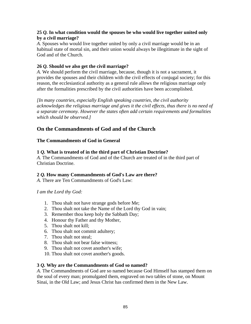### **25** *Q.* **In what condition would the spouses be who would live together united only by a civil marriage?**

*A.* Spouses who would live together united by only a civil marriage would be in an habitual state of mortal sin, and their union would always be illegitimate in the sight of God and of the Church.

## **26** *Q.* **Should we also get the civil marriage?**

*A.* We should perform the civil marriage, because, though it is not a sacrament, it provides the spouses and their children with the civil effects of conjugal society; for this reason, the ecclesiastical authority as a general rule allows the religious marriage only after the formalities prescribed by the civil authorities have been accomplished.

*[In many countries, especially English speaking countries, the civil authority acknowledges the religious marriage and gives it the civil effects, thus there is no need of a separate ceremony. However the states often add certain requirements and formalities which should be observed.]*

# **On the Commandments of God and of the Church**

# **The Commandments of God in General**

# **1** *Q.* **What is treated of in the third part of Christian Doctrine?**

*A.* The Commandments of God and of the Church are treated of in the third part of Christian Doctrine.

## **2** *Q.* **How many Commandments of God's Law are there?**

*A.* There are Ten Commandments of God's Law:

*I am the Lord thy God:*

- 1. Thou shalt not have strange gods before Me;
- 2. Thou shalt not take the Name of the Lord thy God in vain;
- 3. Remember thou keep holy the Sabbath Day;
- 4. Honour thy Father and thy Mother,
- 5. Thou shalt not kill;
- 6. Thou shalt not commit adultery;
- 7. Thou shalt not steal;
- 8. Thou shalt not bear false witness;
- 9. Thou shalt not covet another's wife;
- 10. Thou shalt not covet another's goods.

## **3** *Q.* **Why are the Commandments of God so named?**

*A.* The Commandments of God are so named because God Himself has stamped them on the soul of every man; promulgated them, engraved on two tables of stone, on Mount Sinai, in the Old Law; and Jesus Christ has confirmed them in the New Law.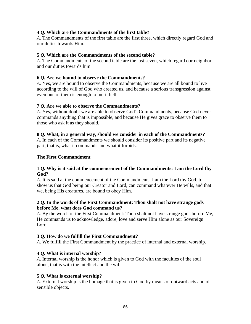### **4** *Q.* **Which are the Commandments of the first table?**

*A.* The Commandments of the first table are the first three, which directly regard God and our duties towards Him.

### **5** *Q.* **Which are the Commandments of the second table?**

*A.* The Commandments of the second table are the last seven, which regard our neighbor, and our duties towards him.

#### **6** *Q.* **Are we bound to observe the Commandments?**

*A.* Yes, we are bound to observe the Commandments, because we are all bound to live according to the will of God who created us, and because a serious transgression against even one of them is enough to merit hell.

### **7** *Q.* **Are we able to observe the Commandments?**

*A.* Yes, without doubt we are able to observe God's Commandments, because God never commands anything that is impossible, and because He gives grace to observe them to those who ask it as they should.

#### **8** *Q.* **What, in a general way, should we consider in each of the Commandments?**

*A.* In each of the Commandments we should consider its positive part and its negative part, that is, what it commands and what it forbids.

### **The First Commandment**

### **1** *Q.* **Why is it said at the commencement of the Commandments: I am the Lord thy God?**

*A.* It is said at the commencement of the Commandments: I am the Lord thy God, to show us that God being our Creator and Lord, can command whatever He wills, and that we, being His creatures, are bound to obey Him.

### **2** *Q.* **In the words of the First Commandment: Thou shalt not have strange gods before Me, what does God command us?**

*A.* By the words of the First Commandment: Thou shalt not have strange gods before Me, He commands us to acknowledge, adore, love and serve Him alone as our Sovereign Lord.

## **3** *Q.* **How do we fulfill the First Commandment?**

*A.* We fulfill the First Commandment by the practice of internal and external worship.

## **4** *Q.* **What is internal worship?**

*A.* Internal worship is the honor which is given to God with the faculties of the soul alone, that is with the intellect and the will.

## **5** *Q.* **What is external worship?**

*A.* External worship is the homage that is given to God by means of outward acts and of sensible objects.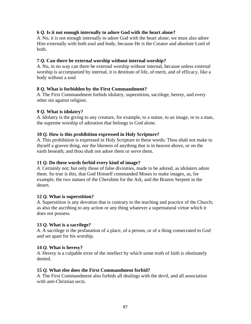## **6** *Q.* **Is it not enough internally to adore God with the heart alone?**

*A.* No, it is not enough internally to adore God with the heart alone; we must also adore Him externally with both soul and body, because He is the Creator and absolute Lord of both.

## **7** *Q.* **Can there be external worship without internal worship?**

*A.* No, in no way can there be external worship without internal, because unless external worship is accompanied by internal, it is destitute of life, of merit, and of efficacy, like a body without a soul

# **8** *Q.* **What is forbidden by the First Commandment?**

*A.* The First Commandment forbids idolatry, superstition, sacrilege, heresy, and every other sin against religion.

# **9** *Q.* **What is idolatry?**

*A.* Idolatry is the giving to any creature, for example, to a statue, to an image, or to a man, the supreme worship of adoration that belongs to God alone.

## **10** *Q.* **How is this prohibition expressed in Holy Scripture?**

*A.* This prohibition is expressed in Holy Scripture in these words: Thou shalt not make to thyself a graven thing, nor the likeness of anything that is in heaven above, or on the earth beneath; and thou shalt not adore them or serve them.

## **11** *Q.* **Do these words forbid every kind of image?**

*A.* Certainly not; but only those of false divinities, made to be adored, as idolaters adore them. So true is this, that God Himself commanded Moses to make images, as, for example, the two statues of the Cherubim for the Ark, and the Brazen Serpent in the desert.

## **12** *Q.* **What is superstition?**

*A.* Superstition is any devotion that is contrary to the teaching and practice of the Church; as also the ascribing to any action or any thing whatever a supernatural virtue which it does not possess.

## **13** *Q.* **What is a sacrilege?**

*A.* A sacrilege is the profanation of a place, of a person, or of a thing consecrated to God and set apart for his worship.

## **14** *Q.* **What is heresy?**

*A.* Heresy is a culpable error of the intellect by which some truth of faith is obstinately denied.

## **15** *Q.* **What else does the First Commandment forbid?**

*A.* The First Commandment also forbids all dealings with the devil, and all association with anti-Christian sects.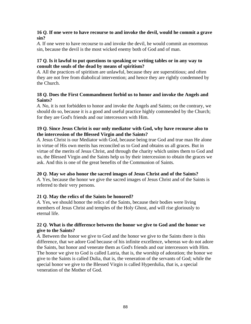### **16** *Q.* **If one were to have recourse to and invoke the devil, would he commit a grave sin?**

*A.* If one were to have recourse to and invoke the devil, he would commit an enormous sin, because the devil is the most wicked enemy both of God and of man.

### **17** *Q.* **Is it lawful to put questions to speaking or writing tables or in any way to consult the souls of the dead by means of spiritism?**

*A.* All the practices of spiritism are unlawful, because they are superstitious; and often they are not free from diabolical intervention; and hence they are rightly condemned by the Church.

### **18** *Q.* **Does the First Commandment forbid us to honor and invoke the Angels and Saints?**

*A.* No, it is not forbidden to honor and invoke the Angels and Saints; on the contrary, we should do so, because it is a good and useful practice highly commended by the Church; for they are God's friends and our intercessors with Him.

## **19** *Q.* **Since Jesus Christ is our only mediator with God, why have recourse also to the intercession of the Blessed Virgin and the Saints?**

*A.* Jesus Christ is our Mediator with God, because being true God and true man He alone in virtue of His own merits has reconciled us to God and obtains us all graces. But in virtue of the merits of Jesus Christ, and through the charity which unites them to God and us, the Blessed Virgin and the Saints help us by their intercession to obtain the graces we ask. And this is one of the great benefits of the Communion of Saints.

## **20** *Q.* **May we also honor the sacred images of Jesus Christ and of the Saints?**

*A.* Yes, because the honor we give the sacred images of Jesus Christ and of the Saints is referred to their very persons.

# **21** *Q.* **May the relics of the Saints be honored?**

*A.* Yes, we should honor the relics of the Saints, because their bodies were living members of Jesus Christ and temples of the Holy Ghost, and will rise gloriously to eternal life.

## **22** *Q.* **What is the difference between the honor we give to God and the honor we give to the Saints?**

*A.* Between the honor we give to God and the honor we give to the Saints there is this difference, that we adore God because of his infinite excellence, whereas we do not adore the Saints, but honor and venerate them as God's friends and our intercessors with Him. The honor we give to God is called Latria, that is, the worship of adoration; the honor we give to the Saints is called Dulia, that is, the veneration of the servants of God; while the special honor we give to the Blessed Virgin is called Hyperdulia, that is, a special veneration of the Mother of God.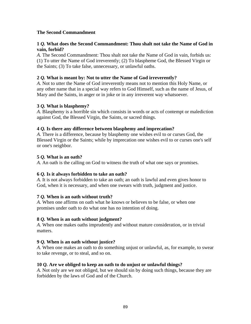### **The Second Commandment**

### **1** *Q.* **What does the Second Commandment: Thou shalt not take the Name of God in vain, forbid?**

*A.* The Second Commandment: Thou shalt not take the Name of God in vain, forbids us: (1) To utter the Name of God irreverently; (2) To blaspheme God, the Blessed Virgin or the Saints; (3) To take false, unnecessary, or unlawful oaths.

### **2** *Q.* **What is meant by: Not to utter the Name of God irreverently?**

*A.* Not to utter the Name of God irreverently means not to mention this Holy Name, or any other name that in a special way refers to God Himself, such as the name of Jesus, of Mary and the Saints, in anger or in joke or in any irreverent way whatsoever.

### **3** *Q.* **What is blasphemy?**

*A.* Blasphemy is a horrible sin which consists in words or acts of contempt or malediction against God, the Blessed Virgin, the Saints, or sacred things.

#### **4** *Q.* **Is there any difference between blasphemy and imprecation?**

*A.* There is a difference, because by blasphemy one wishes evil to or curses God, the Blessed Virgin or the Saints; while by imprecation one wishes evil to or curses one's self or one's neighbor.

### **5** *Q.* **What is an oath?**

*A.* An oath is the calling on God to witness the truth of what one says or promises.

## **6** *Q.* **Is it always forbidden to take an oath?**

*A.* It is not always forbidden to take an oath; an oath is lawful and even gives honor to God, when it is necessary, and when one swears with truth, judgment and justice.

## **7** *Q.* **When is an oath without truth?**

*A.* When one affirms on oath what he knows or believes to be false, or when one promises under oath to do what one has no intention of doing.

## **8** *Q.* **When is an oath without judgment?**

*A.* When one makes oaths imprudently and without mature consideration, or in trivial matters.

## **9** *Q.* **When is an oath without justice?**

*A.* When one makes an oath to do something unjust or unlawful, as, for example, to swear to take revenge, or to steal, and so on.

## **10** *Q.* **Are we obliged to keep an oath to do unjust or unlawful things?**

*A.* Not only are we not obliged, but we should sin by doing such things, because they are forbidden by the laws of God and of the Church.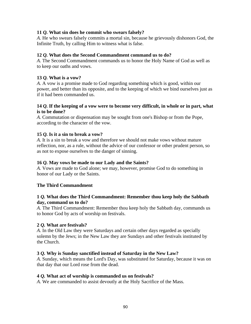### **11** *Q.* **What sin does he commit who swears falsely?**

*A.* He who swears falsely commits a mortal sin, because he grievously dishonors God, the Infinite Truth, by calling Him to witness what is false.

#### **12** *Q.* **What does the Second Commandment command us to do?**

*A.* The Second Commandment commands us to honor the Holy Name of God as well as to keep our oaths and vows.

#### **13** *Q.* **What is a vow?**

*A.* A vow is a promise made to God regarding something which is good, within our power, and better than its opposite, and to the keeping of which we bind ourselves just as if it had been commanded us.

#### **14** *Q.* **If the keeping of a vow were to become very difficult, in whole or in part, what is to be done?**

*A.* Commutation or dispensation may be sought from one's Bishop or from the Pope, according to the character of the vow.

### **15** *Q.* **Is it a sin to break a vow?**

*A.* It is a sin to break a vow and therefore we should not make vows without mature reflection, nor, as a rule, without the advice of our confessor or other prudent person, so as not to expose ourselves to the danger of sinning.

#### **16** *Q.* **May vows be made to our Lady and the Saints?**

*A.* Vows are made to God alone; we may, however, promise God to do something in honor of our Lady or the Saints.

## **The Third Commandment**

### **1** *Q.* **What does the Third Commandment: Remember thou keep holy the Sabbath day, command us to do?**

*A.* The Third Commandment: Remember thou keep holy the Sabbath day, commands us to honor God by acts of worship on festivals.

## **2** *Q.* **What are festivals?**

*A.* In the Old Law they were Saturdays and certain other days regarded as specially solemn by the Jews; in the New Law they are Sundays and other festivals instituted by the Church.

#### **3** *Q.* **Why is Sunday sanctified instead of Saturday in the New Law?**

*A.* Sunday, which means the Lord's Day, was substituted for Saturday, because it was on that day that our Lord rose from the dead.

#### **4** *Q.* **What act of worship is commanded us on festivals?**

*A.* We are commanded to assist devoutly at the Holy Sacrifice of the Mass.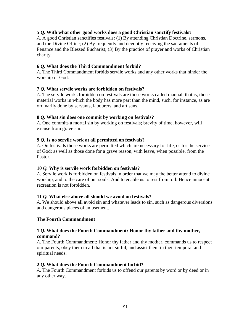### **5** *Q.* **With what other good works does a good Christian sanctify festivals?**

*A.* A good Christian sanctifies festivals: (1) By attending Christian Doctrine, sermons, and the Divine Office; (2) By frequently and devoutly receiving the sacraments of Penance and the Blessed Eucharist; (3) By the practice of prayer and works of Christian charity.

#### **6** *Q.* **What does the Third Commandment forbid?**

*A.* The Third Commandment forbids servile works and any other works that hinder the worship of God.

### **7** *Q.* **What servile works are forbidden on festivals?**

*A.* The servile works forbidden on festivals are those works called manual, that is, those material works in which the body has more part than the mind, such, for instance, as are ordinarily done by servants, labourers, and artisans.

#### **8** *Q.* **What sin does one commit by working on festivals?**

*A.* One commits a mortal sin by working on festivals; brevity of time, however, will excuse from grave sin.

### **9** *Q.* **Is no servile work at all permitted on festivals?**

*A.* On festivals those works are permitted which are necessary for life, or for the service of God; as well as those done for a grave reason, with leave, when possible, from the Pastor.

#### **10** *Q.* **Why is servile work forbidden on festivals?**

*A.* Servile work is forbidden on festivals in order that we may the better attend to divine worship, and to the care of our souls; And to enable us to rest from toil. Hence innocent recreation is not forbidden.

#### **11** *Q.* **What else above all should we avoid on festivals?**

*A.* We should above all avoid sin and whatever leads to sin, such as dangerous diversions and dangerous places of amusement.

#### **The Fourth Commandment**

### **1** *Q.* **What does the Fourth Commandment: Honor thy father and thy mother, command?**

*A.* The Fourth Commandment: Honor thy father and thy mother, commands us to respect our parents, obey them in all that is not sinful, and assist them in their temporal and spiritual needs.

## **2** *Q.* **What does the Fourth Commandment forbid?**

*A.* The Fourth Commandment forbids us to offend our parents by word or by deed or in any other way.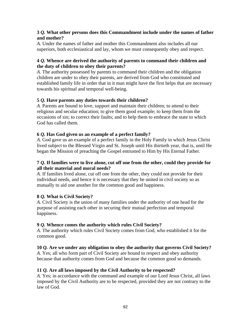### **3** *Q.* **What other persons does this Commandment include under the names of father and mother?**

*A.* Under the names of father and mother this Commandment also includes all our superiors, both ecclesiastical and lay, whom we must consequently obey and respect.

## **4** *Q.* **Whence are derived the authority of parents to command their children and the duty of children to obey their parents?**

*A.* The authority possessed by parents to command their children and the obligation children are under to obey their parents, are derived from God who constituted and established family life in order that in it man might have the first helps that are necessary towards his spiritual and temporal well-being.

# **5** *Q.* **Have parents any duties towards their children?**

*A.* Parents are bound to love, support and maintain their children; to attend to their religious and secular education; to give them good example; to keep them from the occasions of sin; to correct their faults; and to help them to embrace the state to which God has called them.

## **6** *Q.* **Has God given us an example of a perfect family?**

*A.* God gave us an example of a perfect family in the Holy Family in which Jesus Christ lived subject to the Blessed Virgin and St. Joseph until His thirtieth year, that is, until He began the Mission of preaching the Gospel entrusted to Him by His Eternal Father.

## **7** *Q.* **If families were to live alone, cut off one from the other, could they provide for all their material and moral needs?**

*A.* If families lived alone, cut off one from the other, they could not provide for their individual needs, and hence it is necessary that they be united in civil society so as mutually to aid one another for the common good and happiness.

## **8** *Q.* **What is Civil Society?**

*A.* Civil Society is the union of many families under the authority of one head for the purpose of assisting each other in securing their mutual perfection and temporal happiness.

## **9** *Q.* **Whence comes the authority which rules Civil Society?**

*A.* The authority which rules Civil Society comes from God, who established it for the common good.

# **10** *Q.* **Are we under any obligation to obey the authority that governs Civil Society?**

*A.* Yes; all who form part of Civil Society are bound to respect and obey authority because that authority comes from God and because the common good so demands.

## **11** *Q.* **Are all laws imposed by the Civil Authority to be respected?**

*A.* Yes; in accordance with the command and example of our Lord Jesus Christ, all laws imposed by the Civil Authority are to be respected, provided they are not contrary to the law of God.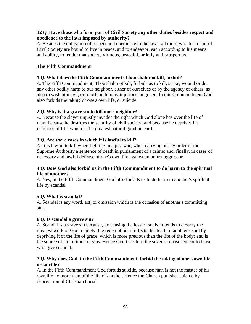## **12** *Q.* **Have those who form part of Civil Society any other duties besides respect and obedience to the laws imposed by authority?**

*A.* Besides the obligation of respect and obedience to the laws, all those who form part of Civil Society are bound to live in peace, and to endeavor, each according to his means and ability, to render that society virtuous, peaceful, orderly and prosperous.

### **The Fifth Commandment**

### **1** *Q.* **What does the Fifth Commandment: Thou shalt not kill, forbid?**

*A.* The Fifth Commandment, Thou shalt not kill, forbids us to kill, strike, wound or do any other bodily harm to our neighbor, either of ourselves or by the agency of others; as also to wish him evil, or to offend him by injurious language. In this Commandment God also forbids the taking of one's own life, or suicide.

### **2** *Q.* **Why is it a grave sin to kill one's neighbor?**

*A.* Because the slayer unjustly invades the right which God alone has over the life of man; because he destroys the security of civil society; and because he deprives his neighbor of life, which is the greatest natural good on earth.

### **3** *Q.* **Are there cases in which it is lawful to kill?**

*A.* It is lawful to kill when fighting in a just war; when carrying out by order of the Supreme Authority a sentence of death in punishment of a crime; and, finally, in cases of necessary and lawful defense of one's own life against an unjust aggressor.

### **4** *Q.* **Does God also forbid us in the Fifth Commandment to do harm to the spiritual life of another?**

*A.* Yes, in the Fifth Commandment God also forbids us to do harm to another's spiritual life by scandal.

#### **5** *Q.* **What is scandal?**

*A.* Scandal is any word, act, or omission which is the occasion of another's committing sin.

#### **6** *Q.* **Is scandal a grave sin?**

*A.* Scandal is a grave sin because, by causing the loss of souls, it tends to destroy the greatest work of God, namely, the redemption; it effects the death of another's soul by depriving it of the life of grace, which is more precious than the life of the body; and is the source of a multitude of sins. Hence God threatens the severest chastisement to those who give scandal.

### **7** *Q.* **Why does God, in the Fifth Commandment, forbid the taking of one's own life or suicide?**

*A.* In the Fifth Commandment God forbids suicide, because man is not the master of his own life no more than of the life of another. Hence the Church punishes suicide by deprivation of Christian burial.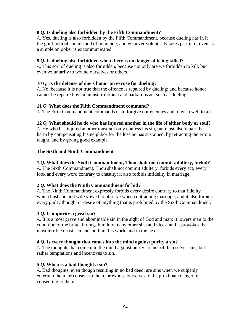## **8** *Q.* **Is dueling also forbidden by the Fifth Commandment?**

*A.* Yes, dueling is also forbidden by the Fifth Commandment, because dueling has in it the guilt both of suicide and of homicide; and whoever voluntarily takes part in it, even as a simple onlooker is excommunicated.

### **9** *Q.* **Is dueling also forbidden when there is no danger of being killed?**

*A.* This sort of dueling is also forbidden, because not only are we forbidden to kill, but even voluntarily to wound ourselves or others.

## **10** *Q.* **Is the defense of one's honor an excuse for dueling?**

*A.* No, because it is not true that the offence is repaired by dueling; and because honor cannot be repaired by an unjust, irrational and barbarous act such as dueling.

### **11** *Q.* **What does the Fifth Commandment command?**

*A.* The Fifth Commandment commands us to forgive our enemies and to wish well to all.

### **12** *Q.* **What should he do who has injured another in the life of either body or soul?**

*A.* He who has injured another must not only confess his sin, but must also repair the harm by compensating his neighbor for the loss he has sustained, by retracting the errors taught, and by giving good example.

### **The Sixth and Ninth Commandment**

### **1** *Q.* **What does the Sixth Commandment, Thou shalt not commit adultery, forbid?**

*A.* The Sixth Commandment, Thou shalt not commit adultery, forbids every act, every look and every word contrary to chastity; it also forbids infidelity in marriage.

## **2** *Q.* **What does the Ninth Commandment forbid?**

*A.* The Ninth Commandment expressly forbids every desire contrary to that fidelity which husband and wife vowed to observe when contracting marriage; and it also forbids every guilty thought or desire of anything that is prohibited by the Sixth Commandment.

## **3** *Q.* **Is impurity a great sin?**

*A.* It is a most grave and abominable sin in the sight of God and man; it lowers man to the condition of the brute; it drags him into many other sins and vices; and it provokes the most terrible chastisements both in this world and in the next.

## **4** *Q.* **Is every thought that comes into the mind against purity a sin?**

*A.* The thoughts that come into the mind against purity are not of themselves sins, but rather temptations and incentives to sin.

## **5** *Q.* **When is a bad thought a sin?**

*A.* Bad thoughts, even though resulting in no bad deed, are sins when we culpably entertain them, or consent to them, or expose ourselves to the proximate danger of consenting to them.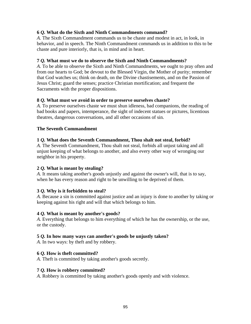## **6** *Q.* **What do the Sixth and Ninth Commandments command?**

*A.* The Sixth Commandment commands us to be chaste and modest in act, in look, in behavior, and in speech. The Ninth Commandment commands us in addition to this to be chaste and pure interiorly, that is, in mind and in heart.

#### **7** *Q.* **What must we do to observe the Sixth and Ninth Commandments?**

*A.* To be able to observe the Sixth and Ninth Commandments, we ought to pray often and from our hearts to God; be devout to the Blessed Virgin, the Mother of purity; remember that God watches us; think on death, on the Divine chastisements, and on the Passion of Jesus Christ; guard the senses; practice Christian mortification; and frequent the Sacraments with the proper dispositions.

### **8** *Q.* **What must we avoid in order to preserve ourselves chaste?**

*A.* To preserve ourselves chaste we must shun idleness, bad companions, the reading of bad books and papers, intemperance, the sight of indecent statues or pictures, licentious theatres, dangerous conversations, and all other occasions of sin.

### **The Seventh Commandment**

## **1** *Q.* **What does the Seventh Commandment, Thou shalt not steal, forbid?**

*A.* The Seventh Commandment, Thou shalt not steal, forbids all unjust taking and all unjust keeping of what belongs to another, and also every other way of wronging our neighbor in his property.

#### **2** *Q.* **What is meant by stealing?**

*A.* It means taking another's goods unjustly and against the owner's will, that is to say, when he has every reason and right to be unwilling to be deprived of them.

## **3** *Q.* **Why is it forbidden to steal?**

*A.* Because a sin is committed against justice and an injury is done to another by taking or keeping against his right and will that which belongs to him.

#### **4** *Q.* **What is meant by another's goods?**

*A.* Everything that belongs to him everything of which he has the ownership, or the use, or the custody.

#### **5** *Q.* **In how many ways can another's goods be unjustly taken?**

*A.* In two ways: by theft and by robbery.

## **6** *Q.* **How is theft committed?**

*A.* Theft is committed by taking another's goods secretly.

#### **7** *Q.* **How is robbery committed?**

*A.* Robbery is committed by taking another's goods openly and with violence.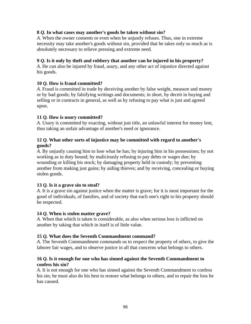### **8** *Q.* **In what cases may another's goods be taken without sin?**

*A.* When the owner consents or even when he unjustly refuses. Thus, one in extreme necessity may take another's goods without sin, provided that he takes only so much as is absolutely necessary to relieve pressing and extreme need.

### **9** *Q.* **Is it only by theft and robbery that another can be injured in his property?**

*A.* He can also be injured by fraud, usury, and any other act of injustice directed against his goods.

### **10** *Q.* **How is fraud committed?**

*A.* Fraud is committed in trade by deceiving another by false weight, measure and money or by bad goods; by falsifying writings and documents; in short, by deceit in buying and selling or in contracts in general, as well as by refusing to pay what is just and agreed upon.

### **11** *Q.* **How is usury committed?**

*A.* Usury is committed by exacting, without just title, an unlawful interest for money lent, thus taking an unfair advantage of another's need or ignorance.

### **12** *Q.* **What other sorts of injustice may be committed with regard to another's goods?**

*A.* By unjustly causing him to lose what he has; by injuring him in his possessions; by not working as in duty bound; by maliciously refusing to pay debts or wages due; by wounding or killing his stock; by damaging property held in custody; by preventing another from making just gains; by aiding thieves; and by receiving, concealing or buying stolen goods.

#### **13** *Q.* **Is it a grave sin to steal?**

*A.* It is a grave sin against justice when the matter is grave; for it is most important for the good of individuals, of families, and of society that each one's right to his property should be respected.

#### **14** *Q.* **When is stolen matter grave?**

*A.* When that which is taken is considerable, as also when serious loss is inflicted on another by taking that which in itself is of little value.

#### **15** *Q.* **What does the Seventh Commandment command?**

*A.* The Seventh Commandment commands us to respect the property of others, to give the laborer fair wages, and to observe justice in all that concerns what belongs to others.

#### **16** *Q.* **Is it enough for one who has sinned against the Seventh Commandment to confess his sin?**

*A.* It is not enough for one who has sinned against the Seventh Commandment to confess his sin; he must also do his best to restore what belongs to others, and to repair the loss he has caused.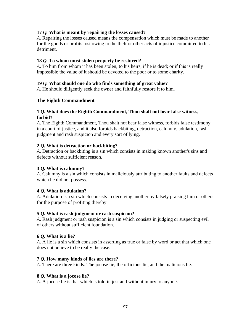### **17** *Q.* **What is meant by repairing the losses caused?**

*A.* Repairing the losses caused means the compensation which must be made to another for the goods or profits lost owing to the theft or other acts of injustice committed to his detriment.

### **18** *Q.* **To whom must stolen property be restored?**

*A.* To him from whom it has been stolen; to his heirs, if he is dead; or if this is really impossible the value of it should be devoted to the poor or to some charity.

### **19** *Q.* **What should one do who finds something of great value?**

*A.* He should diligently seek the owner and faithfully restore it to him.

### **The Eighth Commandment**

#### **1** *Q.* **What does the Eighth Commandment, Thou shalt not bear false witness, forbid?**

*A.* The Eighth Commandment, Thou shalt not bear false witness, forbids false testimony in a court of justice, and it also forbids backbiting, detraction, calumny, adulation, rash judgment and rash suspicion and every sort of lying.

### **2** *Q.* **What is detraction or backbiting?**

*A.* Detraction or backbiting is a sin which consists in making known another's sins and defects without sufficient reason.

#### **3** *Q.* **What is calumny?**

*A.* Calumny is a sin which consists in maliciously attributing to another faults and defects which he did not possess.

## **4** *Q.* **What is adulation?**

*A.* Adulation is a sin which consists in deceiving another by falsely praising him or others for the purpose of profiting thereby.

#### **5** *Q.* **What is rash judgment or rash suspicion?**

*A.* Rash judgment or rash suspicion is a sin which consists in judging or suspecting evil of others without sufficient foundation.

#### **6** *Q.* **What is a lie?**

*A.* A lie is a sin which consists in asserting as true or false by word or act that which one does not believe to be really the case.

#### **7** *Q.* **How many kinds of lies are there?**

*A.* There are three kinds: The jocose lie, the officious lie, and the malicious lie.

#### **8** *Q.* **What is a jocose lie?**

*A.* A jocose lie is that which is told in jest and without injury to anyone.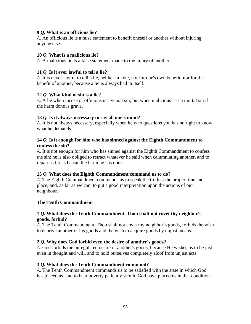### **9** *Q.* **What is an officious lie?**

*A.* An officious lie is a false statement to benefit oneself or another without injuring anyone else.

### **10** *Q.* **What is a malicious lie?**

*A.* A malicious lie is a false statement made to the injury of another.

### **11** *Q.* **Is it ever lawful to tell a lie?**

*A.* It is never lawful to tell a lie, neither in joke, nor for one's own benefit, nor for the benefit of another, because a lie is always bad in itself.

### **12** *Q.* **What kind of sin is a lie?**

*A.* A lie when jocose or officious is a venial sin; but when malicious it is a mortal sin if the harm done is grave.

### **13** *Q.* **Is it always necessary to say all one's mind?**

*A.* It is not always necessary, especially when he who questions you has no right to know what he demands.

#### **14** *Q.* **Is it enough for him who has sinned against the Eighth Commandment to confess the sin?**

*A.* It is not enough for him who has sinned against the Eighth Commandment to confess the sin; he is also obliged to retract whatever he said when calumniating another, and to repair as far as he can the harm he has done.

## **15** *Q.* **What does the Eighth Commandment command us to do?**

*A.* The Eighth Commandment commands us to speak the truth at the proper time and place, and, as far as we can, to put a good interpretation upon the actions of our neighbour.

## **The Tenth Commandment**

### **1** *Q.* **What does the Tenth Commandment, Thou shalt not covet thy neighbor's goods, forbid?**

*A.* The Tenth Commandment, Thou shalt not covet thy neighbor's goods, forbids the wish to deprive another of his goods and the wish to acquire goods by unjust means.

## **2** *Q.* **Why does God forbid even the desire of another's goods?**

*A.* God forbids the unregulated desire of another's goods, because He wishes us to be just even in thought and will, and to hold ourselves completely aloof from unjust acts.

## **3** *Q.* **What does the Tenth Commandment command?**

*A.* The Tenth Commandment commands us to be satisfied with the state in which God has placed us, and to bear poverty patiently should God have placed us in that condition.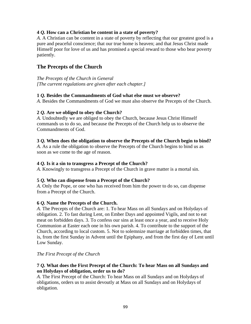## **4** *Q.* **How can a Christian be content in a state of poverty?**

*A.* A Christian can be content in a state of poverty by reflecting that our greatest good is a pure and peaceful conscience; that our true home is heaven; and that Jesus Christ made Himself poor for love of us and has promised a special reward to those who bear poverty patiently.

# **The Precepts of the Church**

*The Precepts of the Church in General [The current regulations are given after each chapter.]*

## **1** *Q.* **Besides the Commandments of God what else must we observe?**

*A.* Besides the Commandments of God we must also observe the Precepts of the Church.

## **2** *Q.* **Are we obliged to obey the Church?**

*A.* Undoubtedly we are obliged to obey the Church, because Jesus Christ Himself commands us to do so, and because the Precepts of the Church help us to observe the Commandments of God.

# **3** *Q.* **When does the obligation to observe the Precepts of the Church begin to bind?**

*A.* As a rule the obligation to observe the Precepts of the Church begins to bind us as soon as we come to the age of reason.

## **4** *Q.* **Is it a sin to transgress a Precept of the Church?**

*A.* Knowingly to transgress a Precept of the Church in grave matter is a mortal sin.

## **5** *Q.* **Who can dispense from a Precept of the Church?**

*A.* Only the Pope, or one who has received from him the power to do so, can dispense from a Precept of the Church.

## **6** *Q.* **Name the Precepts of the Church.**

*A.* The Precepts of the Church are: 1. To hear Mass on all Sundays and on Holydays of obligation. 2. To fast during Lent, on Ember Days and appointed Vigils, and not to eat meat on forbidden days. 3. To confess our sins at least once a year, and to receive Holy Communion at Easter each one in his own parish. 4. To contribute to the support of the Church, according to local custom. 5. Not to solemnize marriage at forbidden times, that is, from the first Sunday in Advent until the Epiphany, and from the first day of Lent until Low Sunday.

## *The First Precept of the Church*

## **7** *Q.* **What does the First Precept of the Church: To hear Mass on all Sundays and on Holydays of obligation, order us to do?**

*A.* The First Precept of the Church: To hear Mass on all Sundays and on Holydays of obligations, orders us to assist devoutly at Mass on all Sundays and on Holydays of obligation.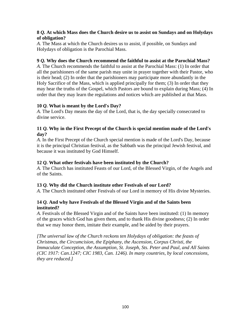### **8** *Q.* **At which Mass does the Church desire us to assist on Sundays and on Holydays of obligation?**

*A.* The Mass at which the Church desires us to assist, if possible, on Sundays and Holydays of obligation is the Parochial Mass.

### **9** *Q.* **Why does the Church recommend the faithful to assist at the Parochial Mass?**

*A.* The Church recommends the faithful to assist at the Parochial Mass: (1) In order that all the parishioners of the same parish may unite in prayer together with their Pastor, who is their head; (2) In order that the parishioners may participate more abundantly in the Holy Sacrifice of the Mass, which is applied principally for them; (3) In order that they may hear the truths of the Gospel, which Pastors are bound to explain during Mass; (4) In order that they may learn the regulations and notices which are published at that Mass.

## **10** *Q.* **What is meant by the Lord's Day?**

*A.* The Lord's Day means the day of the Lord, that is, the day specially consecrated to divine service.

## **11** *Q.* **Why in the First Precept of the Church is special mention made of the Lord's day?**

*A.* In the First Precept of the Church special mention is made of the Lord's Day, because it is the principal Christian festival, as the Sabbath was the principal Jewish festival, and because it was instituted by God Himself.

## **12** *Q.* **What other festivals have been instituted by the Church?**

*A.* The Church has instituted Feasts of our Lord, of the Blessed Virgin, of the Angels and of the Saints.

## **13** *Q.* **Why did the Church institute other Festivals of our Lord?**

*A.* The Church instituted other Festivals of our Lord in memory of His divine Mysteries.

### **14** *Q.* **And why have Festivals of the Blessed Virgin and of the Saints been instituted?**

*A.* Festivals of the Blessed Virgin and of the Saints have been instituted: (1) In memory of the graces which God has given them, and to thank His divine goodness; (2) In order that we may honor them, imitate their example, and be aided by their prayers.

*[The universal law of the Church reckons ten Holydays of obligation: the feasts of Christmas, the Circumcision, the Epiphany, the Ascension, Corpus Christi, the Immaculate Conception, the Assumption, St. Joseph, Sts. Peter and Paul, and All Saints (CIC 1917: Can.1247; CIC 1983, Can. 1246). In many countries, by local concessions, they are reduced.]*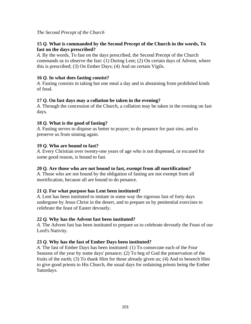### *The Second Precept of the Church*

### **15** *Q.* **What is commanded by the Second Precept of the Church in the words, To fast on the days prescribed?**

*A.* By the words, To fast on the days prescribed, the Second Precept of the Church commands us to observe the fast: (1) During Lent; (2) On certain days of Advent, where this is prescribed; (3) On Ember Days; (4) And on certain Vigils.

### **16** *Q.* **In what does fasting consist?**

*A.* Fasting consists in taking but one meal a day and in abstaining from prohibited kinds of food.

### **17** *Q.* **On fast days may a collation be taken in the evening?**

*A.* Through the concession of the Church, a collation may be taken in the evening on fast days.

### **18** *Q.* **What is the good of fasting?**

*A.* Fasting serves to dispose us better to prayer; to do penance for past sins; and to preserve us from sinning again.

### **19** *Q.* **Who are bound to fast?**

*A.* Every Christian over twenty-one years of age who is not dispensed, or excused for some good reason, is bound to fast.

#### **20** *Q.* **Are those who are not bound to fast, exempt from all mortification?**

*A.* Those who are not bound by the obligation of fasting are not exempt from all mortification, because all are bound to do penance.

## **21** *Q.* **For what purpose has Lent been instituted?**

*A.* Lent has been instituted to imitate in some way the rigorous fast of forty days undergone by Jesus Christ in the desert, and to prepare us by penitential exercises to celebrate the feast of Easter devoutly.

#### **22** *Q.* **Why has the Advent fast been instituted?**

*A.* The Advent fast has been instituted to prepare us to celebrate devoutly the Feast of our Lord's Nativity.

## **23** *Q.* **Why has the fast of Ember Days been instituted?**

*A.* The fast of Ember Days has been instituted: (1) To consecrate each of the Four Seasons of the year by some days' penance; (2) To beg of God the preservation of the fruits of the earth; (3) To thank Him for those already given us; (4) And to beseech Him to give good priests to His Church, the usual days for ordaining priests being the Ember Saturdays.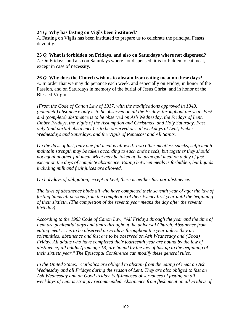### **24** *Q.* **Why has fasting on Vigils been instituted?**

*A.* Fasting on Vigils has been instituted to prepare us to celebrate the principal Feasts devoutly.

#### **25** *Q.* **What is forbidden on Fridays, and also on Saturdays where not dispensed?**

*A.* On Fridays, and also on Saturdays where not dispensed, it is forbidden to eat meat, except in case of necessity.

### **26** *Q.* **Why does the Church wish us to abstain from eating meat on these days?**

*A.* In order that we may do penance each week, and especially on Friday, in honor of the Passion, and on Saturdays in memory of the burial of Jesus Christ, and in honor of the Blessed Virgin.

*[From the Code of Canon Law of 1917, with the modifications approved in 1949, (complete) abstinence only is to be observed on all the Fridays throughout the year. Fast and (complete) abstinence is to be observed on Ash Wednesday, the Fridays of Lent, Ember Fridays, the Vigils of the Assumption and Christmas, and Holy Saturday. Fast only (and partial abstinence) is to be observed on: all weekdays of Lent, Ember Wednesdays and Saturdays, and the Vigils of Pentecost and All Saints.*

*On the days of fast, only one full meal is allowed. Two other meatless snacks, sufficient to maintain strength may be taken according to each one's needs, but together they should not equal another full meal. Meat may be taken at the principal meal on a day of fast except on the days of complete abstinence. Eating between meals is forbidden, but liquids including milk and fruit juices are allowed.*

*On holydays of obligation, except in Lent, there is neither fast nor abstinence.*

*The laws of abstinence binds all who have completed their seventh year of age; the law of fasting binds all persons from the completion of their twenty first year until the beginning of their sixtieth. (The completion of the seventh year means the day after the seventh birthday).*

*According to the 1983 Code of Canon Law, "All Fridays through the year and the time of Lent are penitential days and times throughout the universal Church. Abstinence from eating meat . . . is to be observed on Fridays throughout the year unless they are solemnities; abstinence and fast are to be observed on Ash Wednesday and (Good) Friday. All adults who have completed their fourteenth year are bound by the law of abstinence; all adults (from age 18) are bound by the law of fast up to the beginning of their sixtieth year." The Episcopal Conference can modify these general rules.*

*In the United States, "Catholics are obliged to abstain from the eating of meat on Ash Wednesday and all Fridays during the season of Lent. They are also obliged to fast on Ash Wednesday and on Good Friday. Self-imposed observances of fasting on all weekdays of Lent is strongly recommended. Abstinence from flesh meat on all Fridays of*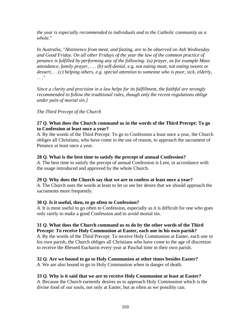*the year is especially recommended to individuals and to the Catholic community as a whole."*

*In Australia, "Abstinence from meat, and fasting, are to be observed on Ash Wednesday and Good Friday. On all other Fridays of the year the law of the common practice of penance is fulfilled by performing any of the following: (a) prayer, as for example Mass attendance, family prayer, . . . (b) self-denial, e.g. not eating meat, not eating sweets or dessert, . . (c) helping others, e.g. special attention to someone who is poor, sick, elderly, . . ."*

*Since a clarity and precision in a law helps for its fulfillment, the faithful are strongly recommended to follow the traditional rules, though only the recent regulations oblige under pain of mortal sin.]*

*The Third Precept of the Church*

## **27** *Q.* **What does the Church command us in the words of the Third Precept: To go to Confession at least once a year?**

*A.* By the words of the Third Precept: To go to Confession a least once a year, the Church obliges all Christians, who have come to the use of reason, to approach the sacrament of Penance at least once a year.

## **28** *Q.* **What is the best time to satisfy the precept of annual Confession?**

*A.* The best time to satisfy the precept of annual Confession is Lent, in accordance with the usage introduced and approved by the whole Church.

## **29** *Q.* **Why does the Church say that we are to confess at least once a year?**

*A.* The Church uses the words at least to let us see her desire that we should approach the sacraments more frequently.

## **30** *Q.* **Is it useful, then, to go often to Confession?**

*A.* It is most useful to go often to Confession, especially as it is difficult for one who goes only rarely to make a good Confession and to avoid mortal sin.

## **31** *Q.* **What does the Church command us to do by the other words of the Third Precept: To receive Holy Communion at Easter, each one in his own parish?**

*A.* By the words of the Third Precept: To receive Holy Communion at Easter, each one in his own parish, the Church obliges all Christians who have come to the age of discretion to receive the Blessed Eucharist every year at Paschal time in their own parish.

# **32** *Q.* **Are we bound to go to Holy Communion at other times besides Easter?**

*A.* We are also bound to go to Holy Communion when in danger of death.

# **33** *Q.* **Why is it said that we are to receive Holy Communion at least at Easter?**

*A.* Because the Church earnestly desires us to approach Holy Communion which is the divine food of our souls, not only at Easter, but as often as we possibly can.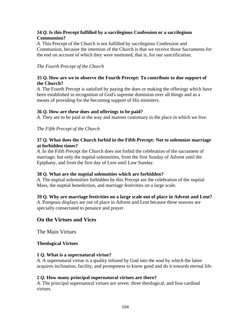## **34** *Q.* **Is this Precept fulfilled by a sacrilegious Confession or a sacrilegious Communion?**

*A.* This Precept of the Church is not fulfilled by sacrilegious Confession and Communion, because the intention of the Church is that we receive those Sacraments for the end on account of which they were instituted, that is, for our sanctification.

# *The Fourth Precept of the Church*

## **35** *Q.* **How are we to observe the Fourth Precept: To contribute to due support of the Church?**

*A.* The Fourth Precept is satisfied by paying the dues or making the offerings which have been established in recognition of God's supreme dominion over all things and as a means of providing for the becoming support of His ministers.

# **36** *Q.* **How are these dues and offerings to be paid?**

*A.* They are to be paid in the way and manner customary in the place in which we live.

*The Fifth Precept of the Church*

### **37** *Q.* **What does the Church forbid in the Fifth Precept: Not to solemnize marriage at forbidden times?**

*A.* In the Fifth Precept the Church does not forbid the celebration of the sacrament of marriage; but only the nuptial solemnities, from the first Sunday of Advent until the Epiphany, and from the first day of Lent until Low Sunday.

# **38** *Q.* **What are the nuptial solemnities which are forbidden?**

*A.* The nuptial solemnities forbidden by this Precept are the celebration of the nuptial Mass, the nuptial benediction, and marriage festivities on a large scale.

# **39** *Q.* **Why are marriage festivities on a large scale out of place in Advent and Lent?**

*A.* Pompous displays are out of place in Advent and Lent because these seasons are specially consecrated to penance and prayer.

# **On the Virtues and Vices**

The Main Virtues

## **Theological Virtues**

# **1** *Q.* **What is a supernatural virtue?**

*A.* A supernatural virtue is a quality infused by God into the soul by which the latter acquires inclination, facility, and promptness to know good and do it towards eternal life.

# **2** *Q.* **How many principal supernatural virtues are there?**

*A.* The principal supernatural virtues are seven: three theological, and four cardinal virtues.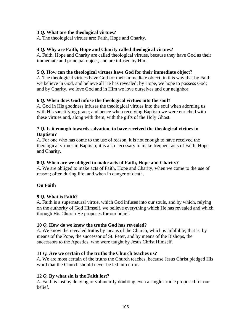### **3** *Q.* **What are the theological virtues?**

*A.* The theological virtues are: Faith, Hope and Charity.

### **4** *Q.* **Why are Faith, Hope and Charity called theological virtues?**

*A.* Faith, Hope and Charity are called theological virtues, because they have God as their immediate and principal object, and are infused by Him.

### **5** *Q.* **How can the theological virtues have God for their immediate object?**

*A.* The theological virtues have God for their immediate object, in this way that by Faith we believe in God, and believe all He has revealed; by Hope, we hope to possess God; and by Charity, we love God and in Him we love ourselves and our neighbor.

## **6** *Q.* **When does God infuse the theological virtues into the soul?**

*A.* God in His goodness infuses the theological virtues into the soul when adorning us with His sanctifying grace; and hence when receiving Baptism we were enriched with these virtues and, along with them, with the gifts of the Holy Ghost.

#### **7** *Q.* **Is it enough towards salvation, to have received the theological virtues in Baptism?**

*A.* For one who has come to the use of reason, it is not enough to have received the theological virtues in Baptism; it is also necessary to make frequent acts of Faith, Hope and Charity.

#### **8** *Q.* **When are we obliged to make acts of Faith, Hope and Charity?**

*A.* We are obliged to make acts of Faith, Hope and Charity, when we come to the use of reason; often during life; and when in danger of death.

## **On Faith**

## **9** *Q.* **What is Faith?**

*A.* Faith is a supernatural virtue, which God infuses into our souls, and by which, relying on the authority of God Himself, we believe everything which He has revealed and which through His Church He proposes for our belief.

## **10** *Q.* **How do we know the truths God has revealed?**

*A.* We know the revealed truths by means of the Church, which is infallible; that is, by means of the Pope, the successor of St. Peter, and by means of the Bishops, the successors to the Apostles, who were taught by Jesus Christ Himself.

#### **11** *Q.* **Are we certain of the truths the Church teaches us?**

*A.* We are most certain of the truths the Church teaches, because Jesus Christ pledged His word that the Church should never be led into error.

#### **12** *Q.* **By what sin is the Faith lost?**

*A.* Faith is lost by denying or voluntarily doubting even a single article proposed for our belief.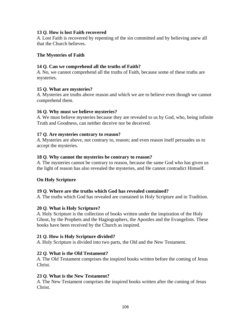### **13** *Q.* **How is lost Faith recovered**

*A.* Lost Faith is recovered by repenting of the sin committed and by believing anew all that the Church believes.

### **The Mysteries of Faith**

### **14** *Q.* **Can we comprehend all the truths of Faith?**

*A.* No, we cannot comprehend all the truths of Faith, because some of these truths are mysteries.

### **15** *Q.* **What are mysteries?**

*A.* Mysteries are truths above reason and which we are to believe even though we cannot comprehend them.

### **16** *Q.* **Why must we believe mysteries?**

*A.* We must believe mysteries because they are revealed to us by God, who, being infinite Truth and Goodness, can neither deceive nor be deceived.

#### **17** *Q.* **Are mysteries contrary to reason?**

*A.* Mysteries are above, not contrary to, reason; and even reason itself persuades us to accept the mysteries.

### **18** *Q.* **Why cannot the mysteries be contrary to reason?**

*A.* The mysteries cannot be contrary to reason, because the same God who has given us the light of reason has also revealed the mysteries, and He cannot contradict Himself.

## **On Holy Scripture**

## **19** *Q.* **Where are the truths which God has revealed contained?**

*A.* The truths which God has revealed are contained in Holy Scripture and in Tradition.

#### **20** *Q.* **What is Holy Scripture?**

*A.* Holy Scripture is the collection of books written under the inspiration of the Holy Ghost, by the Prophets and the Hagiographers, the Apostles and the Evangelists. These books have been received by the Church as inspired.

#### **21** *Q.* **How is Holy Scripture divided?**

*A.* Holy Scripture is divided into two parts, the Old and the New Testament.

#### **22** *Q.* **What is the Old Testament?**

*A.* The Old Testament comprises the inspired books written before the coming of Jesus Christ.

#### **23** *Q.* **What is the New Testament?**

*A.* The New Testament comprises the inspired books written after the coming of Jesus Christ.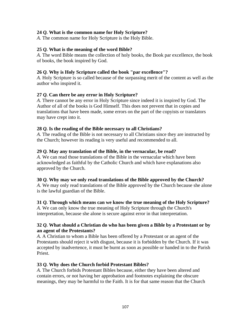### **24** *Q.* **What is the common name for Holy Scripture?**

*A.* The common name for Holy Scripture is the Holy Bible.

### **25** *Q.* **What is the meaning of the word Bible?**

*A.* The word Bible means the collection of holy books, the Book par excellence, the book of books, the book inspired by God.

#### **26** *Q.* **Why is Holy Scripture called the book "par excellence"?**

*A.* Holy Scripture is so called because of the surpassing merit of the content as well as the author who inspired it.

### **27** *Q.* **Can there be any error in Holy Scripture?**

*A.* There cannot be any error in Holy Scripture since indeed it is inspired by God. The Author of all of the books is God Himself. This does not prevent that in copies and translations that have been made, some errors on the part of the copyists or translators may have crept into it.

#### **28** *Q.* **Is the reading of the Bible necessary to all Christians?**

*A.* The reading of the Bible is not necessary to all Christians since they are instructed by the Church; however its reading is very useful and recommended to all.

### **29** *Q.* **May any translation of the Bible, in the vernacular, be read?**

*A.* We can read those translations of the Bible in the vernacular which have been acknowledged as faithful by the Catholic Church and which have explanations also approved by the Church.

#### **30** *Q.* **Why may we only read translations of the Bible approved by the Church?**

*A.* We may only read translations of the Bible approved by the Church because she alone is the lawful guardian of the Bible.

## **31** *Q.* **Through which means can we know the true meaning of the Holy Scripture?**

*A.* We can only know the true meaning of Holy Scripture through the Church's interpretation, because she alone is secure against error in that interpretation.

### **32** *Q.* **What should a Christian do who has been given a Bible by a Protestant or by an agent of the Protestants?**

*A.* A Christian to whom a Bible has been offered by a Protestant or an agent of the Protestants should reject it with disgust, because it is forbidden by the Church. If it was accepted by inadvertence, it must be burnt as soon as possible or handed in to the Parish Priest.

## **33** *Q.* **Why does the Church forbid Protestant Bibles?**

*A.* The Church forbids Protestant Bibles because, either they have been altered and contain errors, or not having her approbation and footnotes explaining the obscure meanings, they may be harmful to the Faith. It is for that same reason that the Church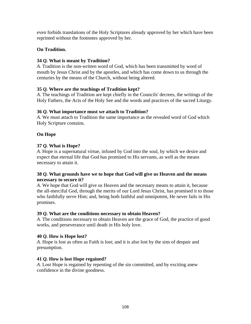even forbids translations of the Holy Scriptures already approved by her which have been reprinted without the footnotes approved by her.

## **On Tradition.**

# **34** *Q.* **What is meant by Tradition?**

*A.* Tradition is the non-written word of God, which has been transmitted by word of mouth by Jesus Christ and by the apostles, and which has come down to us through the centuries by the means of the Church, without being altered.

# **35** *Q.* **Where are the teachings of Tradition kept?**

*A.* The teachings of Tradition are kept chiefly in the Councils' decrees, the writings of the Holy Fathers, the Acts of the Holy See and the words and practices of the sacred Liturgy.

## **36** *Q.* **What importance must we attach to Tradition?**

*A.* We must attach to Tradition the same importance as the revealed word of God which Holy Scripture contains.

# **On Hope**

# **37** *Q.* **What is Hope?**

*A.* Hope is a supernatural virtue, infused by God into the soul, by which we desire and expect that eternal life that God has promised to His servants, as well as the means necessary to attain it.

## **38** *Q.* **What grounds have we to hope that God will give us Heaven and the means necessary to secure it?**

*A.* We hope that God will give us Heaven and the necessary means to attain it, because the all-merciful God, through the merits of our Lord Jesus Christ, has promised it to those who faithfully serve Him; and, being both faithful and omnipotent, He never fails in His promises.

## **39** *Q.* **What are the conditions necessary to obtain Heaven?**

*A.* The conditions necessary to obtain Heaven are the grace of God, the practice of good works, and perseverance until death in His holy love.

## **40** *Q.* **How is Hope lost?**

*A.* Hope is lost as often as Faith is lost; and it is also lost by the sins of despair and presumption.

## **41** *Q.* **How is lost Hope regained?**

*A.* Lost Hope is regained by repenting of the sin committed, and by exciting anew confidence in the divine goodness.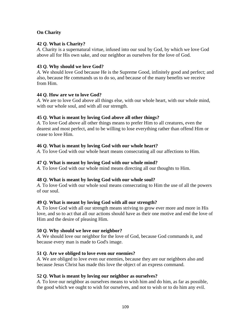# **On Charity**

## **42** *Q.* **What is Charity?**

*A.* Charity is a supernatural virtue, infused into our soul by God, by which we love God above all for His own sake, and our neighbor as ourselves for the love of God.

## **43** *Q.* **Why should we love God?**

*A.* We should love God because He is the Supreme Good, infinitely good and perfect; and also, because He commands us to do so, and because of the many benefits we receive from Him.

## **44** *Q.* **How are we to love God?**

*A.* We are to love God above all things else, with our whole heart, with our whole mind, with our whole soul, and with all our strength.

# **45** *Q.* **What is meant by loving God above all other things?**

*A.* To love God above all other things means to prefer Him to all creatures, even the dearest and most perfect, and to be willing to lose everything rather than offend Him or cease to love Him.

# **46** *Q.* **What is meant by loving God with our whole heart?**

*A.* To love God with our whole heart means consecrating all our affections to Him.

# **47** *Q.* **What is meant by loving God with our whole mind?**

*A.* To love God with our whole mind means directing all our thoughts to Him.

## **48** *Q.* **What is meant by loving God with our whole soul?**

*A.* To love God with our whole soul means consecrating to Him the use of all the powers of our soul.

# **49** *Q.* **What is meant by loving God with all our strength?**

*A.* To love God with all our strength means striving to grow ever more and more in His love, and so to act that all our actions should have as their one motive and end the love of Him and the desire of pleasing Him.

# **50** *Q.* **Why should we love our neighbor?**

*A.* We should love our neighbor for the love of God, because God commands it, and because every man is made to God's image.

# **51** *Q.* **Are we obliged to love even our enemies?**

*A.* We are obliged to love even our enemies, because they are our neighbors also and because Jesus Christ has made this love the object of an express command.

## **52** *Q.* **What is meant by loving our neighbor as ourselves?**

*A.* To love our neighbor as ourselves means to wish him and do him, as far as possible, the good which we ought to wish for ourselves, and not to wish or to do him any evil.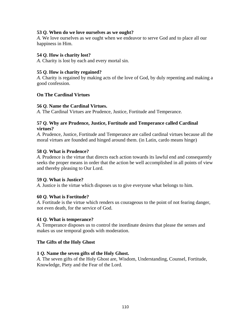### **53** *Q.* **When do we love ourselves as we ought?**

*A.* We love ourselves as we ought when we endeavor to serve God and to place all our happiness in Him.

### **54** *Q.* **How is charity lost?**

*A.* Charity is lost by each and every mortal sin.

### **55** *Q.* **How is charity regained?**

*A.* Charity is regained by making acts of the love of God, by duly repenting and making a good confession.

### **On The Cardinal Virtues**

### **56** *Q.* **Name the Cardinal Virtues.**

*A.* The Cardinal Virtues are Prudence, Justice, Fortitude and Temperance.

### **57** *Q.* **Why are Prudence, Justice, Fortitude and Temperance called Cardinal virtues?**

*A.* Prudence, Justice, Fortitude and Temperance are called cardinal virtues because all the moral virtues are founded and hinged around them. (in Latin, cardo means hinge)

### **58** *Q.* **What is Prudence?**

*A.* Prudence is the virtue that directs each action towards its lawful end and consequently seeks the proper means in order that the action be well accomplished in all points of view and thereby pleasing to Our Lord.

## **59** *Q.* **What is Justice?**

*A.* Justice is the virtue which disposes us to give everyone what belongs to him.

## **60** *Q.* **What is Fortitude?**

*A.* Fortitude is the virtue which renders us courageous to the point of not fearing danger, not even death, for the service of God.

#### **61** *Q.* **What is temperance?**

*A.* Temperance disposes us to control the inordinate desires that please the senses and makes us use temporal goods with moderation.

#### **The Gifts of the Holy Ghost**

#### **1** *Q.* **Name the seven gifts of the Holy Ghost.**

*A.* The seven gifts of the Holy Ghost are, Wisdom, Understanding, Counsel, Fortitude, Knowledge, Piety and the Fear of the Lord.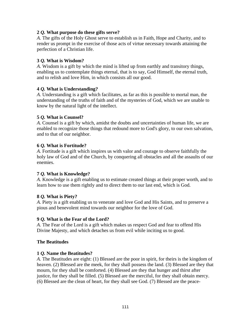### **2** *Q.* **What purpose do these gifts serve?**

*A.* The gifts of the Holy Ghost serve to establish us in Faith, Hope and Charity, and to render us prompt in the exercise of those acts of virtue necessary towards attaining the perfection of a Christian life.

### **3** *Q.* **What is Wisdom?**

*A.* Wisdom is a gift by which the mind is lifted up from earthly and transitory things, enabling us to contemplate things eternal, that is to say, God Himself, the eternal truth, and to relish and love Him, in which consists all our good.

### **4** *Q.* **What is Understanding?**

*A.* Understanding is a gift which facilitates, as far as this is possible to mortal man, the understanding of the truths of faith and of the mysteries of God, which we are unable to know by the natural light of the intellect.

### **5** *Q.* **What is Counsel?**

*A.* Counsel is a gift by which, amidst the doubts and uncertainties of human life, we are enabled to recognize those things that redound more to God's glory, to our own salvation, and to that of our neighbor.

### **6** *Q.* **What is Fortitude?**

*A.* Fortitude is a gift which inspires us with valor and courage to observe faithfully the holy law of God and of the Church, by conquering all obstacles and all the assaults of our enemies.

## **7** *Q.* **What is Knowledge?**

*A.* Knowledge is a gift enabling us to estimate created things at their proper worth, and to learn how to use them rightly and to direct them to our last end, which is God.

## **8** *Q.* **What is Piety?**

*A.* Piety is a gift enabling us to venerate and love God and His Saints, and to preserve a pious and benevolent mind towards our neighbor for the love of God.

#### **9** *Q.* **What is the Fear of the Lord?**

*A.* The Fear of the Lord is a gift which makes us respect God and fear to offend His Divine Majesty, and which detaches us from evil while inciting us to good.

## **The Beatitudes**

## **1** *Q.* **Name the Beatitudes?**

*A.* The Beatitudes are eight: (1) Blessed are the poor in spirit, for theirs is the kingdom of heaven. (2) Blessed are the meek, for they shall possess the land. (3) Blessed are they that mourn, for they shall be comforted. (4) Blessed are they that hunger and thirst after justice, for they shall be filled. (5) Blessed are the merciful, for they shall obtain mercy. (6) Blessed are the clean of heart, for they shall see God. (7) Blessed are the peace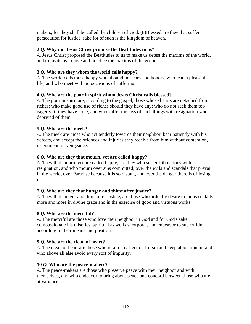makers, for they shall be called the children of God. (8)Blessed are they that suffer persecution for justice' sake for of such is the kingdom of heaven.

## **2** *Q.* **Why did Jesus Christ propose the Beatitudes to us?**

*A.* Jesus Christ proposed the Beatitudes to us to make us detest the maxims of the world, and to invite us to love and practice the maxims of the gospel.

# **3** *Q.* **Who are they whom the world calls happy?**

*A.* The world calls those happy who abound in riches and honors, who lead a pleasant life, and who meet with no occasions of suffering.

# **4** *Q.* **Who are the poor in spirit whom Jesus Christ calls blessed?**

*A.* The poor in spirit are, according to the gospel, those whose hearts are detached from riches; who make good use of riches should they have any; who do not seek them too eagerly, if they have none; and who suffer the loss of such things with resignation when deprived of them.

# **5** *Q.* **Who are the meek?**

*A.* The meek are those who act tenderly towards their neighbor, bear patiently with his defects, and accept the offences and injuries they receive from him without contention, resentment, or vengeance.

# **6** *Q.* **Who are they that mourn, yet are called happy?**

*A.* They that mourn, yet are called happy, are they who suffer tribulations with resignation, and who mourn over sins committed, over the evils and scandals that prevail in the world, over Paradise because it is so distant, and over the danger there is of losing it.

## **7** *Q.* **Who are they that hunger and thirst after justice?**

*A.* They that hunger and thirst after justice, are those who ardently desire to increase daily more and more in divine grace and in the exercise of good and virtuous works.

## **8** *Q.* **Who are the merciful?**

*A.* The merciful are those who love their neighbor in God and for God's sake, compassionate his miseries, spiritual as well as corporal, and endeavor to succor him according to their means and position.

## **9** *Q.* **Who are the clean of heart?**

*A.* The clean of heart are those who retain no affection for sin and keep aloof from it, and who above all else avoid every sort of impurity.

## **10** *Q.* **Who are the peace-makers?**

*A.* The peace-makers are those who preserve peace with their neighbor and with themselves, and who endeavor to bring about peace and concord between those who are at variance.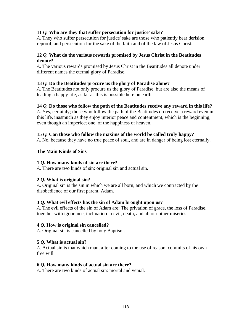### **11** *Q.* **Who are they that suffer persecution for justice' sake?**

*A.* They who suffer persecution for justice' sake are those who patiently bear derision, reproof, and persecution for the sake of the faith and of the law of Jesus Christ.

### **12** *Q.* **What do the various rewards promised by Jesus Christ in the Beatitudes denote?**

*A.* The various rewards promised by Jesus Christ in the Beatitudes all denote under different names the eternal glory of Paradise.

### **13** *Q.* **Do the Beatitudes procure us the glory of Paradise alone?**

*A.* The Beatitudes not only procure us the glory of Paradise, but are also the means of leading a happy life, as far as this is possible here on earth.

### **14** *Q.* **Do those who follow the path of the Beatitudes receive any reward in this life?**

*A.* Yes, certainly; those who follow the path of the Beatitudes do receive a reward even in this life, inasmuch as they enjoy interior peace and contentment, which is the beginning, even though an imperfect one, of the happiness of heaven.

### **15** *Q.* **Can those who follow the maxims of the world be called truly happy?**

*A.* No, because they have no true peace of soul, and are in danger of being lost eternally.

#### **The Main Kinds of Sins**

#### **1** *Q.* **How many kinds of sin are there?**

*A.* There are two kinds of sin: original sin and actual sin.

#### **2** *Q.* **What is original sin?**

*A.* Original sin is the sin in which we are all born, and which we contracted by the disobedience of our first parent, Adam.

#### **3** *Q.* **What evil effects has the sin of Adam brought upon us?**

*A.* The evil effects of the sin of Adam are: The privation of grace, the loss of Paradise, together with ignorance, inclination to evil, death, and all our other miseries.

## **4** *Q.* **How is original sin cancelled?**

*A.* Original sin is cancelled by holy Baptism.

## **5** *Q.* **What is actual sin?**

*A.* Actual sin is that which man, after coming to the use of reason, commits of his own free will.

#### **6** *Q.* **How many kinds of actual sin are there?**

*A.* There are two kinds of actual sin: mortal and venial.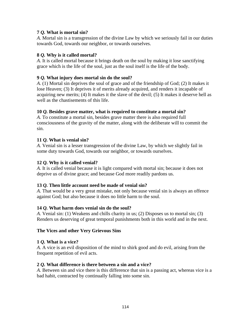## **7** *Q.* **What is mortal sin?**

*A.* Mortal sin is a transgression of the divine Law by which we seriously fail in our duties towards God, towards our neighbor, or towards ourselves.

# **8** *Q.* **Why is it called mortal?**

*A.* It is called mortal because it brings death on the soul by making it lose sanctifying grace which is the life of the soul, just as the soul itself is the life of the body.

# **9** *Q.* **What injury does mortal sin do the soul?**

*A.* (1) Mortal sin deprives the soul of grace and of the friendship of God; (2) It makes it lose Heaven; (3) It deprives it of merits already acquired, and renders it incapable of acquiring new merits; (4) It makes it the slave of the devil; (5) It makes it deserve hell as well as the chastisements of this life.

# **10** *Q.* **Besides grave matter, what is required to constitute a mortal sin?**

*A.* To constitute a mortal sin, besides grave matter there is also required full consciousness of the gravity of the matter, along with the deliberate will to commit the sin.

# **11** *Q.* **What is venial sin?**

*A.* Venial sin is a lesser transgression of the divine Law, by which we slightly fail in some duty towards God, towards our neighbor, or towards ourselves.

## **12** *Q.* **Why is it called venial?**

*A.* It is called venial because it is light compared with mortal sin; because it does not deprive us of divine grace; and because God more readily pardons us.

## **13** *Q.* **Then little account need be made of venial sin?**

*A.* That would be a very great mistake, not only because venial sin is always an offence against God; but also because it does no little harm to the soul.

## **14** *Q.* **What harm does venial sin do the soul?**

*A.* Venial sin: (1) Weakens and chills charity in us; (2) Disposes us to mortal sin; (3) Renders us deserving of great temporal punishments both in this world and in the next.

## **The Vices and other Very Grievous Sins**

## **1** *Q.* **What is a vice?**

*A.* A vice is an evil disposition of the mind to shirk good and do evil, arising from the frequent repetition of evil acts.

## **2** *Q.* **What difference is there between a sin and a vice?**

*A.* Between sin and vice there is this difference that sin is a passing act, whereas vice is a bad habit, contracted by continually falling into some sin.